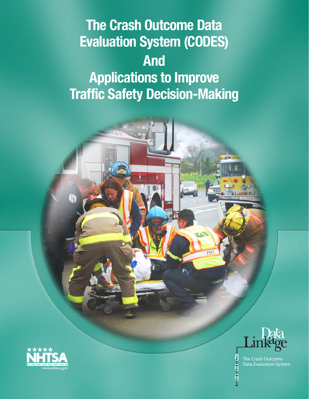# Evaluation System (CODES) Applications to Improve Traffic Safety Decision-Making The Crash Outcome Data And





4700

MII

The Crash Outcome Data Evaluation System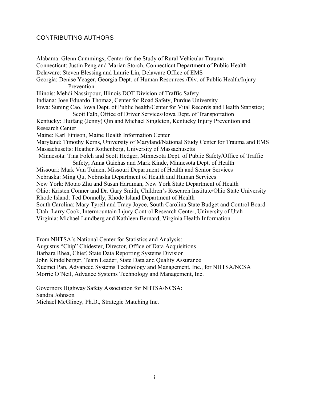## CONTRIBUTING AUTHORS

Alabama: Glenn Cummings, Center for the Study of Rural Vehicular Trauma Connecticut: Justin Peng and Marian Storch, Connecticut Department of Public Health Delaware: Steven Blessing and Laurie Lin, Delaware Office of EMS Georgia: Denise Yeager, Georgia Dept. of Human Resources./Div. of Public Health/Injury Prevention Illinois: Mehdi Nassirpour, Illinois DOT Division of Traffic Safety Indiana: Jose Eduardo Thomaz, Center for Road Safety, Purdue University Iowa: Suning Cao, Iowa Dept. of Public health/Center for Vital Records and Health Statistics; Scott Falb, Office of Driver Services/Iowa Dept. of Transportation Kentucky: Huifang (Jenny) Qin and Michael Singleton, Kentucky Injury Prevention and Research Center Maine: Karl Finison, Maine Health Information Center Maryland: Timothy Kerns, University of Maryland/National Study Center for Trauma and EMS Massachusetts: Heather Rothenberg, University of Massachusetts Minnesota: Tina Folch and Scott Hedger, Minnesota Dept. of Public Safety/Office of Traffic Safety; Anna Gaichas and Mark Kinde, Minnesota Dept. of Health Missouri: Mark Van Tuinen, Missouri Department of Health and Senior Services Nebraska: Ming Qu, Nebraska Department of Health and Human Services New York: Motao Zhu and Susan Hardman, New York State Department of Health Ohio: Kristen Conner and Dr. Gary Smith, Children's Research Institute/Ohio State University Rhode Island: Ted Donnelly, Rhode Island Department of Health South Carolina: Mary Tyrell and Tracy Joyce, South Carolina State Budget and Control Board Utah: Larry Cook, Intermountain Injury Control Research Center, University of Utah Virginia: Michael Lundberg and Kathleen Bernard, Virginia Health Information

From NHTSA's National Center for Statistics and Analysis: Augustus "Chip" Chidester, Director, Office of Data Acquisitions Barbara Rhea, Chief, State Data Reporting Systems Division John Kindelberger, Team Leader, State Data and Quality Assurance Xuemei Pan, Advanced Systems Technology and Management, Inc., for NHTSA/NCSA Morrie O'Neil, Advance Systems Technology and Management, Inc.

Governors Highway Safety Association for NHTSA/NCSA: Sandra Johnson Michael McGlincy, Ph.D., Strategic Matching Inc.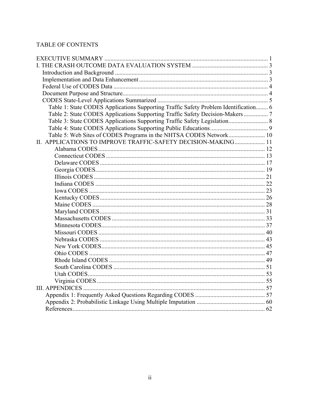# **TABLE OF CONTENTS**

| Table 1: State CODES Applications Supporting Traffic Safety Problem Identification 6 |  |
|--------------------------------------------------------------------------------------|--|
| Table 2: State CODES Applications Supporting Traffic Safety Decision-Makers          |  |
| Table 3: State CODES Applications Supporting Traffic Safety Legislation 8            |  |
|                                                                                      |  |
| Table 5: Web Sites of CODES Programs in the NHTSA CODES Network 10                   |  |
| II. APPLICATIONS TO IMPROVE TRAFFIC-SAFETY DECISION-MAKING 11                        |  |
|                                                                                      |  |
|                                                                                      |  |
|                                                                                      |  |
|                                                                                      |  |
|                                                                                      |  |
|                                                                                      |  |
|                                                                                      |  |
|                                                                                      |  |
|                                                                                      |  |
|                                                                                      |  |
|                                                                                      |  |
|                                                                                      |  |
|                                                                                      |  |
|                                                                                      |  |
|                                                                                      |  |
|                                                                                      |  |
|                                                                                      |  |
|                                                                                      |  |
|                                                                                      |  |
|                                                                                      |  |
|                                                                                      |  |
|                                                                                      |  |
|                                                                                      |  |
|                                                                                      |  |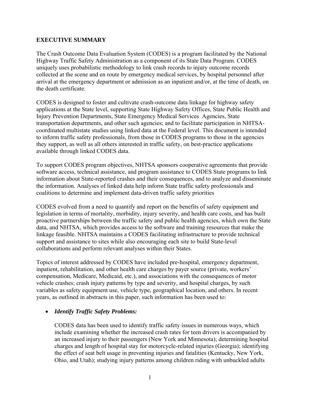## <span id="page-3-0"></span>**EXECUTIVE SUMMARY**

The Crash Outcome Data Evaluation System (CODES) is a program facilitated by the National Highway Traffic Safety Administration as a component of its State Data Program. CODES uniquely uses probabilistic methodology to link crash records to injury outcome records collected at the scene and en route by emergency medical services, by hospital personnel after arrival at the emergency department or admission as an inpatient and/or, at the time of death, on the death certificate.

CODES is designed to foster and cultivate crash-outcome data linkage for highway safety applications at the State level, supporting State Highway Safety Offices, State Public Health and Injury Prevention Departments, State Emergency Medical Services Agencies, State transportation departments, and other such agencies; and to facilitate participation in NHTSAcoordinated multistate studies using linked data at the Federal level. This document is intended to inform traffic safety professionals, from those in CODES programs to those in the agencies they support, as well as all others interested in traffic safety, on best-practice applications available through linked CODES data.

To support CODES program objectives, NHTSA sponsors cooperative agreements that provide software access, technical assistance, and program assistance to CODES State programs to link information about State-reported crashes and their consequences, and to analyze and disseminate the information. Analyses of linked data help inform State traffic safety professionals and coalitions to determine and implement data-driven traffic safety priorities

CODES evolved from a need to quantify and report on the benefits of safety equipment and legislation in terms of mortality, morbidity, injury severity, and health care costs, and has built proactive partnerships between the traffic safety and public health agencies, which own the State data, and NHTSA, which provides access to the software and training resources that make the linkage feasible. NHTSA maintains a CODES facilitating infrastructure to provide technical support and assistance to sites while also encouraging each site to build State-level collaborations and perform relevant analyses within their States.

Topics of interest addressed by CODES have included pre-hospital, emergency department, inpatient, rehabilitation, and other health care charges by payer source (private, workers' compensation, Medicare, Medicaid, etc.), and associations with the consequences of motor vehicle crashes; crash injury patterns by type and severity, and hospital charges, by such variables as safety equipment use, vehicle type, geographical location, and others. In recent years, as outlined in abstracts in this paper, such information has been used to:

## *Identify Traffic Safety Problems:*

CODES data has been used to identify traffic safety issues in numerous ways, which include examining whether the increased crash rates for teen drivers is accompanied by an increased injury to their passengers (New York and Minnesota); determining hospital charges and length of hospital stay for motorcycle-related injuries (Georgia); identifying the effect of seat belt usage in preventing injuries and fatalities (Kentucky, New York, Ohio, and Utah); studying injury patterns among children riding with unbuckled adults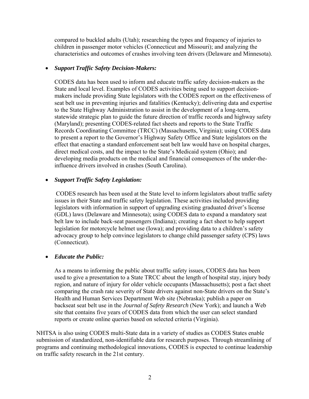compared to buckled adults (Utah); researching the types and frequency of injuries to children in passenger motor vehicles (Connecticut and Missouri); and analyzing the characteristics and outcomes of crashes involving teen drivers (Delaware and Minnesota).

#### *Support Traffic Safety Decision-Makers:*

CODES data has been used to inform and educate traffic safety decision-makers as the State and local level. Examples of CODES activities being used to support decisionmakers include providing State legislators with the CODES report on the effectiveness of seat belt use in preventing injuries and fatalities (Kentucky); delivering data and expertise to the State Highway Administration to assist in the development of a long-term, statewide strategic plan to guide the future direction of traffic records and highway safety (Maryland); presenting CODES-related fact sheets and reports to the State Traffic Records Coordinating Committee (TRCC) (Massachusetts, Virginia); using CODES data to present a report to the Governor's Highway Safety Office and State legislators on the effect that enacting a standard enforcement seat belt law would have on hospital charges, direct medical costs, and the impact to the State's Medicaid system (Ohio); and developing media products on the medical and financial consequences of the under-theinfluence drivers involved in crashes (South Carolina).

#### *Support Traffic Safety Legislation:*

CODES research has been used at the State level to inform legislators about traffic safety issues in their State and traffic safety legislation. These activities included providing legislators with information in support of upgrading existing graduated driver's license (GDL) laws (Delaware and Minnesota); using CODES data to expand a mandatory seat belt law to include back-seat passengers (Indiana); creating a fact sheet to help support legislation for motorcycle helmet use (Iowa); and providing data to a children's safety advocacy group to help convince legislators to change child passenger safety (CPS) laws (Connecticut).

#### *Educate the Public:*

As a means to informing the public about traffic safety issues, CODES data has been used to give a presentation to a State TRCC about the length of hospital stay, injury body region, and nature of injury for older vehicle occupants (Massachusetts); post a fact sheet comparing the crash rate severity of State drivers against non-State drivers on the State's Health and Human Services Department Web site (Nebraska); publish a paper on backseat seat belt use in the *Journal of Safety Research* (New York); and launch a Web site that contains five years of CODES data from which the user can select standard reports or create online queries based on selected criteria (Virginia).

NHTSA is also using CODES multi-State data in a variety of studies as CODES States enable submission of standardized, non-identifiable data for research purposes. Through streamlining of programs and continuing methodological innovations, CODES is expected to continue leadership on traffic safety research in the 21st century.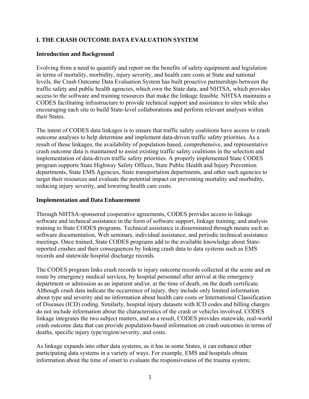# <span id="page-5-0"></span>**I. THE CRASH OUTCOME DATA EVALUATION SYSTEM**

#### **Introduction and Background**

Evolving from a need to quantify and report on the benefits of safety equipment and legislation in terms of mortality, morbidity, injury severity, and health care costs at State and national levels, the Crash Outcome Data Evaluation System has built proactive partnerships between the traffic safety and public health agencies, which own the State data, and NHTSA, which provides access to the software and training resources that make the linkage feasible. NHTSA maintains a CODES facilitating infrastructure to provide technical support and assistance to sites while also encouraging each site to build State-level collaborations and perform relevant analyses within their States.

The intent of CODES data linkages is to ensure that traffic safety coalitions have access to crash outcome analyses to help determine and implement data-driven traffic safety priorities. As a result of these linkages, the availability of population-based, comprehensive, and representative crash outcome data is maintained to assist existing traffic safety coalitions in the selection and implementation of data-driven traffic safety priorities. A properly implemented State CODES program supports State Highway Safety Offices, State Public Health and Injury Prevention departments, State EMS Agencies, State transportation departments, and other such agencies to target their resources and evaluate the potential impact on preventing mortality and morbidity, reducing injury severity, and lowering health care costs.

#### **Implementation and Data Enhancement**

Through NHTSA-sponsored cooperative agreements, CODES provides access to linkage software and technical assistance in the form of software support, linkage training, and analysis training to State CODES programs. Technical assistance is disseminated through means such as software documentation, Web seminars, individual assistance, and periodic technical assistance meetings. Once trained, State CODES programs add to the available knowledge about Statereported crashes and their consequences by linking crash data to data systems such as EMS records and statewide hospital discharge records.

The CODES program links crash records to injury outcome records collected at the scene and en route by emergency medical services, by hospital personnel after arrival at the emergency department or admission as an inpatient and/or, at the time of death, on the death certificate. Although crash data indicate the occurrence of injury, they include only limited information about type and severity and no information about health care costs or International Classification of Diseases (ICD) coding. Similarly, hospital injury datasets with ICD codes and billing charges do not include information about the characteristics of the crash or vehicles involved. CODES linkage integrates the two subject matters, and as a result, CODES provides statewide, real-world crash outcome data that can provide population-based information on crash outcomes in terms of deaths, specific injury type/region/severity, and costs.

As linkage expands into other data systems, as it has in some States, it can enhance other participating data systems in a variety of ways. For example, EMS and hospitals obtain information about the time of onset to evaluate the responsiveness of the trauma system;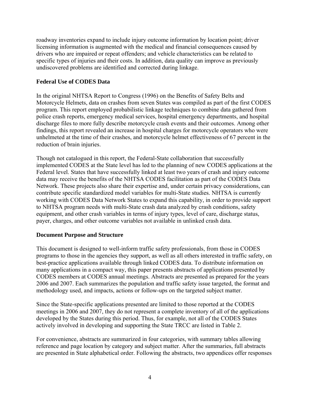<span id="page-6-0"></span>roadway inventories expand to include injury outcome information by location point; driver licensing information is augmented with the medical and financial consequences caused by drivers who are impaired or repeat offenders; and vehicle characteristics can be related to specific types of injuries and their costs. In addition, data quality can improve as previously undiscovered problems are identified and corrected during linkage.

## **Federal Use of CODES Data**

In the original NHTSA Report to Congress (1996) on the Benefits of Safety Belts and Motorcycle Helmets, data on crashes from seven States was compiled as part of the first CODES program. This report employed probabilistic linkage techniques to combine data gathered from police crash reports, emergency medical services, hospital emergency departments, and hospital discharge files to more fully describe motorcycle crash events and their outcomes. Among other findings, this report revealed an increase in hospital charges for motorcycle operators who were unhelmeted at the time of their crashes, and motorcycle helmet effectiveness of 67 percent in the reduction of brain injuries.

Though not catalogued in this report, the Federal-State collaboration that successfully implemented CODES at the State level has led to the planning of new CODES applications at the Federal level. States that have successfully linked at least two years of crash and injury outcome data may receive the benefits of the NHTSA CODES facilitation as part of the CODES Data Network. These projects also share their expertise and, under certain privacy considerations, can contribute specific standardized model variables for multi-State studies. NHTSA is currently working with CODES Data Network States to expand this capability, in order to provide support to NHTSA program needs with multi-State crash data analyzed by crash conditions, safety equipment, and other crash variables in terms of injury types, level of care, discharge status, payer, charges, and other outcome variables not available in unlinked crash data.

#### **Document Purpose and Structure**

This document is designed to well-inform traffic safety professionals, from those in CODES programs to those in the agencies they support, as well as all others interested in traffic safety, on best-practice applications available through linked CODES data. To distribute information on many applications in a compact way, this paper presents abstracts of applications presented by CODES members at CODES annual meetings. Abstracts are presented as prepared for the years 2006 and 2007. Each summarizes the population and traffic safety issue targeted, the format and methodology used, and impacts, actions or follow-ups on the targeted subject matter.

Since the State-specific applications presented are limited to those reported at the CODES meetings in 2006 and 2007, they do not represent a complete inventory of all of the applications developed by the States during this period. Thus, for example, not all of the CODES States actively involved in developing and supporting the State TRCC are listed in Table 2.

For convenience, abstracts are summarized in four categories, with summary tables allowing reference and page location by category and subject matter. After the summaries, full abstracts are presented in State alphabetical order. Following the abstracts, two appendices offer responses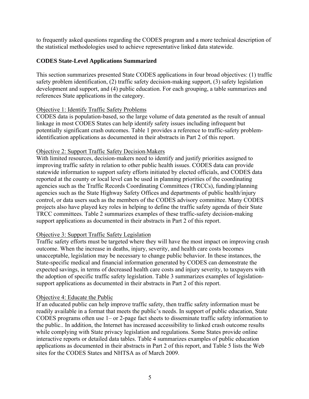<span id="page-7-0"></span>to frequently asked questions regarding the CODES program and a more technical description of the statistical methodologies used to achieve representative linked data statewide.

## **CODES State-Level Applications Summarized**

This section summarizes presented State CODES applications in four broad objectives: (1) traffic safety problem identification, (2) traffic safety decision-making support, (3) safety legislation development and support, and (4) public education. For each grouping, a table summarizes and references State applications in the category.

# Objective 1: Identify Traffic Safety Problems

CODES data is population-based, so the large volume of data generated as the result of annual linkage in most CODES States can help identify safety issues including infrequent but potentially significant crash outcomes. Table 1 provides a reference to traffic-safety problemidentification applications as documented in their abstracts in Part 2 of this report.

# Objective 2: Support Traffic Safety Decision-Makers

With limited resources, decision-makers need to identify and justify priorities assigned to improving traffic safety in relation to other public health issues. CODES data can provide statewide information to support safety efforts initiated by elected officials, and CODES data reported at the county or local level can be used in planning priorities of the coordinating agencies such as the Traffic Records Coordinating Committees (TRCCs), funding/planning agencies such as the State Highway Safety Offices and departments of public health/injury control, or data users such as the members of the CODES advisory committee. Many CODES projects also have played key roles in helping to define the traffic safety agenda of their State TRCC committees. Table 2 summarizes examples of these traffic-safety decision-making support applications as documented in their abstracts in Part 2 of this report.

# Objective 3: Support Traffic Safety Legislation

Traffic safety efforts must be targeted where they will have the most impact on improving crash outcome. When the increase in deaths, injury, severity, and health care costs becomes unacceptable, legislation may be necessary to change public behavior. In these instances, the State-specific medical and financial information generated by CODES can demonstrate the expected savings, in terms of decreased health care costs and injury severity, to taxpayers with the adoption of specific traffic safety legislation. Table 3 summarizes examples of legislationsupport applications as documented in their abstracts in Part 2 of this report.

## Objective 4: Educate the Public

If an educated public can help improve traffic safety, then traffic safety information must be readily available in a format that meets the public's needs. In support of public education, State CODES programs often use 1– or 2-page fact sheets to disseminate traffic safety information to the public.. In addition, the Internet has increased accessibility to linked crash outcome results while complying with State privacy legislation and regulations. Some States provide online interactive reports or detailed data tables. Table 4 summarizes examples of public education applications as documented in their abstracts in Part 2 of this report, and Table 5 lists the Web sites for the CODES States and NHTSA as of March 2009.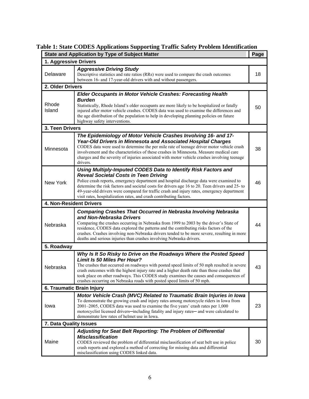|                        | <b>State and Application by Type of Subject Matter</b>                                                                                                                                                                                                                                                                                                                                                                                                                            | Page |  |  |  |  |
|------------------------|-----------------------------------------------------------------------------------------------------------------------------------------------------------------------------------------------------------------------------------------------------------------------------------------------------------------------------------------------------------------------------------------------------------------------------------------------------------------------------------|------|--|--|--|--|
| 1. Aggressive Drivers  |                                                                                                                                                                                                                                                                                                                                                                                                                                                                                   |      |  |  |  |  |
| Delaware               | <b>Aggressive Driving Study</b><br>Descriptive statistics and rate ratios (RRs) were used to compare the crash outcomes<br>between 16- and 17-year-old drivers with and without passengers.                                                                                                                                                                                                                                                                                       | 18   |  |  |  |  |
| 2. Older Drivers       |                                                                                                                                                                                                                                                                                                                                                                                                                                                                                   |      |  |  |  |  |
| Rhode<br>Island        | <b>Elder Occupants in Motor Vehicle Crashes: Forecasting Health</b><br><b>Burden</b><br>Statistically, Rhode Island's older occupants are more likely to be hospitalized or fatally<br>injured after motor vehicle crashes. CODES data was used to examine the differences and<br>the age distribution of the population to help in developing planning policies on future<br>highway safety interventions.                                                                       | 50   |  |  |  |  |
| 3. Teen Drivers        |                                                                                                                                                                                                                                                                                                                                                                                                                                                                                   |      |  |  |  |  |
| Minnesota              | The Epidemiology of Motor Vehicle Crashes Involving 16- and 17-<br>Year-Old Drivers in Minnesota and Associated Hospital Charges<br>CODES data were used to determine the per mile rate of teenage driver motor vehicle crash<br>involvement and the characteristics of these crashes in Minnesota. Measure medical care<br>charges and the severity of injuries associated with motor vehicle crashes involving teenage<br>drivers.                                              | 38   |  |  |  |  |
| New York               | Using Multiply-Imputed CODES Data to Identify Risk Factors and<br><b>Reveal Societal Costs in Teen Driving</b><br>Police crash reports, emergency department and hospital discharge data were examined to<br>determine the risk factors and societal costs for drivers age 16 to 20. Teen drivers and 25- to<br>49-year-old drivers were compared for traffic crash and injury rates, emergency department<br>visit rates, hospitalization rates, and crash contributing factors. | 46   |  |  |  |  |
|                        | 4. Non-Resident Drivers                                                                                                                                                                                                                                                                                                                                                                                                                                                           |      |  |  |  |  |
| Nebraska               | <b>Comparing Crashes That Occurred in Nebraska Involving Nebraska</b><br>and Non-Nebraska Drivers<br>Comparing the crashes occurring in Nebraska from 1999 to 2003 by the driver's State of<br>residence, CODES data explored the patterns and the contributing risks factors of the<br>crashes. Crashes involving non-Nebraska drivers tended to be more severe, resulting in more<br>deaths and serious injuries than crashes involving Nebraska drivers.                       | 44   |  |  |  |  |
| 5. Roadway             |                                                                                                                                                                                                                                                                                                                                                                                                                                                                                   |      |  |  |  |  |
| Nebraska               | Why Is It So Risky to Drive on the Roadways Where the Posted Speed<br><b>Limit Is 50 Miles Per Hour?</b><br>The crashes that occurred on roadways with posted speed limits of 50 mph resulted in severe<br>crash outcomes with the highest injury rate and a higher death rate than those crashes that<br>took place on other roadways. This CODES study examines the causes and consequences of<br>crashes occurring on Nebraska roads with posted speed limits of 50 mph.       | 43   |  |  |  |  |
|                        | 6. Traumatic Brain Injury                                                                                                                                                                                                                                                                                                                                                                                                                                                         |      |  |  |  |  |
| lowa                   | Motor Vehicle Crash (MVC) Related to Traumatic Brain Injuries in Iowa<br>To demonstrate the growing crash and injury rates among motorcycle riders in Iowa from<br>2001-2005, CODES data was used to examine the five years' crash rates per 1,000<br>motorcyclist licensed drivers-including fatality and injury rates- and were calculated to<br>demonstrate low rates of helmet use in Iowa.                                                                                   | 23   |  |  |  |  |
| 7. Data Quality Issues |                                                                                                                                                                                                                                                                                                                                                                                                                                                                                   |      |  |  |  |  |
| Maine                  | Adjusting for Seat Belt Reporting: The Problem of Differential<br><b>Misclassification</b><br>CODES reviewed the problem of differential misclassification of seat belt use in police<br>crash reports and explored a method of correcting for missing data and differential<br>misclassification using CODES linked data.                                                                                                                                                        | 30   |  |  |  |  |

# **Table 1: State CODES Applications Supporting Traffic Safety Problem Identification**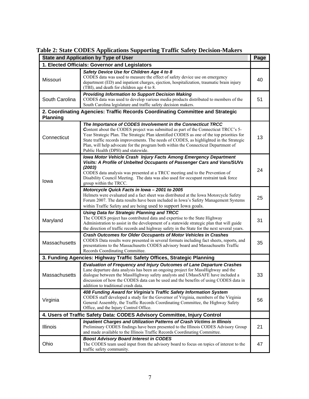|                 | <b>State and Application by Type of User</b>                                                                                                                                                                                                                                                                                                                                                                                                                          | Page |
|-----------------|-----------------------------------------------------------------------------------------------------------------------------------------------------------------------------------------------------------------------------------------------------------------------------------------------------------------------------------------------------------------------------------------------------------------------------------------------------------------------|------|
|                 | 1. Elected Officials: Governor and Legislators                                                                                                                                                                                                                                                                                                                                                                                                                        |      |
| Missouri        | Safety Device Use for Children Age 4 to 8<br>CODES data was used to measure the effect of safety device use on emergency<br>department (ED) and inpatient charges, ejection, hospitalization, traumatic brain injury<br>(TBI), and death for children age 4 to 8.                                                                                                                                                                                                     | 40   |
| South Carolina  | <b>Providing Information to Support Decision Making</b><br>CODES data was used to develop various media products distributed to members of the<br>South Carolina legislature and traffic safety decision makers.                                                                                                                                                                                                                                                      | 51   |
| <b>Planning</b> | 2. Coordinating Agencies: Traffic Records Coordinating Committee and Strategic                                                                                                                                                                                                                                                                                                                                                                                        |      |
| Connecticut     | The Importance of CODES Involvement in the Connecticut TRCC<br>Content about the CODES project was submitted as part of the Connecticut TRCC's 5-<br>Year Strategic Plan. The Strategic Plan identified CODES as one of the top priorities for<br>State traffic records improvements. The needs of CODES, as highlighted in the Strategic<br>Plan, will help advocate for the program both within the Connecticut Department of<br>Public Health (DPH) and statewide. | 13   |
| lowa            | <b>Iowa Motor Vehicle Crash Injury Facts Among Emergency Department</b><br>Visits: A Profile of Unbelted Occupants of Passenger Cars and Vans/SUVs<br>(2003)<br>CODES data analysis was presented at a TRCC meeting and to the Prevention of<br>Disability Council Meeting. The data was also used for occupant restraint task force<br>group within the TRCC.                                                                                                        | 24   |
|                 | Motorcycle Quick Facts in Iowa - 2001 to 2005<br>Helmets were evaluated and a fact sheet was distributed at the Iowa Motorcycle Safety<br>Forum 2007. The data results have been included in Iowa's Safety Management Systems<br>within Traffic Safety and are being used to support Iowa goals.                                                                                                                                                                      | 25   |
| Maryland        | <b>Using Data for Strategic Planning and TRCC</b><br>The CODES project has contributed data and expertise to the State Highway<br>Administration to assist in the development of a statewide strategic plan that will guide<br>the direction of traffic records and highway safety in the State for the next several years.                                                                                                                                           | 31   |
| Massachusetts   | <b>Crash Outcomes for Older Occupants of Motor Vehicles in Crashes</b><br>CODES Data results were presented in several formats including fact sheets, reports, and<br>presentations to the Massachusetts CODES advisory board and Massachusetts Traffic<br>Records Coordinating Committee.                                                                                                                                                                            | 35   |
|                 | 3. Funding Agencies: Highway Traffic Safety Offices, Strategic Planning                                                                                                                                                                                                                                                                                                                                                                                               |      |
| Massachusetts   | <b>Evaluation of Frequency and Injury Outcomes of Lane Departure Crashes</b><br>Lane departure data analysis has been an ongoing project for MassHighway and the<br>dialogue between the MassHighway safety analysts and UMassSAFE have included a<br>discussion of how the CODES data can be used and the benefits of using CODES data in<br>addition to traditional crash data.                                                                                     | 33   |
| Virginia        | 408 Funding Award for Virginia's Traffic Safety Information System<br>CODES staff developed a study for the Governor of Virginia, members of the Virginia<br>General Assembly, the Traffic Records Coordinating Committee, the Highway Safety<br>Office, and the Injury Control Office.                                                                                                                                                                               | 56   |
|                 | 4. Users of Traffic Safety Data: CODES Advisory Committee, Injury Control                                                                                                                                                                                                                                                                                                                                                                                             |      |
| Illinois        | Inpatient Charges and Utilization Patterns of Crash Victims in Illinois<br>Preliminary CODES findings have been presented to the Illinois CODES Advisory Group<br>and made available to the Illinois Traffic Records Coordinating Committee.                                                                                                                                                                                                                          | 21   |
| Ohio            | <b>Boost Advisory Board Interest in CODES</b><br>The CODES team used input from the advisory board to focus on topics of interest to the<br>traffic safety community.                                                                                                                                                                                                                                                                                                 | 47   |

|  |  | <b>Table 2: State CODES Applications Supporting Traffic Safety Decision-Makers</b> |
|--|--|------------------------------------------------------------------------------------|
|  |  |                                                                                    |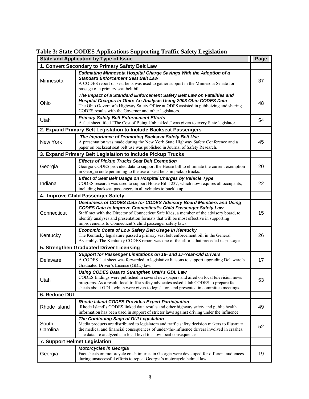|  |  | Table 3: State CODES Applications Supporting Traffic Safety Legislation |  |
|--|--|-------------------------------------------------------------------------|--|
|  |  |                                                                         |  |

|                                   | <b>State and Application by Type of Issue</b>                                                                                                                                                                                                                                                                                                                                                  | Page |  |  |  |
|-----------------------------------|------------------------------------------------------------------------------------------------------------------------------------------------------------------------------------------------------------------------------------------------------------------------------------------------------------------------------------------------------------------------------------------------|------|--|--|--|
|                                   | 1. Convert Secondary to Primary Safety Belt Law                                                                                                                                                                                                                                                                                                                                                |      |  |  |  |
| Minnesota                         | Estimating Minnesota Hospital Charge Savings With the Adoption of a<br><b>Standard Enforcement Seat Belt Law</b><br>A CODES report on seat belts was used to gather support in the Minnesota Senate for<br>passage of a primary seat belt bill.                                                                                                                                                | 37   |  |  |  |
| Ohio                              | The Impact of a Standard Enforcement Safety Belt Law on Fatalities and<br>Hospital Charges in Ohio: An Analysis Using 2003 Ohio CODES Data<br>The Ohio Governor's Highway Safety Office at ODPS assisted in publicizing and sharing<br>CODES results with the Governor and other legislators.                                                                                                  | 48   |  |  |  |
| Utah                              | <b>Primary Safety Belt Enforcement Efforts</b><br>A fact sheet titled "The Cost of Being Unbuckled," was given to every State legislator.                                                                                                                                                                                                                                                      | 54   |  |  |  |
|                                   | 2. Expand Primary Belt Legislation to Include Backseat Passengers                                                                                                                                                                                                                                                                                                                              |      |  |  |  |
| New York                          | The Importance of Promoting Backseat Safety Belt Use<br>A presentation was made during the New York State Highway Safety Conference and a<br>paper on backseat seat belt use was published in Journal of Safety Research.                                                                                                                                                                      | 45   |  |  |  |
|                                   | 3. Expand Primary Belt Legislation to Include Pickup Trucks                                                                                                                                                                                                                                                                                                                                    |      |  |  |  |
| Georgia                           | <b>Effects of Pickup Trucks Seat Belt Exemption</b><br>Georgia CODES provided data to support the House bill to eliminate the current exemption<br>in Georgia code pertaining to the use of seat belts in pickup trucks.                                                                                                                                                                       | 20   |  |  |  |
| Indiana                           | Effect of Seat Belt Usage on Hospital Charges by Vehicle Type<br>CODES research was used to support House Bill 1237, which now requires all occupants,<br>including backseat passengers in all vehicles to buckle up.                                                                                                                                                                          | 22   |  |  |  |
| 4. Improve Child Passenger Safety |                                                                                                                                                                                                                                                                                                                                                                                                |      |  |  |  |
| Connecticut                       | Usefulness of CODES Data for CODES Advisory Board Members and Using<br><b>CODES Data to Improve Connecticut's Child Passenger Safety Law</b><br>Staff met with the Director of Connecticut Safe Kids, a member of the advisory board, to<br>identify analyses and presentation formats that will be most effective in supporting<br>improvements to Connecticut's child passenger safety laws. | 15   |  |  |  |
| Kentucky                          | Economic Costs of Low Safety Belt Usage in Kentucky<br>The Kentucky legislature passed a primary seat belt enforcement bill in the General<br>Assembly. The Kentucky CODES report was one of the efforts that preceded its passage.                                                                                                                                                            | 26   |  |  |  |
|                                   | 5. Strengthen Graduated Driver Licensing                                                                                                                                                                                                                                                                                                                                                       |      |  |  |  |
| Delaware                          | Support for Passenger Limitations on 16- and 17-Year-Old Drivers<br>A CODES fact sheet was forwarded to legislative liaisons to support upgrading Delaware's<br>Graduated Driver's License (GDL) law.                                                                                                                                                                                          | 17   |  |  |  |
| Utah                              | Using CODES Data to Strengthen Utah's GDL Law<br>CODES findings were published in several newspapers and aired on local television news<br>programs. As a result, local traffic safety advocates asked Utah CODES to prepare fact<br>sheets about GDL, which were given to legislators and presented in committee meetings.                                                                    | 53   |  |  |  |
| 6. Reduce DUI                     |                                                                                                                                                                                                                                                                                                                                                                                                |      |  |  |  |
| Rhode Island                      | Rhode Island CODES Provides Expert Participation<br>Rhode Island's CODES linked data results and other highway safety and public health<br>information has been used in support of stricter laws against driving under the influence.                                                                                                                                                          | 49   |  |  |  |
| South<br>Carolina                 | The Continuing Saga of DUI Legislation<br>Media products are distributed to legislators and traffic safety decision makers to illustrate<br>the medical and financial consequences of under-the-influence drivers involved in crashes.<br>The data are analyzed at a local level to show local consequences.                                                                                   | 52   |  |  |  |
| 7. Support Helmet Legislation     |                                                                                                                                                                                                                                                                                                                                                                                                |      |  |  |  |
| Georgia                           | <b>Motorcycles in Georgia</b><br>Fact sheets on motorcycle crash injuries in Georgia were developed for different audiences<br>during unsuccessful efforts to repeal Georgia's motorcycle helmet law.                                                                                                                                                                                          | 19   |  |  |  |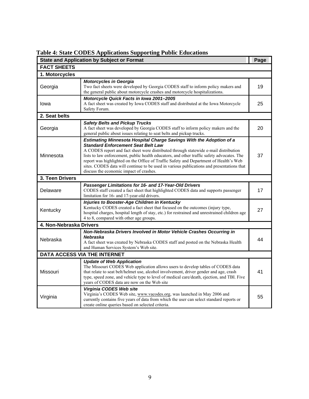| <b>State and Application by Subject or Format</b> |                                                                                                                                                                                                                                                                                                                                                                                                                                                                                                                                         |    |  |  |  |
|---------------------------------------------------|-----------------------------------------------------------------------------------------------------------------------------------------------------------------------------------------------------------------------------------------------------------------------------------------------------------------------------------------------------------------------------------------------------------------------------------------------------------------------------------------------------------------------------------------|----|--|--|--|
| Page<br><b>FACT SHEETS</b>                        |                                                                                                                                                                                                                                                                                                                                                                                                                                                                                                                                         |    |  |  |  |
| 1. Motorcycles                                    |                                                                                                                                                                                                                                                                                                                                                                                                                                                                                                                                         |    |  |  |  |
| Georgia                                           | <b>Motorcycles in Georgia</b><br>Two fact sheets were developed by Georgia CODES staff to inform policy makers and<br>the general public about motorcycle crashes and motorcycle hospitalizations.                                                                                                                                                                                                                                                                                                                                      | 19 |  |  |  |
| Iowa                                              | Motorcycle Quick Facts in Iowa 2001-2005<br>A fact sheet was created by Iowa CODES staff and distributed at the Iowa Motorcycle<br>Safety Forum.                                                                                                                                                                                                                                                                                                                                                                                        | 25 |  |  |  |
| 2. Seat belts                                     |                                                                                                                                                                                                                                                                                                                                                                                                                                                                                                                                         |    |  |  |  |
| Georgia                                           | <b>Safety Belts and Pickup Trucks</b><br>A fact sheet was developed by Georgia CODES staff to inform policy makers and the<br>general public about issues relating to seat belts and pickup trucks.                                                                                                                                                                                                                                                                                                                                     | 20 |  |  |  |
| Minnesota                                         | Estimating Minnesota Hospital Charge Savings With the Adoption of a<br><b>Standard Enforcement Seat Belt Law</b><br>A CODES report and fact sheet were distributed through statewide e-mail distribution<br>lists to law enforcement, public health educators, and other traffic safety advocates. The<br>report was highlighted on the Office of Traffic Safety and Department of Health's Web<br>sites. CODES data will continue to be used in various publications and presentations that<br>discuss the economic impact of crashes. | 37 |  |  |  |
| 3. Teen Drivers                                   |                                                                                                                                                                                                                                                                                                                                                                                                                                                                                                                                         |    |  |  |  |
| Delaware                                          | Passenger Limitations for 16- and 17-Year-Old Drivers<br>CODES staff created a fact sheet that highlighted CODES data and supports passenger<br>limitation for 16- and 17-year-old drivers.                                                                                                                                                                                                                                                                                                                                             | 17 |  |  |  |
| Kentucky                                          | Injuries to Booster-Age Children in Kentucky<br>Kentucky CODES created a fact sheet that focused on the outcomes (injury type,<br>hospital charges, hospital length of stay, etc.) for restrained and unrestrained children age<br>4 to 8, compared with other age groups.                                                                                                                                                                                                                                                              | 27 |  |  |  |
| 4. Non-Nebraska Drivers                           |                                                                                                                                                                                                                                                                                                                                                                                                                                                                                                                                         |    |  |  |  |
| Nebraska                                          | Non-Nebraska Drivers Involved in Motor Vehicle Crashes Occurring in<br>Nebraska<br>A fact sheet was created by Nebraska CODES staff and posted on the Nebraska Health<br>and Human Services System's Web site.                                                                                                                                                                                                                                                                                                                          | 44 |  |  |  |
| DATA ACCESS VIA THE INTERNET                      |                                                                                                                                                                                                                                                                                                                                                                                                                                                                                                                                         |    |  |  |  |
| Missouri                                          | <b>Update of Web Application</b><br>The Missouri CODES Web application allows users to develop tables of CODES data<br>that relate to seat belt/helmet use, alcohol involvement, driver gender and age, crash<br>type, speed zone, and vehicle type to level of medical care/death, ejection, and TBI. Five<br>years of CODES data are now on the Web site                                                                                                                                                                              | 41 |  |  |  |
| Virginia                                          | Virginia CODES Web site<br>Virginia's CODES Web site, www.vacodes.org, was launched in May 2006 and<br>currently contains five years of data from which the user can select standard reports or<br>create online queries based on selected criteria.                                                                                                                                                                                                                                                                                    | 55 |  |  |  |

**Table 4: State CODES Applications Supporting Public Educations**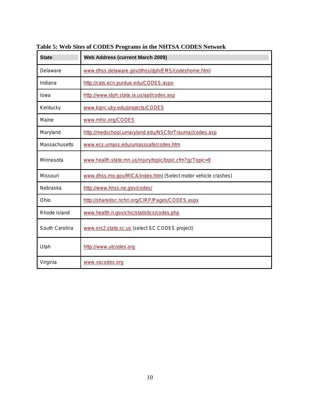| <b>State</b>         | <b>Web Address (current March 2009)</b>                        |
|----------------------|----------------------------------------------------------------|
| Delaware             | www.dhss.delaware.gov/dhss/dph/EMS/codeshome.html              |
| Indiana              | http://cats.ecn.purdue.edu/CODES.aspx                          |
| Iowa                 | http://www.idph.state.ia.us/apl/codes.asp                      |
| Kentucky             | www.kiprc.uky.edu/projects/CODES                               |
| Maine                | www.mhic.org/CODES                                             |
| Maryland             | http://medschool.umaryland.edu/NSCforTrauma//codes.asp         |
| <b>Massachusetts</b> | www.ecs.umass.edu/umasssafe/codes.htm                          |
| Minnesota            | www.health.state.mn.us/injury/topic/topic.cfm?gcTopic=9        |
| Missouri             | www.dhss.mo.gov/MICA/index.html (Select motor vehicle crashes) |
| Nebraska             | http://www.hhss.ne.gov/codes/                                  |
| Ohio                 | http://sharedoc.nchri.org/CIRP/Pages/CODES.aspx                |
| Rhode Island         | www.health.ri.gov/chic/statistics/codes.php                    |
| South Carolina       | www.ors2.state.sc.us (select SC CODES project)                 |
| Utah                 | http://www.utcodes.org                                         |
| Virginia             | www.vacodes.org                                                |

**Table 5: Web Sites of CODES Programs in the NHTSA CODES Network**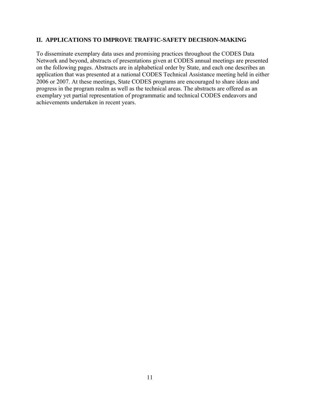#### <span id="page-13-0"></span>**II. APPLICATIONS TO IMPROVE TRAFFIC-SAFETY DECISION-MAKING**

To disseminate exemplary data uses and promising practices throughout the CODES Data Network and beyond, abstracts of presentations given at CODES annual meetings are presented on the following pages. Abstracts are in alphabetical order by State, and each one describes an application that was presented at a national CODES Technical Assistance meeting held in either 2006 or 2007. At these meetings, State CODES programs are encouraged to share ideas and progress in the program realm as well as the technical areas. The abstracts are offered as an exemplary yet partial representation of programmatic and technical CODES endeavors and achievements undertaken in recent years.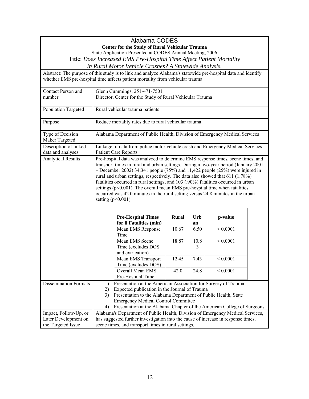|                                            |                                                           | Alabama CODES                                                                                                    |              |      |               |  |
|--------------------------------------------|-----------------------------------------------------------|------------------------------------------------------------------------------------------------------------------|--------------|------|---------------|--|
|                                            |                                                           | <b>Center for the Study of Rural Vehicular Trauma</b>                                                            |              |      |               |  |
|                                            | State Application Presented at CODES Annual Meeting, 2006 |                                                                                                                  |              |      |               |  |
|                                            |                                                           | Title: Does Increased EMS Pre-Hospital Time Affect Patient Mortality                                             |              |      |               |  |
|                                            |                                                           | In Rural Motor Vehicle Crashes? A Statewide Analysis.                                                            |              |      |               |  |
|                                            |                                                           | Abstract: The purpose of this study is to link and analyze Alabama's statewide pre-hospital data and identify    |              |      |               |  |
|                                            |                                                           | whether EMS pre-hospital time affects patient mortality from vehicular trauma.                                   |              |      |               |  |
| Contact Person and                         |                                                           | Glenn Cummings, 251-471-7501                                                                                     |              |      |               |  |
| number                                     |                                                           | Director, Center for the Study of Rural Vehicular Trauma                                                         |              |      |               |  |
| Population Targeted                        |                                                           | Rural vehicular trauma patients                                                                                  |              |      |               |  |
| Purpose                                    |                                                           | Reduce mortality rates due to rural vehicular trauma                                                             |              |      |               |  |
| Type of Decision                           |                                                           | Alabama Department of Public Health, Division of Emergency Medical Services                                      |              |      |               |  |
| Maker Targeted                             |                                                           |                                                                                                                  |              |      |               |  |
| Description of linked<br>data and analyses |                                                           | Linkage of data from police motor vehicle crash and Emergency Medical Services<br><b>Patient Care Reports</b>    |              |      |               |  |
| <b>Analytical Results</b>                  |                                                           | Pre-hospital data was analyzed to determine EMS response times, scene times, and                                 |              |      |               |  |
|                                            |                                                           | transport times in rural and urban settings. During a two-year period (January 2001                              |              |      |               |  |
|                                            |                                                           | $-$ December 2002) 34,341 people (75%) and 11,422 people (25%) were injured in                                   |              |      |               |  |
|                                            |                                                           | rural and urban settings, respectively. The data also showed that 611 (1.78%)                                    |              |      |               |  |
|                                            |                                                           | fatalities occurred in rural settings, and 103 (.90%) fatalities occurred in urban                               |              |      |               |  |
|                                            |                                                           | settings $(p<0.001)$ . The overall mean EMS pre-hospital time when fatalities                                    |              |      |               |  |
|                                            |                                                           | occurred was 42.0 minutes in the rural setting versus 24.8 minutes in the urban                                  |              |      |               |  |
|                                            |                                                           | setting $(p<0.001)$ .                                                                                            |              |      |               |  |
|                                            |                                                           |                                                                                                                  |              |      |               |  |
|                                            |                                                           | <b>Pre-Hospital Times</b>                                                                                        | <b>Rural</b> | Urb  | p-value       |  |
|                                            |                                                           | for Il Fatalities (min)                                                                                          |              | an   |               |  |
|                                            |                                                           | Mean EMS Response<br>Time                                                                                        | 10.67        | 6.50 | ${}< 0.0001$  |  |
|                                            |                                                           | Mean EMS Scene                                                                                                   | 18.87        | 10.8 | ${}< 0.0001$  |  |
|                                            |                                                           | Time (excludes DOS                                                                                               |              | 3    |               |  |
|                                            |                                                           | and extrication)                                                                                                 |              |      |               |  |
|                                            |                                                           | Mean EMS Transport                                                                                               | 12.45        | 7.43 | ${}_{0.0001}$ |  |
|                                            |                                                           | Time (excludes DOS)                                                                                              |              |      |               |  |
|                                            |                                                           | Overall Mean EMS                                                                                                 | 42.0         | 24.8 | ${}< 0.0001$  |  |
|                                            |                                                           | Pre-Hospital Time                                                                                                |              |      |               |  |
| <b>Dissemination Formats</b>               | 1)<br>2)                                                  | Presentation at the American Association for Surgery of Trauma.<br>Expected publication in the Journal of Trauma |              |      |               |  |
|                                            | 3)                                                        | Presentation to the Alabama Department of Public Health, State                                                   |              |      |               |  |
|                                            |                                                           | <b>Emergency Medical Control Committee</b>                                                                       |              |      |               |  |
|                                            | 4)                                                        | Presentation at the Alabama Chapter of the American College of Surgeons.                                         |              |      |               |  |
| Impact, Follow-Up, or                      |                                                           | Alabama's Department of Public Health, Division of Emergency Medical Services,                                   |              |      |               |  |
| Later Development on                       |                                                           | has suggested further investigation into the cause of increase in response times,                                |              |      |               |  |
| the Targeted Issue                         |                                                           | scene times, and transport times in rural settings.                                                              |              |      |               |  |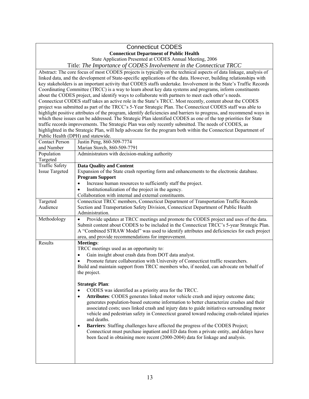#### Connecticut CODES **Connecticut Department of Public Health**

State Application Presented at CODES Annual Meeting, 2006

Title: *The Importance of CODES Involvement in the Connecticut TRCC* 

 Abstract: The core focus of most CODES projects is typically on the technical aspects of data linkage, analysis of linked data, and the development of State-specific applications of the data. However, building relationships with key stakeholders is an important activity that CODES staffs undertake. Involvement in the State's Traffic Records Coordinating Committee (TRCC) is a way to learn about key data systems and programs, inform constituents about the CODES project, and identify ways to collaborate with partners to meet each other's needs. Connecticut CODES staff takes an active role in the State's TRCC. Most recently, content about the CODES project was submitted as part of the TRCC's 5-Year Strategic Plan. The Connecticut CODES staff was able to highlight positive attributes of the program, identify deficiencies and barriers to progress, and recommend ways in which these issues can be addressed. The Strategic Plan identified CODES as one of the top priorities for State traffic records improvements. The Strategic Plan was only recently submitted. The needs of CODES, as highlighted in the Strategic Plan, will help advocate for the program both within the Connecticut Department of Public Health (DPH) and statewide.

| <b>Contact Person</b> | Justin Peng, 860-509-7774                                                                    |
|-----------------------|----------------------------------------------------------------------------------------------|
| and Number            | Marian Storch, 860-509-7791                                                                  |
| Population            | Administrators with decision-making authority                                                |
| Targeted              |                                                                                              |
| <b>Traffic Safety</b> | <b>Data Quality and Content</b>                                                              |
| <b>Issue Targeted</b> | Expansion of the State crash reporting form and enhancements to the electronic database.     |
|                       | <b>Program Support</b>                                                                       |
|                       | Increase human resources to sufficiently staff the project.<br>$\bullet$                     |
|                       | Institutionalization of the project in the agency.<br>$\bullet$                              |
|                       | Collaboration with internal and external constituents.                                       |
| Targeted              | Connecticut TRCC members, Connecticut Department of Transportation Traffic Records           |
| Audience              | Section and Transportation Safety Division, Connecticut Department of Public Health          |
|                       | Administration.                                                                              |
| Methodology           | Provide updates at TRCC meetings and promote the CODES project and uses of the data.         |
|                       | Submit content about CODES to be included in the Connecticut TRCC's 5-year Strategic Plan.   |
|                       | A "Combined STRAW Model" was used to identify attributes and deficiencies for each project   |
|                       | area, and provide recommendations for improvement.                                           |
| Results               | Meetings:                                                                                    |
|                       | TRCC meetings used as an opportunity to:                                                     |
|                       | Gain insight about crash data from DOT data analyst.<br>$\bullet$                            |
|                       | Promote future collaboration with University of Connecticut traffic researchers.             |
|                       | Build and maintain support from TRCC members who, if needed, can advocate on behalf of       |
|                       | the project.                                                                                 |
|                       |                                                                                              |
|                       | <b>Strategic Plan:</b>                                                                       |
|                       | CODES was identified as a priority area for the TRCC.<br>$\bullet$                           |
|                       | Attributes: CODES generates linked motor vehicle crash and injury outcome data;<br>$\bullet$ |
|                       | generates population-based outcome information to better characterize crashes and their      |
|                       | associated costs; uses linked crash and injury data to guide initiatives surrounding motor   |
|                       | vehicle and pedestrian safety in Connecticut geared toward reducing crash-related injuries   |
|                       | and deaths.                                                                                  |
|                       | Barriers: Staffing challenges have affected the progress of the CODES Project;<br>٠          |
|                       | Connecticut must purchase inpatient and ED data from a private entity, and delays have       |
|                       | been faced in obtaining more recent (2000-2004) data for linkage and analysis.               |
|                       |                                                                                              |
|                       |                                                                                              |
|                       |                                                                                              |
|                       |                                                                                              |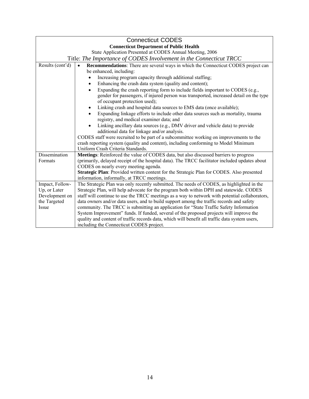| <b>Connecticut CODES</b>                       |                                                                                                |  |  |
|------------------------------------------------|------------------------------------------------------------------------------------------------|--|--|
| <b>Connecticut Department of Public Health</b> |                                                                                                |  |  |
|                                                | State Application Presented at CODES Annual Meeting, 2006                                      |  |  |
|                                                | Title: The Importance of CODES Involvement in the Connecticut TRCC                             |  |  |
| Results (cont'd)                               | Recommendations: There are several ways in which the Connecticut CODES project can             |  |  |
|                                                | be enhanced, including:                                                                        |  |  |
|                                                | Increasing program capacity through additional staffing;                                       |  |  |
|                                                | Enhancing the crash data system (quality and content);<br>$\bullet$                            |  |  |
|                                                | Expanding the crash reporting form to include fields important to CODES (e.g.,                 |  |  |
|                                                | gender for passengers, if injured person was transported, increased detail on the type         |  |  |
|                                                | of occupant protection used);                                                                  |  |  |
|                                                | Linking crash and hospital data sources to EMS data (once available);                          |  |  |
|                                                | Expanding linkage efforts to include other data sources such as mortality, trauma              |  |  |
|                                                | registry, and medical examiner data; and                                                       |  |  |
|                                                | Linking ancillary data sources (e.g., DMV driver and vehicle data) to provide                  |  |  |
|                                                | additional data for linkage and/or analysis.                                                   |  |  |
|                                                | CODES staff were recruited to be part of a subcommittee working on improvements to the         |  |  |
|                                                | crash reporting system (quality and content), including conforming to Model Minimum            |  |  |
|                                                | Uniform Crash Criteria Standards.                                                              |  |  |
| <b>Dissemination</b>                           | Meetings: Reinforced the value of CODES data, but also discussed barriers to progress          |  |  |
| Formats                                        | (primarily, delayed receipt of the hospital data). The TRCC facilitator included updates about |  |  |
|                                                | CODES on nearly every meeting agenda.                                                          |  |  |
|                                                | Strategic Plan: Provided written content for the Strategic Plan for CODES. Also presented      |  |  |
|                                                | information, informally, at TRCC meetings.                                                     |  |  |
| Impact, Follow-                                | The Strategic Plan was only recently submitted. The needs of CODES, as highlighted in the      |  |  |
| Up, or Later                                   | Strategic Plan, will help advocate for the program both within DPH and statewide. CODES        |  |  |
| Development on                                 | staff will continue to use the TRCC meetings as a way to network with potential collaborators, |  |  |
| the Targeted                                   | data owners and/or data users, and to build support among the traffic records and safety       |  |  |
| Issue                                          | community. The TRCC is submitting an application for "State Traffic Safety Information"        |  |  |
|                                                | System Improvement" funds. If funded, several of the proposed projects will improve the        |  |  |
|                                                | quality and content of traffic records data, which will benefit all traffic data system users, |  |  |
|                                                | including the Connecticut CODES project.                                                       |  |  |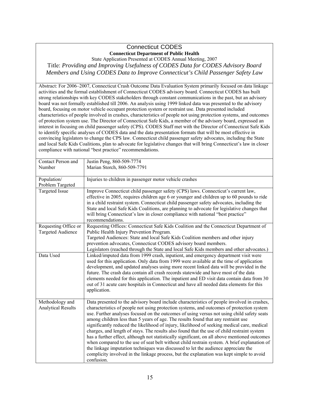## Connecticut CODES **Connecticut Department of Public Health**

State Application Presented at CODES Annual Meeting, 2007 Title: *Providing and Improving Usefulness of CODES Data for CODES Advisory Board Members and Using CODES Data to Improve Connecticut's Child Passenger Safety Law* 

 strong relationships with key CODES stakeholders through constant communications in the past, but an advisory board was not formally established till 2006. An analysis using 1999 linked data was presented to the advisory characteristics of people involved in crashes, characteristics of people not using protection systems, and outcomes Abstract: For 2006–2007, Connecticut Crash Outcome Data Evaluation System primarily focused on data linkage activities and the formal establishment of Connecticut CODES advisory board. Connecticut CODES has built board, focusing on motor vehicle occupant protection system or restraint use. Data presented included of protection system use. The Director of Connecticut Safe Kids, a member of the advisory board, expressed an interest in focusing on child passenger safety (CPS). CODES Staff met with the Director of Connecticut Safe Kids to identify specific analyses of CODES data and the data presentation formats that will be most effective in convincing legislators to change the CPS law. Connecticut child passenger safety advocates, including the State and local Safe Kids Coalitions, plan to advocate for legislative changes that will bring Connecticut's law in closer compliance with national "best practice" recommendations.

| Contact Person and                               | Justin Peng, 860-509-7774                                                                                                                                                                                                                                                                                                                                                                                                                                                                                                                                                                                                                                                                                                                                                                                                                                                                                                                                                 |
|--------------------------------------------------|---------------------------------------------------------------------------------------------------------------------------------------------------------------------------------------------------------------------------------------------------------------------------------------------------------------------------------------------------------------------------------------------------------------------------------------------------------------------------------------------------------------------------------------------------------------------------------------------------------------------------------------------------------------------------------------------------------------------------------------------------------------------------------------------------------------------------------------------------------------------------------------------------------------------------------------------------------------------------|
| Number                                           | Marian Storch, 860-509-7791                                                                                                                                                                                                                                                                                                                                                                                                                                                                                                                                                                                                                                                                                                                                                                                                                                                                                                                                               |
|                                                  |                                                                                                                                                                                                                                                                                                                                                                                                                                                                                                                                                                                                                                                                                                                                                                                                                                                                                                                                                                           |
| Population/                                      | Injuries to children in passenger motor vehicle crashes                                                                                                                                                                                                                                                                                                                                                                                                                                                                                                                                                                                                                                                                                                                                                                                                                                                                                                                   |
| Problem Targeted                                 |                                                                                                                                                                                                                                                                                                                                                                                                                                                                                                                                                                                                                                                                                                                                                                                                                                                                                                                                                                           |
| <b>Targeted Issue</b>                            | Improve Connecticut child passenger safety (CPS) laws. Connecticut's current law,<br>effective in 2005, requires children age 6 or younger and children up to 60 pounds to ride<br>in a child restraint system. Connecticut child passenger safety advocates, including the<br>State and local Safe Kids Coalitions, are planning to advocate for legislative changes that<br>will bring Connecticut's law in closer compliance with national "best practice"<br>recommendations.                                                                                                                                                                                                                                                                                                                                                                                                                                                                                         |
| Requesting Office or<br><b>Targeted Audience</b> | Requesting Offices: Connecticut Safe Kids Coalition and the Connecticut Department of<br>Public Health Injury Prevention Program.                                                                                                                                                                                                                                                                                                                                                                                                                                                                                                                                                                                                                                                                                                                                                                                                                                         |
|                                                  | Targeted Audiences: State and local Safe Kids Coalition members and other injury                                                                                                                                                                                                                                                                                                                                                                                                                                                                                                                                                                                                                                                                                                                                                                                                                                                                                          |
|                                                  | prevention advocates, Connecticut CODES advisory board members.                                                                                                                                                                                                                                                                                                                                                                                                                                                                                                                                                                                                                                                                                                                                                                                                                                                                                                           |
|                                                  | Legislators (reached through the State and local Safe Kids members and other advocates.)                                                                                                                                                                                                                                                                                                                                                                                                                                                                                                                                                                                                                                                                                                                                                                                                                                                                                  |
| Data Used                                        | Linked/imputed data from 1999 crash, inpatient, and emergency department visit were<br>used for this application. Only data from 1999 were available at the time of application<br>development, and updated analyses using more recent linked data will be provided in the<br>future. The crash data contain all crash records statewide and have most of the data<br>elements needed for this application. The inpatient and ED visit data contain data from 30<br>out of 31 acute care hospitals in Connecticut and have all needed data elements for this<br>application.                                                                                                                                                                                                                                                                                                                                                                                              |
| Methodology and<br><b>Analytical Results</b>     | Data presented to the advisory board include characteristics of people involved in crashes,<br>characteristics of people not using protection systems, and outcomes of protection system<br>use. Further analyses focused on the outcomes of using versus not using child safety seats<br>among children less than 5 years of age. The results found that any restraint use<br>significantly reduced the likelihood of injury, likelihood of seeking medical care, medical<br>charges, and length of stays. The results also found that the use of child restraint system<br>has a further effect, although not statistically significant, on all above mentioned outcomes<br>when compared to the use of seat belt without child restrain system. A brief explanation of<br>the linkage imputation techniques was discussed to let the audience appreciate the<br>complicity involved in the linkage process, but the explanation was kept simple to avoid<br>confusion. |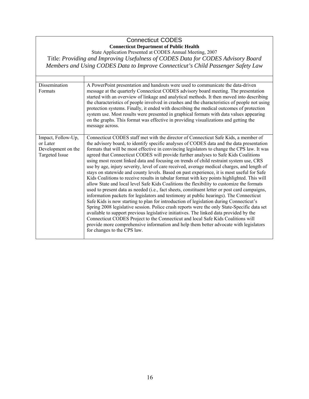## Connecticut CODES **Connecticut Department of Public Health**

State Application Presented at CODES Annual Meeting, 2007 Title: *Providing and Improving Usefulness of CODES Data for CODES Advisory Board Members and Using CODES Data to Improve Connecticut's Child Passenger Safety Law* 

| Dissemination<br>Formats                                                      | A PowerPoint presentation and handouts were used to communicate the data-driven<br>message at the quarterly Connecticut CODES advisory board meeting. The presentation<br>started with an overview of linkage and analytical methods. It then moved into describing<br>the characteristics of people involved in crashes and the characteristics of people not using<br>protection systems. Finally, it ended with describing the medical outcomes of protection<br>system use. Most results were presented in graphical formats with data values appearing<br>on the graphs. This format was effective in providing visualizations and getting the<br>message across.                                                                                                                                                                                                                                                                                                                                                                                                                                                                                                                                                                                                                                                                                                                                                                                                                                                                               |
|-------------------------------------------------------------------------------|------------------------------------------------------------------------------------------------------------------------------------------------------------------------------------------------------------------------------------------------------------------------------------------------------------------------------------------------------------------------------------------------------------------------------------------------------------------------------------------------------------------------------------------------------------------------------------------------------------------------------------------------------------------------------------------------------------------------------------------------------------------------------------------------------------------------------------------------------------------------------------------------------------------------------------------------------------------------------------------------------------------------------------------------------------------------------------------------------------------------------------------------------------------------------------------------------------------------------------------------------------------------------------------------------------------------------------------------------------------------------------------------------------------------------------------------------------------------------------------------------------------------------------------------------|
| Impact, Follow-Up,<br>or Later<br>Development on the<br><b>Targeted Issue</b> | Connecticut CODES staff met with the director of Connecticut Safe Kids, a member of<br>the advisory board, to identify specific analyses of CODES data and the data presentation<br>formats that will be most effective in convincing legislators to change the CPS law. It was<br>agreed that Connecticut CODES will provide further analyses to Safe Kids Coalitions<br>using most recent linked data and focusing on trends of child restraint system use, CRS<br>use by age, injury severity, level of care received, average medical charges, and length of<br>stays on statewide and county levels. Based on past experience, it is most useful for Safe<br>Kids Coalitions to receive results in tabular format with key points highlighted. This will<br>allow State and local level Safe Kids Coalitions the flexibility to customize the formats<br>used to present data as needed (i.e., fact sheets, constituent letter or post card campaigns,<br>information packets for legislators and testimony at public hearings). The Connecticut<br>Safe Kids is now starting to plan for introduction of legislation during Connecticut's<br>Spring 2008 legislative session. Police crash reports were the only State-Specific data set<br>available to support previous legislative initiatives. The linked data provided by the<br>Connecticut CODES Project to the Connecticut and local Safe Kids Coalitions will<br>provide more comprehensive information and help them better advocate with legislators<br>for changes to the CPS law. |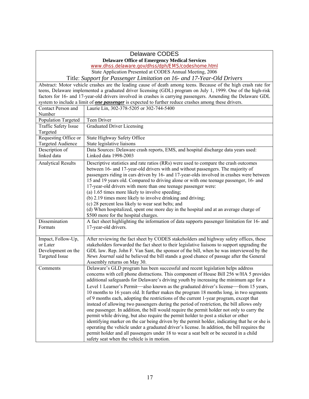## Delaware CODES **Delaware Office of Emergency Medical Services**  www.dhss.delaware.gov/dhss/dph/EMS/codeshome.html State Application Presented at CODES Annual Meeting, 2006 Title: *Support for Passenger Limitation on 16- and 17-Year-Old Drivers*

 teens, Delaware implemented a graduated driver licensing (GDL) program on July 1, 1999. One of the high-risk Abstract: Motor vehicle crashes are the leading cause of death among teens. Because of the high crash rate for factors for 16- and 17-year-old drivers involved in crashes is carrying passengers. Amending the Delaware GDL system to include a limit of *one passenger* is expected to further reduce crashes among these drivers.

| Contact Person and<br>Number                                                  | Laurie Lin, 302-378-5205 or 302-744-5400                                                                                                                                                                                                                                                                                                                                                                                                                                                                                                                                                                                                                                                                                                                                                                                                                                                                                                                                                                                                                                                                                                                                     |
|-------------------------------------------------------------------------------|------------------------------------------------------------------------------------------------------------------------------------------------------------------------------------------------------------------------------------------------------------------------------------------------------------------------------------------------------------------------------------------------------------------------------------------------------------------------------------------------------------------------------------------------------------------------------------------------------------------------------------------------------------------------------------------------------------------------------------------------------------------------------------------------------------------------------------------------------------------------------------------------------------------------------------------------------------------------------------------------------------------------------------------------------------------------------------------------------------------------------------------------------------------------------|
| Population Targeted                                                           | Teen Driver                                                                                                                                                                                                                                                                                                                                                                                                                                                                                                                                                                                                                                                                                                                                                                                                                                                                                                                                                                                                                                                                                                                                                                  |
| Traffic Safety Issue<br>Targeted                                              | <b>Graduated Driver Licensing</b>                                                                                                                                                                                                                                                                                                                                                                                                                                                                                                                                                                                                                                                                                                                                                                                                                                                                                                                                                                                                                                                                                                                                            |
| Requesting Office or<br>Targeted Audience                                     | State Highway Safety Office<br>State legislative liaisons                                                                                                                                                                                                                                                                                                                                                                                                                                                                                                                                                                                                                                                                                                                                                                                                                                                                                                                                                                                                                                                                                                                    |
| Description of<br>linked data                                                 | Data Sources: Delaware crash reports, EMS, and hospital discharge data years used:<br>Linked data 1998-2003                                                                                                                                                                                                                                                                                                                                                                                                                                                                                                                                                                                                                                                                                                                                                                                                                                                                                                                                                                                                                                                                  |
| <b>Analytical Results</b>                                                     | Descriptive statistics and rate ratios (RRs) were used to compare the crash outcomes<br>between 16- and 17-year-old drivers with and without passengers. The majority of<br>passengers riding in cars driven by 16- and 17-year-olds involved in crashes were between<br>15 and 19 years old. Compared to driving alone or with one teenage passenger, 16- and<br>17-year-old drivers with more than one teenage passenger were:<br>(a) 1.65 times more likely to involve speeding;<br>(b) 2.19 times more likely to involve drinking and driving;<br>(c) 28 percent less likely to wear seat belts; and<br>(d) When hospitalized, spent one more day in the hospital and at an average charge of<br>\$500 more for the hospital charges.                                                                                                                                                                                                                                                                                                                                                                                                                                    |
| Dissemination<br>Formats                                                      | A fact sheet highlighting the information of data supports passenger limitation for 16- and<br>17-year-old drivers.                                                                                                                                                                                                                                                                                                                                                                                                                                                                                                                                                                                                                                                                                                                                                                                                                                                                                                                                                                                                                                                          |
| Impact, Follow-Up,<br>or Later<br>Development on the<br><b>Targeted Issue</b> | After reviewing the fact sheet by CODES stakeholders and highway safety offices, these<br>stakeholders forwarded the fact sheet to their legislative liaisons to support upgrading the<br>GDL law. Rep. John F. Van Sant, the sponsor of the bill, when he was interviewed by the<br>News Journal said he believed the bill stands a good chance of passage after the General<br>Assembly returns on May 30.                                                                                                                                                                                                                                                                                                                                                                                                                                                                                                                                                                                                                                                                                                                                                                 |
| Comments                                                                      | Delaware's GLD program has been successful and recent legislation helps address<br>concerns with cell phone distractions. This component of House Bill 256 w/HA 5 provides<br>additional safeguards for Delaware's driving youth by increasing the minimum age for a<br>Level 1 Learner's Permit—also known as the graduated driver's license—from 15 years,<br>10 months to 16 years old. It further makes the program 18 months long, in two segments<br>of 9 months each, adopting the restrictions of the current 1-year program, except that<br>instead of allowing two passengers during the period of restriction, the bill allows only<br>one passenger. In addition, the bill would require the permit holder not only to carry the<br>permit while driving, but also require the permit holder to post a sticker or other<br>identifying marker on the car being driven by the permit holder, indicating that he or she is<br>operating the vehicle under a graduated driver's license. In addition, the bill requires the<br>permit holder and all passengers under 18 to wear a seat belt or be secured in a child<br>safety seat when the vehicle is in motion. |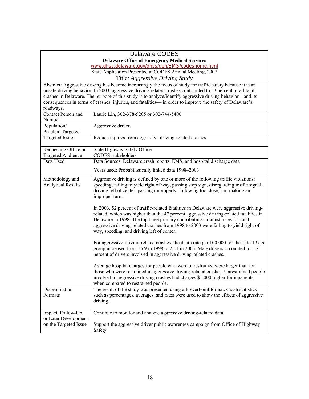#### Delaware CODES

**Delaware Office of Emergency Medical Services** 

www.dhss.delaware.gov/dhss/dph/EMS/codeshome.html State Application Presented at CODES Annual Meeting, 2007

Title: *Aggressive Driving Study* 

 unsafe driving behavior. In 2003, aggressive driving-related crashes contributed to 53 percent of all fatal Abstract: Aggressive driving has become increasingly the focus of study for traffic safety because it is an crashes in Delaware. The purpose of this study is to analyze/identify aggressive driving behavior—and its consequences in terms of crashes, injuries, and fatalities— in order to improve the safety of Delaware's roadways.

| Contact Person and                           | Laurie Lin, 302-378-5205 or 302-744-5400                                                                                                                                                                                                                                                                                                                                                              |
|----------------------------------------------|-------------------------------------------------------------------------------------------------------------------------------------------------------------------------------------------------------------------------------------------------------------------------------------------------------------------------------------------------------------------------------------------------------|
| Number                                       |                                                                                                                                                                                                                                                                                                                                                                                                       |
| Population/                                  | Aggressive drivers                                                                                                                                                                                                                                                                                                                                                                                    |
| Problem Targeted                             |                                                                                                                                                                                                                                                                                                                                                                                                       |
| <b>Targeted Issue</b>                        | Reduce injuries from aggressive driving-related crashes                                                                                                                                                                                                                                                                                                                                               |
| Requesting Office or                         | State Highway Safety Office                                                                                                                                                                                                                                                                                                                                                                           |
| <b>Targeted Audience</b>                     | <b>CODES</b> stakeholders                                                                                                                                                                                                                                                                                                                                                                             |
| Data Used                                    | Data Sources: Delaware crash reports, EMS, and hospital discharge data                                                                                                                                                                                                                                                                                                                                |
|                                              | Years used: Probabilistically linked data 1998-2003                                                                                                                                                                                                                                                                                                                                                   |
| Methodology and<br><b>Analytical Results</b> | Aggressive driving is defined by one or more of the following traffic violations:<br>speeding, failing to yield right of way, passing stop sign, disregarding traffic signal,<br>driving left of center, passing improperly, following too close, and making an<br>improper turn.                                                                                                                     |
|                                              | In 2003, 52 percent of traffic-related fatalities in Delaware were aggressive driving-<br>related, which was higher than the 47 percent aggressive driving-related fatalities in<br>Delaware in 1998. The top three primary contributing circumstances for fatal<br>aggressive driving-related crashes from 1998 to 2003 were failing to yield right of<br>way, speeding, and driving left of center. |
|                                              | For aggressive-driving-related crashes, the death rate per 100,000 for the 15to 19 age<br>group increased from 16.9 in 1998 to 25.1 in 2003. Male drivers accounted for 57<br>percent of drivers involved in aggressive driving-related crashes.                                                                                                                                                      |
|                                              | Average hospital charges for people who were unrestrained were larger than for<br>those who were restrained in aggressive driving-related crashes. Unrestrained people<br>involved in aggressive driving crashes had charges \$1,000 higher for inpatients<br>when compared to restrained people.                                                                                                     |
| Dissemination<br>Formats                     | The result of the study was presented using a PowerPoint format. Crash statistics<br>such as percentages, averages, and rates were used to show the effects of aggressive<br>driving.                                                                                                                                                                                                                 |
| Impact, Follow-Up,                           | Continue to monitor and analyze aggressive driving-related data                                                                                                                                                                                                                                                                                                                                       |
| or Later Development                         |                                                                                                                                                                                                                                                                                                                                                                                                       |
| on the Targeted Issue                        | Support the aggressive driver public awareness campaign from Office of Highway<br>Safety                                                                                                                                                                                                                                                                                                              |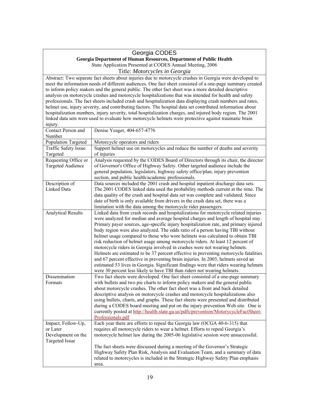## Georgia CODES

**Georgia Department of Human Resources, Department of Public Health** 

State Application Presented at CODES Annual Meeting, 2006

Title: *Motorcycles in Georgia* 

Abstract: Two separate fact sheets about injuries due to motorcycle crashes in Georgia were developed to meet the information needs of different audiences. One fact sheet consisted of a one-page summary created to inform policy makers and the general public. The other fact sheet was a more detailed descriptive analysis on motorcycle crashes and motorcycle hospitalizations that was intended for health and safety professionals. The fact sheets included crash and hospitalization data displaying crash numbers and rates, helmet use, injury severity, and contributing factors. The hospital data set contributed information about hospitalization numbers, injury severity, total hospitalization charges, and injured body region. The 2001 linked data sets were used to evaluate how motorcycle helmets were protective against traumatic brain injury.

| Contact Person and        | Denise Yeager, 404-657-4776                                                                                                                                  |
|---------------------------|--------------------------------------------------------------------------------------------------------------------------------------------------------------|
| Number                    |                                                                                                                                                              |
| Population Targeted       | Motorcycle operators and riders                                                                                                                              |
| Traffic Safety Issue      | Support helmet use on motorcycles and reduce the number of deaths and severity                                                                               |
| Targeted                  | of injuries                                                                                                                                                  |
| Requesting Office or      | Analysis requested by the CODES Board of Directors through its chair, the director                                                                           |
| <b>Targeted Audience</b>  | of Governor's Office of Highway Safety. Other targeted audience include the                                                                                  |
|                           | general population, legislators, highway safety office/plan, injury prevention                                                                               |
|                           | section, and public health/academic professionals.                                                                                                           |
| Description of            | Data sources included the 2001 crash and hospital inpatient discharge data sets.                                                                             |
| Linked Data               | The 2001 CODES linked data used the probability methods current at the time. The                                                                             |
|                           | data quality of the crash and hospital data set was complete and validated. Since                                                                            |
|                           | date of birth is only available from drivers in the crash data set, there was a                                                                              |
|                           | limitation with the data among the motorcycle rider passengers.                                                                                              |
| <b>Analytical Results</b> | Linked data from crash records and hospitalizations for motorcycle related injuries                                                                          |
|                           | were analyzed for median and average hospital charges and length of hospital stay.                                                                           |
|                           | Primary payer sources, age-specific injury hospitalization rate, and primary injured                                                                         |
|                           | body region were also analyzed. The odds ratio of a person having TBI without                                                                                |
|                           | helmet usage compared to those who wore helmets was calculated to obtain TBI                                                                                 |
|                           | risk reduction of helmet usage among motorcycle riders. At least 12 percent of<br>motorcycle riders in Georgia involved in crashes were not wearing helmets. |
|                           | Helmets are estimated to be 37 percent effective in preventing motorcycle fatalities                                                                         |
|                           | and 67 percent effective in preventing brain injuries. In 2003, helmets saved an                                                                             |
|                           | estimated 53 lives in Georgia. Significant findings were that riders wearing helmets                                                                         |
|                           | were 30 percent less likely to have TBI than riders not wearing helmets.                                                                                     |
| Dissemination             | Two fact sheets were developed. One fact sheet consisted of a one-page summary                                                                               |
| Formats                   | with bullets and two pie charts to inform policy makers and the general public                                                                               |
|                           | about motorcycle crashes. The other fact sheet was a front and back detailed                                                                                 |
|                           | descriptive analysis on motorcycle crashes and motorcycle hospitalizations also                                                                              |
|                           | using bullets, charts, and graphs. These fact sheets were presented and distributed                                                                          |
|                           | during a CODES board meeting and put on the injury prevention Web site. One is                                                                               |
|                           | currently posted at http://health.state.ga.us/pdfs/prevention/MotorycycleFactSheet-                                                                          |
|                           | Professionals.pdf                                                                                                                                            |
| Impact, Follow-Up,        | Each year there are efforts to repeal the Georgia law (OCGA 40-6-315) that                                                                                   |
| or Later                  | requires all motorcycle riders to wear a helmet. Efforts to repeal Georgia's                                                                                 |
| Development on the        | motorcycle helmet law during the 2005-06 legislative session were unsuccessful.                                                                              |
| <b>Targeted Issue</b>     |                                                                                                                                                              |
|                           | The fact sheets were discussed during a meeting of the Governor's Strategic                                                                                  |
|                           | Highway Safety Plan Risk, Analysis and Evaluation Team, and a summary of data                                                                                |
|                           | related to motorcycles is included in the Strategic Highway Safety Plan emphasis                                                                             |
|                           | area.                                                                                                                                                        |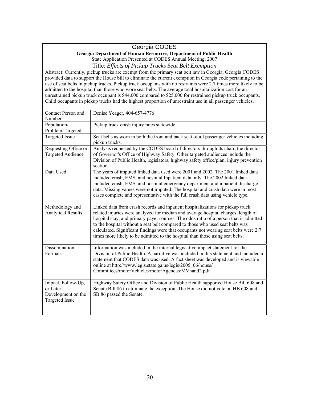#### Georgia CODES

#### **Georgia Department of Human Resources, Department of Public Health**

State Application Presented at CODES Annual Meeting, 2007 Title: *Effects of Pickup Trucks Seat Belt Exemption* 

 use of seat belts in pickup trucks. Pickup truck occupants with no restraints were 2.7 times more likely to be Child occupants in pickup trucks had the highest proportion of unrestraint use in all passenger vehicles. Abstract: Currently, pickup trucks are exempt from the primary seat belt law in Georgia. Georgia CODES provided data to support the House bill to eliminate the current exemption in Georgia code pertaining to the admitted to the hospital than those who wore seat belts. The average total hospitalization cost for an unrestrained pickup truck occupant is \$44,000 compared to \$25,000 for restrained pickup truck occupants.

| Contact Person and<br>Number                                                  | Denise Yeager, 404-657-4776                                                                                                                                                                                                                                                                                                                                                                                                                                                                                            |
|-------------------------------------------------------------------------------|------------------------------------------------------------------------------------------------------------------------------------------------------------------------------------------------------------------------------------------------------------------------------------------------------------------------------------------------------------------------------------------------------------------------------------------------------------------------------------------------------------------------|
| Population/<br>Problem Targeted                                               | Pickup truck crash injury rates statewide.                                                                                                                                                                                                                                                                                                                                                                                                                                                                             |
| <b>Targeted Issue</b>                                                         | Seat belts as worn in both the front and back seat of all passenger vehicles including<br>pickup trucks.                                                                                                                                                                                                                                                                                                                                                                                                               |
| Requesting Office or<br><b>Targeted Audience</b>                              | Analysis requested by the CODES board of directors through its chair, the director<br>of Governor's Office of Highway Safety. Other targeted audiences include the<br>Division of Public Health, legislators, highway safety office/plan, injury prevention<br>section.                                                                                                                                                                                                                                                |
| Data Used                                                                     | The years of imputed linked data used were 2001 and 2002. The 2001 linked data<br>included crash, EMS, and hospital Inpatient data only. The 2002 linked data<br>included crash, EMS, and hospital emergency department and inpatient discharge<br>data. Missing values were not imputed. The hospital and crash data were in most<br>cases complete and representative with the full crash data using vehicle type.                                                                                                   |
| Methodology and<br><b>Analytical Results</b>                                  | Linked data from crash records and inpatient hospitalizations for pickup truck<br>related injuries were analyzed for median and average hospital charges, length of<br>hospital stay, and primary payer sources. The odds ratio of a person that is admitted<br>to the hospital without a seat belt compared to those who used seat belts was<br>calculated. Significant findings were that occupants not wearing seat belts were 2.7<br>times more likely to be admitted to the hospital than those using seat belts. |
| Dissemination<br>Formats                                                      | Information was included in the internal legislative impact statement for the<br>Division of Public Health. A narrative was included in this statement and included a<br>statement that CODES data was used. A fact sheet was developed and is viewable<br>online at http://www.legis.state.ga.us/legis/2005 06/house/<br>Committees/motorVehicles/motorAgendas/MVhand2.pdf                                                                                                                                            |
| Impact, Follow-Up,<br>or Later<br>Development on the<br><b>Targeted Issue</b> | Highway Safety Office and Division of Public Health supported House Bill 608 and<br>Senate Bill 86 to eliminate the exception. The House did not vote on HB 608 and<br>SB 86 passed the Senate.                                                                                                                                                                                                                                                                                                                        |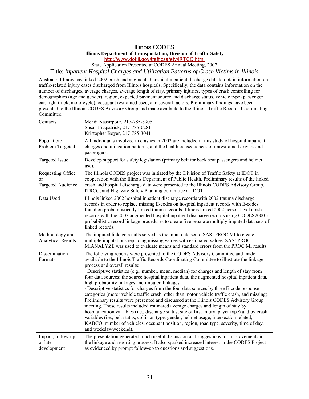## Illinois CODES

#### **Illinois Department of Transportation, Division of Traffic Safety**

http://www.dot.il.gov/trafficsafety/IRTCC.html

State Application Presented at CODES Annual Meeting, 2007

Title: *Inpatient Hospital Charges and Utilization Patterns of Crash Victims in Illinois* 

 car, light truck, motorcycle), occupant restrained used, and several factors. Preliminary findings have been Abstract: Illinois has linked 2002 crash and augmented hospital inpatient discharge data to obtain information on traffic-related injury cases discharged from Illinois hospitals. Specifically, the data contains information on the number of discharges, average charges, average length of stay, primary injuries, types of crash controlling for demographics (age and gender), region, expected payment source and discharge status, vehicle type (passenger presented to the Illinois CODES Advisory Group and made available to the Illinois Traffic Records Coordinating Committee.

| Contacts                                            | Mehdi Nassirpour, 217-785-8905<br>Susan Fitzpatrick, 217-785-0281<br>Kristopher Boyer, 217-785-3041                                                                                                                                                                                                                                                                                                                                                                                                                                                                                                                                                                                                                                                                                                                                                                                                                                                                                                                                                                                                                                                                |
|-----------------------------------------------------|--------------------------------------------------------------------------------------------------------------------------------------------------------------------------------------------------------------------------------------------------------------------------------------------------------------------------------------------------------------------------------------------------------------------------------------------------------------------------------------------------------------------------------------------------------------------------------------------------------------------------------------------------------------------------------------------------------------------------------------------------------------------------------------------------------------------------------------------------------------------------------------------------------------------------------------------------------------------------------------------------------------------------------------------------------------------------------------------------------------------------------------------------------------------|
| Population/<br>Problem Targeted                     | All individuals involved in crashes in 2002 are included in this study of hospital inpatient<br>charges and utilization patterns, and the health consequences of unrestrained drivers and<br>passengers.                                                                                                                                                                                                                                                                                                                                                                                                                                                                                                                                                                                                                                                                                                                                                                                                                                                                                                                                                           |
| <b>Targeted Issue</b>                               | Develop support for safety legislation (primary belt for back seat passengers and helmet<br>use).                                                                                                                                                                                                                                                                                                                                                                                                                                                                                                                                                                                                                                                                                                                                                                                                                                                                                                                                                                                                                                                                  |
| Requesting Office<br>or<br><b>Targeted Audience</b> | The Illinois CODES project was initiated by the Division of Traffic Safety at IDOT in<br>cooperation with the Illinois Department of Public Health. Preliminary results of the linked<br>crash and hospital discharge data were presented to the Illinois CODES Advisory Group,<br>ITRCC, and Highway Safety Planning committee at IDOT.                                                                                                                                                                                                                                                                                                                                                                                                                                                                                                                                                                                                                                                                                                                                                                                                                           |
| Data Used                                           | Illinois linked 2002 hospital inpatient discharge records with 2002 trauma discharge<br>records in order to replace missing E-codes on hospital inpatient records with E-codes<br>found on probabilistically linked trauma records. Illinois linked 2002 person level crash<br>records with the 2002 augmented hospital inpatient discharge records using CODES2000's<br>probabilistic record linkage procedures to create five separate multiply imputed data sets of<br>linked records.                                                                                                                                                                                                                                                                                                                                                                                                                                                                                                                                                                                                                                                                          |
| Methodology and<br><b>Analytical Results</b>        | The imputed linkage results served as the input data set to SAS' PROC MI to create<br>multiple imputations replacing missing values with estimated values. SAS' PROC<br>MIANALYZE was used to evaluate means and standard errors from the PROC MI results.                                                                                                                                                                                                                                                                                                                                                                                                                                                                                                                                                                                                                                                                                                                                                                                                                                                                                                         |
| Dissemination<br>Formats                            | The following reports were presented to the CODES Advisory Committee and made<br>available to the Illinois Traffic Records Coordinating Committee to illustrate the linkage<br>process and overall results:<br>$\cdot$ Descriptive statistics (e.g., number, mean, median) for charges and length of stay from<br>four data sources: the source hospital inpatient data, the augmented hospital inpatient data,<br>high probability linkages and imputed linkages.<br>· Descriptive statistics for charges from the four data sources by three E-code response<br>categories (motor vehicle traffic crash, other than motor vehicle traffic crash, and missing).<br>Preliminary results were presented and discussed at the Illinois CODES Advisory Group<br>meeting. These results included estimated average charges and length of stay by<br>hospitalization variables (i.e., discharge status, site of first injury, payer type) and by crash<br>variables (i.e., belt status, collision type, gender, helmet usage, intersection related,<br>KABCO, number of vehicles, occupant position, region, road type, severity, time of day,<br>and weekday/weekend). |
| Impact, follow-up,<br>or later<br>development       | The presentation generated much useful discussion and suggestions for improvements in<br>the linkage and reporting process. It also sparked increased interest in the CODES Project<br>as evidenced by prompt follow-up to questions and suggestions.                                                                                                                                                                                                                                                                                                                                                                                                                                                                                                                                                                                                                                                                                                                                                                                                                                                                                                              |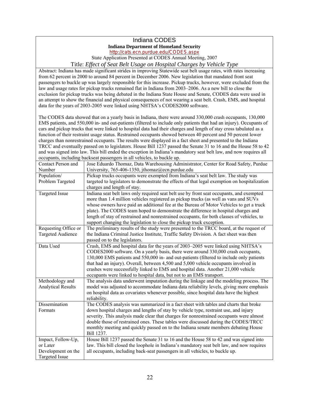# Indiana CODES **Indiana Department of Homeland Security**

http://cats.ecn.purdue.edu/CODES.aspx

State Application Presented at CODES Annual Meeting, 2007

Title: *Effect of Seat Belt Usage on Hospital Charges by Vehicle Type* 

 passengers to buckle up was largely responsible for this increase. Pickup trucks, however, were excluded from the Abstract: Indiana has made significant strides in improving Statewide seat belt usage rates, with rates increasing from 62 percent in 2000 to around 84 percent in December 2006. New legislation that mandated front seat law and usage rates for pickup trucks remained flat in Indiana from 2003–2006. As a new bill to close the exclusion for pickup trucks was being debated in the Indiana State House and Senate, CODES data were used in an attempt to show the financial and physical consequences of not wearing a seat belt. Crash, EMS, and hospital data for the years of 2003-2005 were linked using NHTSA's CODES2000 software.

 function of their restraint usage status. Restrained occupants showed between 40 percent and 50 percent lower The CODES data showed that on a yearly basis in Indiana, there were around 330,000 crash occupants, 130,000 EMS patients, and 550,000 in- and out-patients (filtered to include only patients that had an injury). Occupants of cars and pickup trucks that were linked to hospital data had their charges and length of stay cross tabulated as a charges than nonrestrained occupants. The results were displayed in a fact sheet and presented to the Indiana TRCC and eventually passed on to legislators. House Bill 1237 passed the Senate 31 to 16 and the House 58 to 42 and was signed into law. This bill ended the exception in Indiana's mandatory seat belt law, and now requires all occupants, including backseat passengers in all vehicles, to buckle up.

| Contact Person and        | Jose Eduardo Thomaz, Data Warehousing Administrator, Center for Road Safety, Purdue           |
|---------------------------|-----------------------------------------------------------------------------------------------|
| Number                    | University, 765-406-1350, jthomaz@ecn.purdue.edu                                              |
| Population/               | Pickup trucks occupants were exempted from Indiana's seat belt law. The study was             |
| Problem Targeted          | targeted to legislators to demonstrate the effects of that legal exemption on hospitalization |
|                           | charges and length of stay.                                                                   |
| <b>Targeted Issue</b>     | Indiana seat belt laws only required seat belt use by front seat occupants, and exempted      |
|                           | more than 1.4 million vehicles registered as pickup trucks (as well as vans and SUVs          |
|                           | whose owners have paid an additional fee at the Bureau of Motor Vehicles to get a truck       |
|                           | plate). The CODES team hoped to demonstrate the difference in hospital charges and            |
|                           | length of stay of restrained and nonrestrained occupants, for both classes of vehicles, to    |
|                           | support changing the legislation to close the pickup truck exception.                         |
| Requesting Office or      | The preliminary results of the study were presented to the TRCC board, at the request of      |
| <b>Targeted Audience</b>  | the Indiana Criminal Justice Institute, Traffic Safety Division. A fact sheet was then        |
|                           | passed on to the legislators.                                                                 |
| Data Used                 | Crash, EMS and hospital data for the years of 2003-2005 were linked using NHTSA's             |
|                           | CODES2000 software. On a yearly basis, there were around 330,000 crash occupants,             |
|                           | 130,000 EMS patients and 550,000 in- and out-patients (filtered to include only patients      |
|                           | that had an injury). Overall, between 4,500 and 5,000 vehicle occupants involved in           |
|                           | crashes were successfully linked to EMS and hospital data. Another 21,000 vehicle             |
|                           | occupants were linked to hospital data, but not to an EMS transport.                          |
| Methodology and           | The analysis data underwent imputation during the linkage and the modeling process. The       |
| <b>Analytical Results</b> | model was adjusted to accommodate Indiana data reliability levels, giving more emphasis       |
|                           | on hospital data as covariates whenever possible, since hospital data have the highest        |
|                           | reliability.                                                                                  |
| Dissemination             | The CODES analysis was summarized in a fact sheet with tables and charts that broke           |
| Formats                   | down hospital charges and lengths of stay by vehicle type, restraint use, and injury          |
|                           | severity. This analysis made clear that charges for nonrestrained occupants were almost       |
|                           | double those of restrained ones. These tables were discussed during the CODES/TRCC            |
|                           | monthly meeting and quickly passed on to the Indiana senate members debating House            |
|                           | Bill 1237.                                                                                    |
| Impact, Follow-Up,        | House Bill 1237 passed the Senate 31 to 16 and the House 58 to 42 and was signed into         |
| or Later                  | law. This bill closed the loophole in Indiana's mandatory seat belt law, and now requires     |
| Development on the        | all occupants, including back-seat passengers in all vehicles, to buckle up.                  |
| <b>Targeted Issue</b>     |                                                                                               |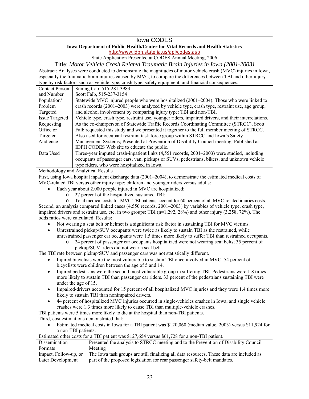#### Iowa CODES

#### **Iowa Department of Public Health/Center for Vital Records and Health Statistics**

http://www.idph.state.ia.us/apl/codes.asp

State Application Presented at CODES Annual Meeting, 2006

Title: *Motor Vehicle Crash Related Traumatic Brain Injuries in Iowa (2001-2003)* 

 Abstract: Analyses were conducted to demonstrate the magnitudes of motor vehicle crash (MVC) injuries in Iowa, especially the traumatic brain injuries caused by MVC, to compare the differences between TBI and other injury type by risk factors such as vehicle type, crash type, safety equipment, and financial consequences.

| <b>Contact Person</b> | Suning Cao, 515-281-3983                                                                             |
|-----------------------|------------------------------------------------------------------------------------------------------|
| and Number            | Scott Falb, 515-237-3154                                                                             |
| Population/           | Statewide MVC injured people who were hospitalized (2001–2004). Those who were linked to             |
| Problem               | crash records (2001-2003) were analyzed by vehicle type, crash type, restraint use, age group,       |
| Targeted              | and alcohol involvement by comparing injury type: TBI and non-TBI.                                   |
| <b>Issue Targeted</b> | Vehicle type, crash type, restraint use, younger riders, impaired drivers, and their interrelations. |
| Requesting            | As the co-chairperson of Statewide Traffic Records Coordinating Committee (STRCC), Scott             |
| Office or             | Falb requested this study and we presented it together to the full member meeting of STRCC.          |
| Targeted              | Also used for occupant restraint task force group within STRCC and Iowa's Safety                     |
| Audience              | Management Systems; Presented at Prevention of Disability Council meeting. Published at              |
|                       | IDPH CODES Web site to educate the public.                                                           |
| Data Used             | Three-year imputed crash-inpatient links (4,551 records, 2001–2003) were studied, including          |
|                       | occupants of passenger cars, van, pickups or SUVs, pedestrians, bikers, and unknown vehicle          |
|                       | type riders, who were hospitalized in Iowa.                                                          |

#### Methodology and Analytical Results

 First, using Iowa hospital inpatient discharge data (2001–2004), to demonstrate the estimated medical costs of MVC-related TBI versus other injury type; children and younger riders versus adults:

- Each year about 2,000 people injured in MVC are hospitalized;
	- o 27 percent of the hospitalized sustained TBI;

 Second, an analysis compared linked cases (4,550 records, 2001–2003) by variables of vehicle type, crash type, o Total medical costs for MVC TBI patients account for 60 percent of all MVC-related injuries costs. impaired drivers and restraint use, etc. in two groups: TBI (n=1,292, 28%) and other injury (3,258, 72%). The odds ratios were calculated. Results:

- Not wearing a seat belt or helmet is a significant risk factor in sustaining TBI for MVC victims.
- Unrestrained pickup/SUV occupants were twice as likely to sustain TBI as the restrained, while unrestrained passenger car occupants were 1.5 times more likely to suffer TBI than restrained occupants.
	- pickup/SUV riders did not wear a seat belt o 24 percent of passenger car occupants hospitalized were not wearing seat belts; 35 percent of

The TBI rate between pickup/SUV and passenger cars was not statistically different.

- Injured bicyclists were the most vulnerable to sustain TBI once involved in MVC: 54 percent of bicyclists were children between the age of 5 and 14.
- Injured pedestrians were the second most vulnerable group in suffering TBI. Pedestrians were 1.8 times more likely to sustain TBI than passenger car riders. 33 percent of the pedestrians sustaining TBI were under the age of 15.
- Impaired-drivers accounted for 15 percent of all hospitalized MVC injuries and they were 1.4 times more likely to sustain TBI than nonimpaired drivers.
- 44 percent of hospitalized MVC injuries occurred in single-vehicles crashes in Iowa, and single vehicle crashes were 1.3 times more likely to cause TBI than multiple-vehicle crashes.

TBI patients were 5 times more likely to die at the hospital than non-TBI patients.

Third, cost estimations demonstrated that:

 Estimated medical costs in Iowa for a TBI patient was \$120,060 (median value, 2003) versus \$11,924 for a non-TBI patients.

| Estimated other costs for a TBI patient was \$127,654 versus \$61,728 for a non-TBI patient. |                                                                                          |
|----------------------------------------------------------------------------------------------|------------------------------------------------------------------------------------------|
| Dissemination                                                                                | Presented the analysis to STRCC meeting and to the Prevention of Disability Council      |
| Formats                                                                                      | Meeting                                                                                  |
| Impact, Follow-up, or                                                                        | The Iowa task groups are still finalizing all data resources. These data are included as |
| Later Development                                                                            | part of the proposed legislation for rear passenger safety-belt mandates.                |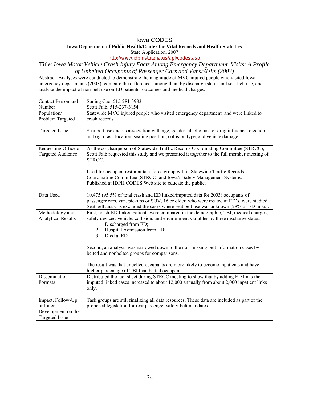#### Iowa CODES

#### **Iowa Department of Public Health/Center for Vital Records and Health Statistics**

State Application, 2007

http://www.idph.state.ia.us/apl/codes.asp

Title: *Iowa Motor Vehicle Crash Injury Facts Among Emergency Department Visits: A Profile of Unbelted Occupants of Passenger Cars and Vans/SUVs (2003)* 

Abstract: Analyses were conducted to demonstrate the magnitude of MVC injured people who visited Iowa emergency departments (2003), compare the differences among them by discharge status and seat belt use, and analyze the impact of non-belt use on ED patients' outcomes and medical charges.

| Contact Person and        | Suning Cao, 515-281-3983                                                                                              |
|---------------------------|-----------------------------------------------------------------------------------------------------------------------|
| Number                    | Scott Falb, 515-237-3154                                                                                              |
| Population/               | Statewide MVC injured people who visited emergency department and were linked to                                      |
| Problem Targeted          | crash records.                                                                                                        |
| <b>Targeted Issue</b>     | Seat belt use and its association with age, gender, alcohol use or drug influence, ejection,                          |
|                           | air bag, crash location, seating position, collision type, and vehicle damage.                                        |
| Requesting Office or      | As the co-chairperson of Statewide Traffic Records Coordinating Committee (STRCC),                                    |
| <b>Targeted Audience</b>  | Scott Falb requested this study and we presented it together to the full member meeting of<br>STRCC.                  |
|                           | Used for occupant restraint task force group within Statewide Traffic Records                                         |
|                           | Coordinating Committee (STRCC) and Iowa's Safety Management Systems.                                                  |
|                           | Published at IDPH CODES Web site to educate the public.                                                               |
|                           |                                                                                                                       |
| Data Used                 | 10,475 (95.5% of total crash and ED linked/imputed data for 2003) occupants of                                        |
|                           | passenger cars, van, pickups or SUV, 16 or older, who were treated at ED's, were studied.                             |
|                           | Seat belt analysis excluded the cases where seat belt use was unknown (28% of ED links).                              |
| Methodology and           | First, crash-ED linked patients were compared in the demographic, TBI, medical charges,                               |
| <b>Analytical Results</b> | safety devices, vehicle, collision, and environment variables by three discharge status:<br>Discharged from ED;<br>1. |
|                           | Hospital Admission from ED;<br>2.                                                                                     |
|                           | Died at ED.<br>3 <sub>1</sub>                                                                                         |
|                           |                                                                                                                       |
|                           | Second, an analysis was narrowed down to the non-missing belt information cases by                                    |
|                           | belted and nonbelted groups for comparisons.                                                                          |
|                           | The result was that unbelted occupants are more likely to become inpatients and have a                                |
|                           | higher percentage of TBI than belted occupants.                                                                       |
| Dissemination             | Distributed the fact sheet during STRCC meeting to show that by adding ED links the                                   |
| Formats                   | imputed linked cases increased to about 12,000 annually from about 2,000 inpatient links                              |
|                           | only.                                                                                                                 |
|                           |                                                                                                                       |
| Impact, Follow-Up,        | Task groups are still finalizing all data resources. These data are included as part of the                           |
| or Later                  | proposed legislation for rear passenger safety-belt mandates.                                                         |
| Development on the        |                                                                                                                       |
| <b>Targeted Issue</b>     |                                                                                                                       |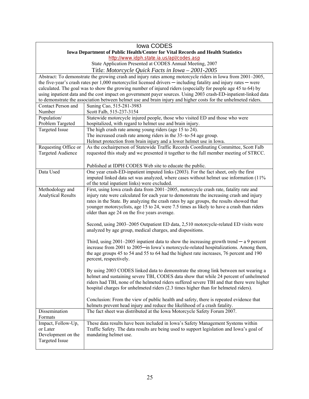|                                | Iowa CODES                                                                                                                                                                           |
|--------------------------------|--------------------------------------------------------------------------------------------------------------------------------------------------------------------------------------|
|                                | Iowa Department of Public Health/Center for Vital Records and Health Statistics                                                                                                      |
|                                | http://www.idph.state.ia.us/apl/codes.asp                                                                                                                                            |
|                                | State Application Presented at CODES Annual Meeting, 2007                                                                                                                            |
|                                | Title: Motorcycle Quick Facts in Iowa - 2001-2005                                                                                                                                    |
|                                | Abstract: To demonstrate the growing crash and injury rates among motorcycle riders in Iowa from 2001–2005,                                                                          |
|                                | the five-year's crash rates per 1,000 motorcyclist licensed drivers - including fatality and injury rates - were                                                                     |
|                                | calculated. The goal was to show the growing number of injured riders (especially for people age 45 to 64) by                                                                        |
|                                | using inpatient data and the cost impact on government payer sources. Using 2003 crash-ED-inpatient-linked data                                                                      |
|                                | to demonstrate the association between helmet use and brain injury and higher costs for the unhelmeted riders.                                                                       |
| Contact Person and             | Suning Cao, 515-281-3983                                                                                                                                                             |
| Number                         | Scott Falb, 515-237-3154                                                                                                                                                             |
| Population/                    | Statewide motorcycle injured people, those who visited ED and those who were                                                                                                         |
| Problem Targeted               | hospitalized, with regard to helmet use and brain injury.                                                                                                                            |
| <b>Targeted Issue</b>          | The high crash rate among young riders (age 15 to 24).                                                                                                                               |
|                                | The increased crash rate among riders in the 35-to-54 age group.                                                                                                                     |
| Requesting Office or           | Helmet protection from brain injury and a lower helmet use in Iowa.<br>As the cochairperson of Statewide Traffic Records Coordinating Committee, Scott Falb                          |
| <b>Targeted Audience</b>       | requested this study and we presented it together to the full member meeting of STRCC.                                                                                               |
|                                |                                                                                                                                                                                      |
|                                | Published at IDPH CODES Web site to educate the public.                                                                                                                              |
| Data Used                      | One year crash-ED-inpatient imputed links (2003). For the fact sheet, only the first                                                                                                 |
|                                | imputed linked data set was analyzed, where cases without helmet use information (11%)                                                                                               |
|                                | of the total inpatient links) were excluded.                                                                                                                                         |
| Methodology and                | First, using Iowa crash data from 2001-2005, motorcycle crash rate, fatality rate and                                                                                                |
| <b>Analytical Results</b>      | injury rate were calculated for each year to demonstrate the increasing crash and injury                                                                                             |
|                                | rates in the State. By analyzing the crash rates by age groups, the results showed that                                                                                              |
|                                | younger motorcyclists, age 15 to 24, were 7.5 times as likely to have a crash than riders                                                                                            |
|                                | older than age 24 on the five years average.                                                                                                                                         |
|                                |                                                                                                                                                                                      |
|                                | Second, using 2003-2005 Outpatient ED data, 2,510 motorcycle-related ED visits were                                                                                                  |
|                                | analyzed by age group, medical charges, and dispositions.                                                                                                                            |
|                                |                                                                                                                                                                                      |
|                                | Third, using $2001-2005$ inpatient data to show the increasing growth trend $-$ a 9 percent<br>increase from 2001 to 2005-in Iowa's motorcycle-related hospitalizations. Among them, |
|                                | the age groups 45 to 54 and 55 to 64 had the highest rate increases, 76 percent and 190                                                                                              |
|                                | percent, respectively.                                                                                                                                                               |
|                                |                                                                                                                                                                                      |
|                                | By using 2003 CODES linked data to demonstrate the strong link between not wearing a                                                                                                 |
|                                | helmet and sustaining severe TBI, CODES data show that while 24 percent of unhelmeted                                                                                                |
|                                | riders had TBI, none of the helmeted riders suffered severe TBI and that there were higher                                                                                           |
|                                | hospital charges for unhelmeted riders (2.3 times higher than for helmeted riders).                                                                                                  |
|                                |                                                                                                                                                                                      |
|                                | Conclusion: From the view of public health and safety, there is repeated evidence that                                                                                               |
|                                | helmets prevent head injury and reduce the likelihood of a crash fatality.                                                                                                           |
| Dissemination                  | The fact sheet was distributed at the Iowa Motorcycle Safety Forum 2007.                                                                                                             |
| Formats                        |                                                                                                                                                                                      |
| Impact, Follow-Up,             | These data results have been included in Iowa's Safety Management Systems within                                                                                                     |
| or Later<br>Development on the | Traffic Safety. The data results are being used to support legislation and Iowa's goal of<br>mandating helmet use.                                                                   |
| <b>Targeted Issue</b>          |                                                                                                                                                                                      |
|                                |                                                                                                                                                                                      |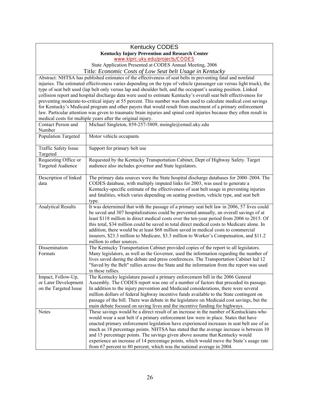#### Kentucky CODES **Kentucky Injury Prevention and Research Center**  www.kiprc.uky.edu/projects/CODES

State Application Presented at CODES Annual Meeting, 2006

Title: *Economic Costs of Low Seat belt Usage in Kentucky* 

Abstract: NHTSA has published estimates of the effectiveness of seat belts in preventing fatal and nonfatal injuries. The estimated effectiveness varies depending on the type of vehicle (passenger car versus light truck), the type of seat belt used (lap belt only versus lap and shoulder belt, and the occupant's seating position. Linked collision report and hospital discharge data were used to estimate Kentucky's overall seat belt effectiveness for preventing moderate-to-critical injury at 55 percent. This number was then used to calculate medical cost savings for Kentucky's Medicaid program and other payers that would result from enactment of a primary enforcement law. Particular attention was given to traumatic brain injuries and spinal cord injuries because they often result in medical costs for multiple years after the original injury.

| Contact Person and<br>Number                                        | Michael Singleton, 859-257-5809, msingle@email.uky.edu                                                                                                                                                                                                                                                                                                                                                                                                                                                                                                                                                                    |
|---------------------------------------------------------------------|---------------------------------------------------------------------------------------------------------------------------------------------------------------------------------------------------------------------------------------------------------------------------------------------------------------------------------------------------------------------------------------------------------------------------------------------------------------------------------------------------------------------------------------------------------------------------------------------------------------------------|
| <b>Population Targeted</b>                                          | Motor vehicle occupants                                                                                                                                                                                                                                                                                                                                                                                                                                                                                                                                                                                                   |
| Traffic Safety Issue<br>Targeted                                    | Support for primary belt use                                                                                                                                                                                                                                                                                                                                                                                                                                                                                                                                                                                              |
| Requesting Office or<br><b>Targeted Audience</b>                    | Requested by the Kentucky Transportation Cabinet, Dept of Highway Safety. Target<br>audience also includes governor and State legislators.                                                                                                                                                                                                                                                                                                                                                                                                                                                                                |
| Description of linked<br>data                                       | The primary data sources were the State hospital discharge databases for 2000–2004. The<br>CODES database, with multiply imputed links for 2003, was used to generate a<br>Kentucky-specific estimate of the effectiveness of seat belt usage in preventing injuries<br>and fatalities, which varies depending on seating position, vehicle type, and seat belt<br>type.                                                                                                                                                                                                                                                  |
| <b>Analytical Results</b>                                           | It was determined that with the passage of a primary seat belt law in 2006, 57 lives could<br>be saved and 307 hospitalizations could be prevented annually, an overall savings of at<br>least \$118 million in direct medical costs over the ten-year period from 2006 to 2015. Of<br>this total, \$34 million could be saved in total direct medical costs to Medicare alone. In<br>addition, there would be at least \$68 million saved in medical costs to commercial<br>insurers, \$23.3 million to Medicare, \$3.3 million to Worker's Compensation, and \$11.2<br>million to other sources.                        |
| Dissemination<br>Formats                                            | The Kentucky Transportation Cabinet provided copies of the report to all legislators.<br>Many legislators, as well as the Governor, used the information regarding the number of<br>lives saved during the debate and press conferences. The Transportation Cabinet led 12<br>"Saved by the Belt" rallies across the State and the information from the report was used<br>in these rallies.                                                                                                                                                                                                                              |
| Impact, Follow-Up,<br>or Later Development<br>on the Targeted Issue | The Kentucky legislature passed a primary enforcement bill in the 2006 General<br>Assembly. The CODES report was one of a number of factors that preceded its passage.<br>In addition to the injury prevention and Medicaid considerations, there were several<br>million dollars of federal highway incentive funds available to the State contingent on<br>passage of the bill. There was debate in the legislature on Medicaid cost savings, but the<br>main debate focused on saving lives and the incentive funding for highways.                                                                                    |
| <b>Notes</b>                                                        | These savings would be a direct result of an increase in the number of Kentuckians who<br>would wear a seat belt if a primary enforcement law were in place. States that have<br>enacted primary enforcement legislation have experienced increases in seat belt use of as<br>much as 18 percentage points. NHTSA has stated that the average increase is between 10<br>and 15 percentage points. The savings given above assume that Kentucky would<br>experience an increase of 14 percentage points, which would move the State's usage rate<br>from 67 percent to 80 percent, which was the national average in 2004. |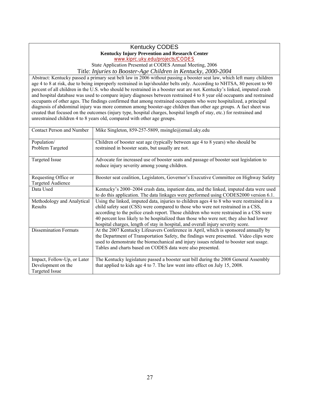#### Kentucky CODES **Kentucky Injury Prevention and Research Center**  www.kiprc.uky.edu/projects/CODES

State Application Presented at CODES Annual Meeting, 2006

Title: *Injuries to Booster-Age Children in Kentucky, 2000-2004* 

 age 4 to 8 at risk, due to being improperly restrained in lap/shoulder belts only. According to NHTSA, 80 percent to 90 percent of all children in the U.S. who should be restrained in a booster seat are not. Kentucky's linked, imputed crash diagnosis of abdominal injury was more common among booster-age children than other age groups. A fact sheet was Abstract: Kentucky passed a primary seat belt law in 2006 without passing a booster seat law, which left many children and hospital database was used to compare injury diagnoses between restrained 4 to 8 year old occupants and restrained occupants of other ages. The findings confirmed that among restrained occupants who were hospitalized, a principal created that focused on the outcomes (injury type, hospital charges, hospital length of stay, etc.) for restrained and unrestrained children 4 to 8 years old, compared with other age groups.

| <b>Contact Person and Number</b>                 | Mike Singleton, 859-257-5809, msingle@email.uky.edu                                                                                                                              |
|--------------------------------------------------|----------------------------------------------------------------------------------------------------------------------------------------------------------------------------------|
| Population/                                      | Children of booster seat age (typically between age 4 to 8 years) who should be                                                                                                  |
| Problem Targeted                                 | restrained in booster seats, but usually are not.                                                                                                                                |
| Targeted Issue                                   | Advocate for increased use of booster seats and passage of booster seat legislation to<br>reduce injury severity among young children.                                           |
| Requesting Office or<br><b>Targeted Audience</b> | Booster seat coalition, Legislators, Governor's Executive Committee on Highway Safety                                                                                            |
| Data Used                                        | Kentucky's 2000–2004 crash data, inpatient data, and the linked, imputed data were used<br>to do this application. The data linkages were performed using CODES2000 version 6.1. |
| Methodology and Analytical                       | Using the linked, imputed data, injuries to children ages 4 to 8 who were restrained in a                                                                                        |
| Results                                          | child safety seat (CSS) were compared to those who were not restrained in a CSS,<br>according to the police crash report. Those children who were restrained in a CSS were       |
|                                                  | 40 percent less likely to be hospitalized than those who were not; they also had lower<br>hospital charges, length of stay in hospital, and overall injury severity score.       |
| <b>Dissemination Formats</b>                     | At the 2007 Kentucky Lifesavers Conference in April, which is sponsored annually by                                                                                              |
|                                                  | the Department of Transportation Safety, the findings were presented. Video clips were<br>used to demonstrate the biomechanical and injury issues related to booster seat usage. |
|                                                  | Tables and charts based on CODES data were also presented.                                                                                                                       |
| Impact, Follow-Up, or Later                      | The Kentucky legislature passed a booster seat bill during the 2008 General Assembly                                                                                             |
| Development on the                               | that applied to kids age 4 to 7. The law went into effect on July 15, 2008.                                                                                                      |
| Targeted Issue                                   |                                                                                                                                                                                  |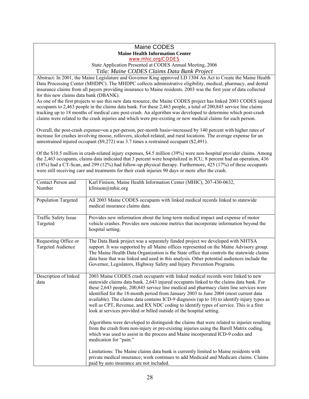# Maine CODES **Maine Health Information Center**

www.mhic.org/CODES

State Application Presented at CODES Annual Meeting, 2006

## Title: *Maine CODES Claims Data Bank Project*

 Abstract: In 2001, the Maine Legislature and Governor King approved LD 1304 An Act to Create the Maine Health insurance claims from all payers providing insurance to Maine residents. 2003 was the first year of data collected Data Processing Center (MHDPC). The MHDPC collects administrative eligibility, medical, pharmacy, and dental for this new claims data bank (DBANK).

 As one of the first projects to use this new data resource, the Maine CODES project has linked 2003 CODES injured occupants to 2,463 people in the claims data bank. For these 2,463 people, a total of 200,845 service line claims tracking up to 18 months of medical care post-crash. An algorithm was developed to determine which post-crash claims were related to the crash injuries and which were pre-existing or new medical claims for each person.

Overall, the post-crash expense-on a per-person, per-month basis-increased by 140 percent with higher rates of increase for crashes involving moose, rollovers, alcohol-related, and rural locations. The average expense for an unrestrained injured occupant (\$9,272) was 3.7 times a restrained occupant (\$2,491).

Of the \$10.5 million in crash-related injury expenses, \$4.5 million (39%) were non-hospital provider claims. Among the 2,463 occupants, claims data indicated that 3 percent were hospitalized in ICU, 8 percent had an operation, 436 (18%) had a CT-Scan, and 299 (12%) had follow-up physical therapy. Furthermore, 425 (17%) of these occupants were still receiving care and treatments for their crash injuries 90 days or more after the crash.

| Contact Person and<br>Number                     | Karl Finison, Maine Health Information Center (MHIC), 207-430-0632,<br>kfinison@mhic.org                                                                                                                                                                                                                                                                                                                                                                                                                                                                                                                                     |
|--------------------------------------------------|------------------------------------------------------------------------------------------------------------------------------------------------------------------------------------------------------------------------------------------------------------------------------------------------------------------------------------------------------------------------------------------------------------------------------------------------------------------------------------------------------------------------------------------------------------------------------------------------------------------------------|
| Population Targeted                              | All 2003 Maine CODES occupants with linked medical records linked to statewide<br>medical insurance claims data.                                                                                                                                                                                                                                                                                                                                                                                                                                                                                                             |
| Traffic Safety Issue<br>Targeted                 | Provides new information about the long-term medical impact and expense of motor<br>vehicle crashes. Provides new outcome metrics that incorporate information beyond the<br>hospital setting.                                                                                                                                                                                                                                                                                                                                                                                                                               |
| Requesting Office or<br><b>Targeted Audience</b> | The Data Bank project was a separately funded project we developed with NHTSA<br>support. It was supported by all Maine offices represented on the Maine Advisory group.<br>The Maine Health Data Organization is the State office that controls the statewide claims<br>data base that was linked and used in this analysis. Other potential audiences include the<br>Governor, Legislators, Highway Safety and Injury Prevention Programs.                                                                                                                                                                                 |
| Description of linked<br>data                    | 2003 Maine CODES crash occupants with linked medical records were linked to new<br>statewide claims data bank. 2,643 injured occupants linked to the claims data bank. For<br>these 2,643 people, 200,845 service line medical and pharmacy claim line services were<br>identified for the 18-month period from January 2003 to June 2004 (most current data<br>available). The claims data contains ICD-9 diagnosis (up to 10) to identify injury types as<br>well as CPT, Revenue, and RX NDC coding to identify types of service. This is a first<br>look at services provided or billed outside of the hospital setting. |
|                                                  | Algorithms were developed to distinguish the claims that were related to injuries resulting<br>from the crash from non-injury or pre-existing injuries using the Barell Matrix coding,<br>which was used to assist in the process and Maine incorporated ICD-9 codes and<br>medication for "pain."                                                                                                                                                                                                                                                                                                                           |
|                                                  | Limitations: The Maine claims data bank is currently limited to Maine residents with<br>private medical insurance; work continues to add Medicaid and Medicare claims. Claims<br>paid by auto insurance are not included.                                                                                                                                                                                                                                                                                                                                                                                                    |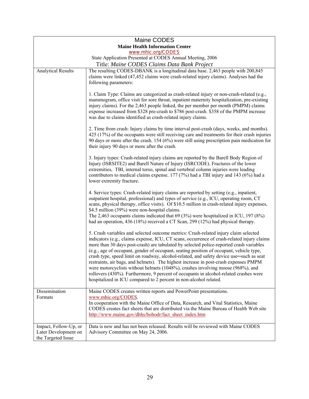|                                                           | Maine CODES                                                                                                                                                                                                                                                                                                                                                                                                                                                                                                                                                                                                                                                                                                                                                                                                  |
|-----------------------------------------------------------|--------------------------------------------------------------------------------------------------------------------------------------------------------------------------------------------------------------------------------------------------------------------------------------------------------------------------------------------------------------------------------------------------------------------------------------------------------------------------------------------------------------------------------------------------------------------------------------------------------------------------------------------------------------------------------------------------------------------------------------------------------------------------------------------------------------|
|                                                           | <b>Maine Health Information Center</b>                                                                                                                                                                                                                                                                                                                                                                                                                                                                                                                                                                                                                                                                                                                                                                       |
|                                                           | www.mhic.org/CODES                                                                                                                                                                                                                                                                                                                                                                                                                                                                                                                                                                                                                                                                                                                                                                                           |
| State Application Presented at CODES Annual Meeting, 2006 |                                                                                                                                                                                                                                                                                                                                                                                                                                                                                                                                                                                                                                                                                                                                                                                                              |
|                                                           | Title: Maine CODES Claims Data Bank Project                                                                                                                                                                                                                                                                                                                                                                                                                                                                                                                                                                                                                                                                                                                                                                  |
| <b>Analytical Results</b>                                 | The resulting CODES-DBANK is a longitudinal data base. 2,463 people with 200,845<br>claims were linked (47,452 claims were crash-related injury claims). Analyses had the<br>following parameters:                                                                                                                                                                                                                                                                                                                                                                                                                                                                                                                                                                                                           |
|                                                           | 1. Claim Type: Claims are categorized as crash-related injury or non-crash-related (e.g.,<br>mammogram, office visit for sore throat, inpatient maternity hospitalization, pre-existing<br>injury claims). For the 2,463 people linked, the per member per month (PMPM) claims<br>expense increased from \$328 pre-crash to \$786 post-crash. \$358 of the PMPM increase<br>was due to claims identified as crash-related injury claims.                                                                                                                                                                                                                                                                                                                                                                     |
|                                                           | 2. Time from crash: Injury claims by time interval post-crash (days, weeks, and months).<br>425 (17%) of the occupants were still receiving care and treatments for their crash injuries<br>90 days or more after the crash. $154 (6%)$ were still using prescription pain medication for<br>their injury 90 days or more after the crash.                                                                                                                                                                                                                                                                                                                                                                                                                                                                   |
|                                                           | 3. Injury types: Crash-related injury claims are reported by the Barell Body Region of<br>Injury (ISRSITE2) and Barell Nature of Injury (ISRCODE). Fractures of the lower<br>extremities, TBI, internal torso, spinal and vertebral column injuries were leading<br>contributors to medical claims expense. $177(7%)$ had a TBI injury and 143 (6%) had a<br>lower extremity fracture.                                                                                                                                                                                                                                                                                                                                                                                                                       |
|                                                           | 4. Service types: Crash-related injury claims are reported by setting (e.g., inpatient,<br>outpatient hospital, professional) and types of service (e.g., ICU, operating room, CT<br>scans, physical therapy, office visits). Of \$10.5 million in crash-related injury expenses,<br>\$4.5 million (39%) were non-hospital claims.<br>The 2,463 occupants claims indicated that 69 (3%) were hospitalized in ICU, 197 (8%)<br>had an operation, 436 (18%) received a CT Scan, 299 (12%) had physical therapy.                                                                                                                                                                                                                                                                                                |
|                                                           | 5. Crash variables and selected outcome metrics: Crash-related injury claim selected<br>indicators (e.g., claims expense, ICU, CT scans, occurrence of crash-related injury claims<br>more than 30 days post-crash) are tabulated by selected police-reported crash variables<br>(e.g., age of occupant, gender of occupant, seating position of occupant, vehicle type,<br>crash type, speed limit on roadway, alcohol-related, and safety device use—such as seat<br>restraints, air bags, and helmets). The highest increase in post-crash expenses PMPM<br>were motorcyclists without helmets (1048%), crashes involving moose (968%), and<br>rollovers (430%). Furthermore, 9 percent of occupants in alcohol-related crashes were<br>hospitalized in ICU compared to 2 percent in non-alcohol related. |
| Dissemination                                             | Maine CODES creates written reports and PowerPoint presentations.                                                                                                                                                                                                                                                                                                                                                                                                                                                                                                                                                                                                                                                                                                                                            |
| Formats                                                   | www.mhic.org/CODES.<br>In cooperation with the Maine Office of Data, Research, and Vital Statistics, Maine<br>CODES creates fact sheets that are distributed via the Maine Bureau of Health Web site<br>http://www.maine.gov/dhhs/bohodr/fact_sheet_index.htm                                                                                                                                                                                                                                                                                                                                                                                                                                                                                                                                                |
| Impact, Follow-Up, or                                     | Data is new and has not been released. Results will be reviewed with Maine CODES                                                                                                                                                                                                                                                                                                                                                                                                                                                                                                                                                                                                                                                                                                                             |
| Later Development on                                      | Advisory Committee on May 24, 2006.                                                                                                                                                                                                                                                                                                                                                                                                                                                                                                                                                                                                                                                                                                                                                                          |
| the Targeted Issue                                        |                                                                                                                                                                                                                                                                                                                                                                                                                                                                                                                                                                                                                                                                                                                                                                                                              |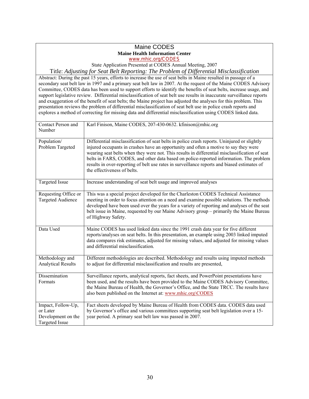#### Maine CODES **Maine Health Information Center**  www.mhic.org/CODES

State Application Presented at CODES Annual Meeting, 2007

Title: *Adjusting for Seat Belt Reporting: The Problem of Differential Misclassification* 

 Abstract: During the past 15 years, efforts to increase the use of seat belts in Maine resulted in passage of a Committee, CODES data has been used to support efforts to identify the benefits of seat belts, increase usage, and secondary seat belt law in 1997 and a primary seat belt law in 2007. At the request of the Maine CODES Advisory support legislative review. Differential misclassification of seat belt use results in inaccurate surveillance reports and exaggeration of the benefit of seat belts; the Maine project has adjusted the analyses for this problem. This presentation reviews the problem of differential misclassification of seat belt use in police crash reports and explores a method of correcting for missing data and differential misclassification using CODES linked data.

| Contact Person and<br>Number                                                  | Karl Finison, Maine CODES, 207-430-0632. kfinison@mhic.org                                                                                                                                                                                                                                                                                                                                                                                                                                                   |
|-------------------------------------------------------------------------------|--------------------------------------------------------------------------------------------------------------------------------------------------------------------------------------------------------------------------------------------------------------------------------------------------------------------------------------------------------------------------------------------------------------------------------------------------------------------------------------------------------------|
| Population/<br>Problem Targeted                                               | Differential misclassification of seat belts in police crash reports. Uninjured or slightly<br>injured occupants in crashes have an opportunity and often a motive to say they were<br>wearing seat belts when they were not. This results in differential misclassification of seat<br>belts in FARS, CODES, and other data based on police-reported information. The problem<br>results in over-reporting of belt use rates in surveillance reports and biased estimates of<br>the effectiveness of belts. |
| <b>Targeted Issue</b>                                                         | Increase understanding of seat belt usage and improved analyses                                                                                                                                                                                                                                                                                                                                                                                                                                              |
| Requesting Office or<br><b>Targeted Audience</b>                              | This was a special project developed for the Charleston CODES Technical Assistance<br>meeting in order to focus attention on a need and examine possible solutions. The methods<br>developed have been used over the years for a variety of reporting and analyses of the seat<br>belt issue in Maine, requested by our Maine Advisory group - primarily the Maine Bureau<br>of Highway Safety.                                                                                                              |
| Data Used                                                                     | Maine CODES has used linked data since the 1991 crash data year for five different<br>reports/analyses on seat belts. In this presentation, an example using 2003 linked imputed<br>data compares risk estimates, adjusted for missing values, and adjusted for missing values<br>and differential misclassification.                                                                                                                                                                                        |
| Methodology and<br><b>Analytical Results</b>                                  | Different methodologies are described. Methodology and results using imputed methods<br>to adjust for differential misclassification and results are presented,                                                                                                                                                                                                                                                                                                                                              |
| Dissemination<br>Formats                                                      | Surveillance reports, analytical reports, fact sheets, and PowerPoint presentations have<br>been used, and the results have been provided to the Maine CODES Advisory Committee,<br>the Maine Bureau of Health, the Governor's Office, and the State TRCC. The results have<br>also been published on the Internet at: www.mhic.org\CODES                                                                                                                                                                    |
| Impact, Follow-Up,<br>or Later<br>Development on the<br><b>Targeted Issue</b> | Fact sheets developed by Maine Bureau of Health from CODES data. CODES data used<br>by Governor's office and various committees supporting seat belt legislation over a 15-<br>year period. A primary seat belt law was passed in 2007.                                                                                                                                                                                                                                                                      |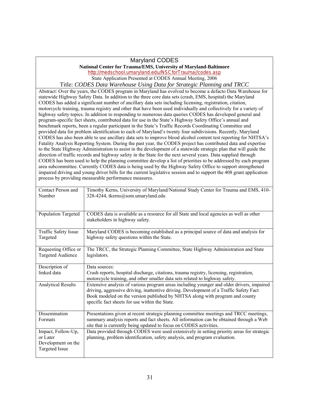#### Maryland CODES

#### **National Center for Trauma/EMS, University of Maryland-Baltimore**  http://medschool.umaryland.edu/NSCforTrauma//codes.asp State Application Presented at CODES Annual Meeting, 2006

Title: *CODES Data Warehouse Using Data for Strategic Planning and TRCC* 

 motorcycle training, trauma registry and other that have been used individually and collectively for a variety of CODES has been used to help the planning committee develop a list of priorities to be addressed by each program area subcommittee. Currently CODES data is being used by the Highway Safety Office to support strengthened Abstract: Over the years, the CODES program in Maryland has evolved to become a defacto Data Warehouse for statewide Highway Safety Data. In addition to the three core data sets (crash, EMS, hospital) the Maryland CODES has added a significant number of ancillary data sets including licensing, registration, citation, highway safety topics. In addition to responding to numerous data queries CODES has developed general and program-specific fact sheets, contributed data for use in the State's Highway Safety Office's annual and benchmark reports, been a regular participant in the State's Traffic Records Coordinating Committee and provided data for problem identification to each of Maryland's twenty four subdivisions. Recently, Maryland CODES has also been able to use ancillary data sets to improve blood alcohol content test reporting for NHTSA's Fatality Analysis Reporting System. During the past year, the CODES project has contributed data and expertise to the State Highway Administration to assist in the development of a statewide strategic plan that will guide the direction of traffic records and highway safety in the State for the next several years. Data supplied through impaired driving and young driver bills for the current legislative session and to support the 408 grant application process by providing measurable performance measures.

| Contact Person and<br>Number                                                  | Timothy Kerns, University of Maryland/National Study Center for Trauma and EMS, 410-<br>328-4244, tkerns@som.umaryland.edu                                                                                                                                                                                            |
|-------------------------------------------------------------------------------|-----------------------------------------------------------------------------------------------------------------------------------------------------------------------------------------------------------------------------------------------------------------------------------------------------------------------|
|                                                                               |                                                                                                                                                                                                                                                                                                                       |
| Population Targeted                                                           | CODES data is available as a resource for all State and local agencies as well as other<br>stakeholders in highway safety.                                                                                                                                                                                            |
| Traffic Safety Issue<br>Targeted                                              | Maryland CODES is becoming established as a principal source of data and analysis for<br>highway safety questions within the State.                                                                                                                                                                                   |
| Requesting Office or<br><b>Targeted Audience</b>                              | The TRCC, the Strategic Planning Committee, State Highway Administration and State<br>legislators.                                                                                                                                                                                                                    |
| Description of                                                                | Data sources:                                                                                                                                                                                                                                                                                                         |
| linked data                                                                   | Crash reports, hospital discharge, citations, trauma registry, licensing, registration,<br>motorcycle training, and other smaller data sets related to highway safety.                                                                                                                                                |
| <b>Analytical Results</b>                                                     | Extensive analysis of various program areas including younger and older drivers, impaired<br>driving, aggressive driving, inattentive driving. Development of a Traffic Safety Fact<br>Book modeled on the version published by NHTSA along with program and county<br>specific fact sheets for use within the State. |
| Dissemination<br>Formats                                                      | Presentations given at recent strategic planning committee meetings and TRCC meetings,<br>summary analysis reports and fact sheets. All information can be obtained through a Web<br>site that is currently being updated to focus on CODES activities.                                                               |
| Impact, Follow-Up,<br>or Later<br>Development on the<br><b>Targeted Issue</b> | Data provided through CODES were used extensively in setting priority areas for strategic<br>planning, problem identification, safety analysis, and program evaluation.                                                                                                                                               |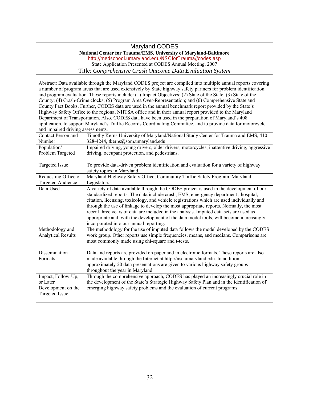#### Maryland CODES **National Center for Trauma/EMS, University of Maryland-Baltimore**  http://medschool.umaryland.edu/NSCforTrauma//codes.asp State Application Presented at CODES Annual Meeting, 2007 Title: *Comprehensive Crash Outcome Data Evaluation System*

 Highway Safety Office to the regional NHTSA office and in their annual report provided to the Maryland Department of Transportation. Also, CODES data have been used in the preparation of Maryland's 408 Targeted Issue To provide data-driven problem identification and evaluation for a variety of highway Data Used incorporated into our annual reporting. Abstract: Data available through the Maryland CODES project are compiled into multiple annual reports covering a number of program areas that are used extensively by State highway safety partners for problem identification and program evaluation. These reports include: (1) Impact Objectives; (2) State of the State; (3) State of the County; (4) Crash-Crime clocks; (5) Program Area Over-Representation; and (6) Comprehensive State and County Fact Books. Further, CODES data are used in the annual benchmark report provided by the State's application, to support Maryland's Traffic Records Coordinating Committee, and to provide data for motorcycle and impaired driving assessments. Contact Person and Number Timothy Kerns University of Maryland/National Study Center for Trauma and EMS, 410 328-4244, tkerns@som.umaryland.edu Population/ Problem Targeted Impaired driving, young drivers, older drivers, motorcycles, inattentive driving, aggressive driving, occupant protection, and pedestrians. safety topics in Maryland. Requesting Office or Targeted Audience Maryland Highway Safety Office, Community Traffic Safety Program, Maryland Legislators A variety of data available through the CODES project is used in the development of our standardized reports. The data include crash, EMS, emergency department , hospital, citation, licensing, toxicology, and vehicle registrations which are used individually and through the use of linkage to develop the most appropriate reports. Normally, the most recent three years of data are included in the analysis. Imputed data sets are used as appropriate and, with the development of the data model tools, will become increasingly Incorporated into our annual reporting.<br>
Methodology and The methodology for the use of imputed data follows the model developed by the CODES Analytical Results work group. Other reports use simple frequencies, means, and medians. Comparisons are most commonly made using chi-square and t-tests. Dissemination Data and reports are provided on paper and in electronic formats. These reports are also Formats made available through the Internet at http://nsc.umaryland.edu. In addition,

| різуеншіаціон      | Data and reports are provided on paper and in electronic formats. These reports are also  |
|--------------------|-------------------------------------------------------------------------------------------|
| Formats            | made available through the Internet at http://nsc.umaryland.edu. In addition,             |
|                    | approximately 20 data presentations are given to various highway safety groups            |
|                    | throughout the year in Maryland.                                                          |
| Impact, Follow-Up, | Through the comprehensive approach, CODES has played an increasingly crucial role in      |
| or Later           | the development of the State's Strategic Highway Safety Plan and in the identification of |
| Development on the | emerging highway safety problems and the evaluation of current programs.                  |
| Targeted Issue     |                                                                                           |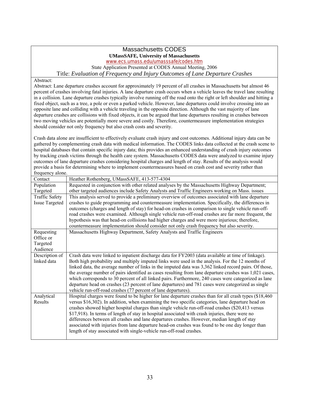#### Massachusetts CODES **UMassSAFE, University of Massachusetts**

www.ecs.umass.edu/umasssafe/codes.htm

State Application Presented at CODES Annual Meeting, 2006

Title: *Evaluation of Frequency and Injury Outcomes of Lane Departure Crashes* 

Abstract:

 Abstract: Lane departure crashes account for approximately 19 percent of all crashes in Massachusetts but almost 46 departure crashes are collisions with fixed objects, it can be argued that lane departures resulting in crashes between should consider not only frequency but also crash costs and severity. percent of crashes involving fatal injuries. A lane departure crash occurs when a vehicle leaves the travel lane resulting in a collision. Lane departure crashes typically involve running off the road onto the right or left shoulder and hitting a fixed object, such as a tree, a pole or even a parked vehicle. However, lane departures could involve crossing into an opposite lane and colliding with a vehicle traveling in the opposite direction. Although the vast majority of lane two moving vehicles are potentially more severe and costly. Therefore, countermeasure implementation strategies

Crash data alone are insufficient to effectively evaluate crash injury and cost outcomes. Additional injury data can be gathered by complementing crash data with medical information. The CODES links data collected at the crash scene to hospital databases that contain specific injury data; this provides an enhanced understanding of crash injury outcomes by tracking crash victims through the health care system. Massachusetts CODES data were analyzed to examine injury outcomes of lane departure crashes considering hospital charges and length of stay. Results of the analysis would provide a basis for determining where to implement countermeasures based on crash cost and severity rather than .<br>frequency alone.

| n equency aroue       |                                                                                                         |
|-----------------------|---------------------------------------------------------------------------------------------------------|
| Contact               | Heather Rothenberg, UMassSAFE, 413-577-4304                                                             |
| Population            | Requested in conjunction with other related analyses by the Massachusetts Highway Department;           |
| Targeted              | other targeted audiences include Safety Analysts and Traffic Engineers working on Mass. issues          |
| <b>Traffic Safety</b> | This analysis served to provide a preliminary overview of outcomes associated with lane departure       |
| <b>Issue Targeted</b> | crashes to guide programming and countermeasure implementation. Specifically, the differences in        |
|                       | outcomes (charges and length of stay) for head-on crashes in comparison to single vehicle run-off-      |
|                       | road crashes were examined. Although single vehicle run-off-road crashes are far more frequent, the     |
|                       | hypothesis was that head-on collisions had higher charges and were more injurious; therefore,           |
|                       | countermeasure implementation should consider not only crash frequency but also severity.               |
| Requesting            | Massachusetts Highway Department, Safety Analysts and Traffic Engineers                                 |
| Office or             |                                                                                                         |
| Targeted              |                                                                                                         |
| Audience              |                                                                                                         |
| Description of        | Crash data were linked to inpatient discharge data for FY2003 (data available at time of linkage).      |
| linked data           | Both high probability and multiply imputed links were used in the analysis. For the 12 months of        |
|                       | linked data, the average number of links in the imputed data was 3,362 linked record pairs. Of those,   |
|                       | the average number of pairs identified as cases resulting from lane departure crashes was 1,021 cases,  |
|                       | which corresponds to 30 percent of all linked pairs. Furthermore, 240 cases were categorized as lane    |
|                       | departure head on crashes (23 percent of lane departures) and 781 cases were categorized as single      |
|                       | vehicle run-off-road crashes (77 percent of lane departures).                                           |
| Analytical            | Hospital charges were found to be higher for lane departure crashes than for all crash types (\$18,460) |
| Results               | versus \$16,302). In addition, when examining the two specific categories, lane departure head on       |
|                       | crashes showed higher hospital charges than single vehicle run-off-road crashes (\$20,413 versus        |
|                       | \$17,918). In terms of length of stay in hospital associated with crash injuries, there were no         |
|                       | differences between all crashes and lane departures crashes. However, median length of stay             |
|                       | associated with injuries from lane departure head-on crashes was found to be one day longer than        |
|                       | length of stay associated with single-vehicle run-off-road crashes.                                     |
|                       |                                                                                                         |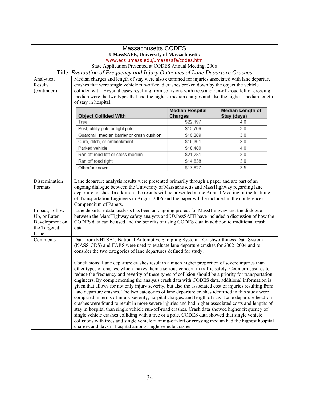|                       | <b>Massachusetts CODES</b>                                                                                                                                                                                                                                                                                                                                                                                                                                                                                                                                                                                                                                                                                                                                                                                                                                                                                                                                                                                                                       |                                   |                                 |
|-----------------------|--------------------------------------------------------------------------------------------------------------------------------------------------------------------------------------------------------------------------------------------------------------------------------------------------------------------------------------------------------------------------------------------------------------------------------------------------------------------------------------------------------------------------------------------------------------------------------------------------------------------------------------------------------------------------------------------------------------------------------------------------------------------------------------------------------------------------------------------------------------------------------------------------------------------------------------------------------------------------------------------------------------------------------------------------|-----------------------------------|---------------------------------|
|                       | <b>UMassSAFE, University of Massachusetts</b>                                                                                                                                                                                                                                                                                                                                                                                                                                                                                                                                                                                                                                                                                                                                                                                                                                                                                                                                                                                                    |                                   |                                 |
|                       | www.ecs.umass.edu/umasssafe/codes.htm                                                                                                                                                                                                                                                                                                                                                                                                                                                                                                                                                                                                                                                                                                                                                                                                                                                                                                                                                                                                            |                                   |                                 |
|                       | State Application Presented at CODES Annual Meeting, 2006                                                                                                                                                                                                                                                                                                                                                                                                                                                                                                                                                                                                                                                                                                                                                                                                                                                                                                                                                                                        |                                   |                                 |
|                       | Title: Evaluation of Frequency and Injury Outcomes of Lane Departure Crashes                                                                                                                                                                                                                                                                                                                                                                                                                                                                                                                                                                                                                                                                                                                                                                                                                                                                                                                                                                     |                                   |                                 |
| Analytical            | Median charges and length of stay were also examined for injuries associated with lane departure                                                                                                                                                                                                                                                                                                                                                                                                                                                                                                                                                                                                                                                                                                                                                                                                                                                                                                                                                 |                                   |                                 |
| Results               | crashes that were single vehicle run-off-road crashes broken down by the object the vehicle                                                                                                                                                                                                                                                                                                                                                                                                                                                                                                                                                                                                                                                                                                                                                                                                                                                                                                                                                      |                                   |                                 |
| (continued)           | collided with. Hospital cases resulting from collisions with trees and run-off-road left or crossing                                                                                                                                                                                                                                                                                                                                                                                                                                                                                                                                                                                                                                                                                                                                                                                                                                                                                                                                             |                                   |                                 |
|                       | median were the two types that had the highest median charges and also the highest median length<br>of stay in hospital.                                                                                                                                                                                                                                                                                                                                                                                                                                                                                                                                                                                                                                                                                                                                                                                                                                                                                                                         |                                   |                                 |
|                       |                                                                                                                                                                                                                                                                                                                                                                                                                                                                                                                                                                                                                                                                                                                                                                                                                                                                                                                                                                                                                                                  |                                   |                                 |
|                       | <b>Object Collided With</b>                                                                                                                                                                                                                                                                                                                                                                                                                                                                                                                                                                                                                                                                                                                                                                                                                                                                                                                                                                                                                      | <b>Median Hospital</b><br>Charges | Median Length of<br>Stay (days) |
|                       | Tree                                                                                                                                                                                                                                                                                                                                                                                                                                                                                                                                                                                                                                                                                                                                                                                                                                                                                                                                                                                                                                             | \$22,197                          | 4.0                             |
|                       | Post, utility pole or light pole                                                                                                                                                                                                                                                                                                                                                                                                                                                                                                                                                                                                                                                                                                                                                                                                                                                                                                                                                                                                                 | \$15,709                          | 3.0                             |
|                       | Guardrail, median barrier or crash cushion                                                                                                                                                                                                                                                                                                                                                                                                                                                                                                                                                                                                                                                                                                                                                                                                                                                                                                                                                                                                       | \$16,289                          | 3.0                             |
|                       | Curb, ditch, or embankment                                                                                                                                                                                                                                                                                                                                                                                                                                                                                                                                                                                                                                                                                                                                                                                                                                                                                                                                                                                                                       | \$16,361                          | 3.0                             |
|                       | Parked vehicle                                                                                                                                                                                                                                                                                                                                                                                                                                                                                                                                                                                                                                                                                                                                                                                                                                                                                                                                                                                                                                   | \$18,480                          | 4.0                             |
|                       | Ran off road left or cross median                                                                                                                                                                                                                                                                                                                                                                                                                                                                                                                                                                                                                                                                                                                                                                                                                                                                                                                                                                                                                | \$21,281                          | 3.0                             |
|                       | Ran off road right                                                                                                                                                                                                                                                                                                                                                                                                                                                                                                                                                                                                                                                                                                                                                                                                                                                                                                                                                                                                                               | \$14,838                          | 3.0                             |
|                       | Other/unknown                                                                                                                                                                                                                                                                                                                                                                                                                                                                                                                                                                                                                                                                                                                                                                                                                                                                                                                                                                                                                                    | \$17,827                          | 3.5                             |
|                       |                                                                                                                                                                                                                                                                                                                                                                                                                                                                                                                                                                                                                                                                                                                                                                                                                                                                                                                                                                                                                                                  |                                   |                                 |
| Formats               | ongoing dialogue between the University of Massachusetts and MassHighway regarding lane<br>departure crashes. In addition, the results will be presented at the Annual Meeting of the Institute<br>of Transportation Engineers in August 2006 and the paper will be included in the conferences<br>Compendium of Papers.                                                                                                                                                                                                                                                                                                                                                                                                                                                                                                                                                                                                                                                                                                                         |                                   |                                 |
| Impact, Follow-       | Lane departure data analysis has been an ongoing project for MassHighway and the dialogue                                                                                                                                                                                                                                                                                                                                                                                                                                                                                                                                                                                                                                                                                                                                                                                                                                                                                                                                                        |                                   |                                 |
| Up, or Later          | between the MassHighway safety analysts and UMassSAFE have included a discussion of how the                                                                                                                                                                                                                                                                                                                                                                                                                                                                                                                                                                                                                                                                                                                                                                                                                                                                                                                                                      |                                   |                                 |
| Development on        | CODES data can be used and the benefits of using CODES data in addition to traditional crash                                                                                                                                                                                                                                                                                                                                                                                                                                                                                                                                                                                                                                                                                                                                                                                                                                                                                                                                                     |                                   |                                 |
| the Targeted<br>Issue | data.                                                                                                                                                                                                                                                                                                                                                                                                                                                                                                                                                                                                                                                                                                                                                                                                                                                                                                                                                                                                                                            |                                   |                                 |
| Comments              | Data from NHTSA's National Automotive Sampling System - Crashworthiness Data System                                                                                                                                                                                                                                                                                                                                                                                                                                                                                                                                                                                                                                                                                                                                                                                                                                                                                                                                                              |                                   |                                 |
|                       | (NASS-CDS) and FARS were used to evaluate lane departure crashes for 2002–2004 and to                                                                                                                                                                                                                                                                                                                                                                                                                                                                                                                                                                                                                                                                                                                                                                                                                                                                                                                                                            |                                   |                                 |
|                       | consider the two categories of lane departures defined for study.                                                                                                                                                                                                                                                                                                                                                                                                                                                                                                                                                                                                                                                                                                                                                                                                                                                                                                                                                                                |                                   |                                 |
|                       | Conclusions: Lane departure crashes result in a much higher proportion of severe injuries than<br>other types of crashes, which makes them a serious concern in traffic safety. Countermeasures to<br>reduce the frequency and severity of these types of collision should be a priority for transportation<br>engineers. By complementing the analysis crash data with CODES data, additional information is<br>given that allows for not only injury severity, but also the associated cost of injuries resulting from<br>lane departure crashes. The two categories of lane departure crashes identified in this study were<br>compared in terms of injury severity, hospital charges, and length of stay. Lane departure head-on<br>crashes were found to result in more severe injuries and had higher associated costs and lengths of<br>stay in hospital than single vehicle run-off-road crashes. Crash data showed higher frequency of<br>single vehicle crashes colliding with a tree or a pole. CODES data showed that single vehicle |                                   |                                 |
|                       | collisions with trees and single vehicle running-off-left or crossing median had the highest hospital<br>charges and days in hospital among single vehicle crashes.                                                                                                                                                                                                                                                                                                                                                                                                                                                                                                                                                                                                                                                                                                                                                                                                                                                                              |                                   |                                 |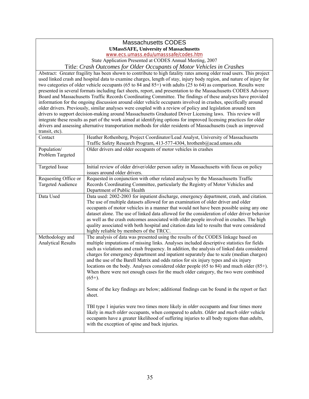# Massachusetts CODES

#### **UMassSAFE, University of Massachusetts**

www.ecs.umass.edu/umasssafe/codes.htm

State Application Presented at CODES Annual Meeting, 2007

Title: *Crash Outcomes for Older Occupants of Motor Vehicles in Crashes* 

 two categories of older vehicle occupants (65 to 84 and 85+) with adults (25 to 64) as comparison. Results were information for the ongoing discussion around older vehicle occupants involved in crashes, specifically around Abstract: Greater fragility has been shown to contribute to high fatality rates among older road users. This project used linked crash and hospital data to examine charges, length of stay, injury body region, and nature of injury for presented in several formats including fact sheets, report, and presentation to the Massachusetts CODES Advisory Board and Massachusetts Traffic Records Coordinating Committee. The findings of these analyses have provided older drivers. Previously, similar analyses were coupled with a review of policy and legislation around teen drivers to support decision-making around Massachusetts Graduated Driver Licensing laws. This review will integrate these results as part of the work aimed at identifying options for improved licensing practices for older drivers and assessing alternative transportation methods for older residents of Massachusetts (such as improved transit, etc).

| Contact                                          | Heather Rothenberg, Project Coordinator/Lead Analyst, University of Massachusetts<br>Traffic Safety Research Program, 413-577-4304, hrothenb@acad.umass.edu                                                                                                                                                                                                                                                                                                                                                                                                                                                                                                                                                                                                                                                                                                                                                                                                                                                                                                                                                                        |
|--------------------------------------------------|------------------------------------------------------------------------------------------------------------------------------------------------------------------------------------------------------------------------------------------------------------------------------------------------------------------------------------------------------------------------------------------------------------------------------------------------------------------------------------------------------------------------------------------------------------------------------------------------------------------------------------------------------------------------------------------------------------------------------------------------------------------------------------------------------------------------------------------------------------------------------------------------------------------------------------------------------------------------------------------------------------------------------------------------------------------------------------------------------------------------------------|
| Population/<br>Problem Targeted                  | Older drivers and older occupants of motor vehicles in crashes                                                                                                                                                                                                                                                                                                                                                                                                                                                                                                                                                                                                                                                                                                                                                                                                                                                                                                                                                                                                                                                                     |
| Targeted Issue                                   | Initial review of older driver/older person safety in Massachusetts with focus on policy<br>issues around older drivers.                                                                                                                                                                                                                                                                                                                                                                                                                                                                                                                                                                                                                                                                                                                                                                                                                                                                                                                                                                                                           |
| Requesting Office or<br><b>Targeted Audience</b> | Requested in conjunction with other related analyses by the Massachusetts Traffic<br>Records Coordinating Committee, particularly the Registry of Motor Vehicles and<br>Department of Public Health                                                                                                                                                                                                                                                                                                                                                                                                                                                                                                                                                                                                                                                                                                                                                                                                                                                                                                                                |
| Data Used                                        | Data used: 2002-2003 for inpatient discharge, emergency department, crash, and citation.<br>The use of multiple datasets allowed for an examination of older driver and older<br>occupants of motor vehicles in a manner that would not have been possible using any one<br>dataset alone. The use of linked data allowed for the consideration of older driver behavior<br>as well as the crash outcomes associated with older people involved in crashes. The high<br>quality associated with both hospital and citation data led to results that were considered<br>highly reliable by members of the TRCC.                                                                                                                                                                                                                                                                                                                                                                                                                                                                                                                     |
| Methodology and<br><b>Analytical Results</b>     | The analysis of data was presented using the results of the CODES linkage based on<br>multiple imputations of missing links. Analyses included descriptive statistics for fields<br>such as violations and crash frequency. In addition, the analysis of linked data considered<br>charges for emergency department and inpatient separately due to scale (median charges)<br>and the use of the Barell Matrix and odds ratios for six injury types and six injury<br>locations on the body. Analyses considered older people (65 to 84) and much older (85+).<br>When there were not enough cases for the much older category, the two were combined<br>$(65+)$ .<br>Some of the key findings are below; additional findings can be found in the report or fact<br>sheet.<br>TBI type 1 injuries were two times more likely in <i>older</i> occupants and four times more<br>likely in much older occupants, when compared to <i>adults. Older</i> and much older vehicle<br>occupants have a greater likelihood of suffering injuries to all body regions than <i>adults</i> ,<br>with the exception of spine and back injuries. |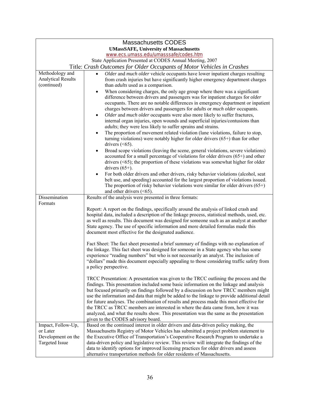| <b>Massachusetts CODES</b>                    |                                                                                                                                                                                                                                                                                                                                                                                                                                                                                                                                                                                                                                                                                          |  |  |
|-----------------------------------------------|------------------------------------------------------------------------------------------------------------------------------------------------------------------------------------------------------------------------------------------------------------------------------------------------------------------------------------------------------------------------------------------------------------------------------------------------------------------------------------------------------------------------------------------------------------------------------------------------------------------------------------------------------------------------------------------|--|--|
| <b>UMassSAFE, University of Massachusetts</b> |                                                                                                                                                                                                                                                                                                                                                                                                                                                                                                                                                                                                                                                                                          |  |  |
|                                               | www.ecs.umass.edu/umasssafe/codes.htm                                                                                                                                                                                                                                                                                                                                                                                                                                                                                                                                                                                                                                                    |  |  |
|                                               | State Application Presented at CODES Annual Meeting, 2007                                                                                                                                                                                                                                                                                                                                                                                                                                                                                                                                                                                                                                |  |  |
| Methodology and                               | Title: Crash Outcomes for Older Occupants of Motor Vehicles in Crashes<br>Older and much older vehicle occupants have lower inpatient charges resulting<br>$\bullet$                                                                                                                                                                                                                                                                                                                                                                                                                                                                                                                     |  |  |
| <b>Analytical Results</b>                     | from crash injuries but have significantly higher emergency department charges                                                                                                                                                                                                                                                                                                                                                                                                                                                                                                                                                                                                           |  |  |
| (continued)                                   | than <i>adults</i> used as a comparison.                                                                                                                                                                                                                                                                                                                                                                                                                                                                                                                                                                                                                                                 |  |  |
|                                               | When considering charges, the only age group where there was a significant<br>$\bullet$<br>difference between drivers and passengers was for inpatient charges for older<br>occupants. There are no notable differences in emergency department or inpatient<br>charges between drivers and passengers for <i>adults</i> or <i>much older</i> occupants.<br>Older and much older occupants were also more likely to suffer fractures,<br>$\bullet$                                                                                                                                                                                                                                       |  |  |
|                                               | internal organ injuries, open wounds and superficial injuries/contusions than<br><i>adults</i> ; they were less likely to suffer sprains and strains.                                                                                                                                                                                                                                                                                                                                                                                                                                                                                                                                    |  |  |
|                                               | The proportion of movement related violation (lane violations, failure to stop,<br>$\bullet$<br>turning violations) were notably higher for older drivers $(65+)$ than for other<br>drivers $(65).$                                                                                                                                                                                                                                                                                                                                                                                                                                                                                      |  |  |
|                                               | Broad scope violations (leaving the scene, general violations, severe violations)<br>$\bullet$                                                                                                                                                                                                                                                                                                                                                                                                                                                                                                                                                                                           |  |  |
|                                               | accounted for a small percentage of violations for older drivers $(65+)$ and other<br>drivers $(65);$ the proportion of these violations was somewhat higher for older<br>drivers $(65+)$ .                                                                                                                                                                                                                                                                                                                                                                                                                                                                                              |  |  |
|                                               | For both older drivers and other drivers, risky behavior violations (alcohol, seat<br>belt use, and speeding) accounted for the largest proportion of violations issued.<br>The proportion of risky behavior violations were similar for older drivers $(65+)$<br>and other drivers $(<65)$ .                                                                                                                                                                                                                                                                                                                                                                                            |  |  |
| Dissemination                                 | Results of the analysis were presented in three formats:                                                                                                                                                                                                                                                                                                                                                                                                                                                                                                                                                                                                                                 |  |  |
| Formats                                       | Report: A report on the findings, specifically around the analysis of linked crash and<br>hospital data, included a description of the linkage process, statistical methods, used, etc.<br>as well as results. This document was designed for someone such as an analyst at another<br>State agency. The use of specific information and more detailed formulas made this<br>document most effective for the designated audience.                                                                                                                                                                                                                                                        |  |  |
|                                               | Fact Sheet: The fact sheet presented a brief summary of findings with no explanation of<br>the linkage. This fact sheet was designed for someone in a State agency who has some<br>experience "reading numbers" but who is not necessarily an analyst. The inclusion of<br>"dollars" made this document especially appealing to those considering traffic safety from<br>a policy perspective.                                                                                                                                                                                                                                                                                           |  |  |
|                                               | TRCC Presentation: A presentation was given to the TRCC outlining the process and the<br>findings. This presentation included some basic information on the linkage and analysis<br>but focused primarily on findings followed by a discussion on how TRCC members might<br>use the information and data that might be added to the linkage to provide additional detail<br>for future analyses. The combination of results and process made this most effective for<br>the TRCC as TRCC members are interested in where the data came from, how it was<br>analyzed, and what the results show. This presentation was the same as the presentation<br>given to the CODES advisory board. |  |  |
| Impact, Follow-Up,                            | Based on the continued interest in older drivers and data-driven policy making, the                                                                                                                                                                                                                                                                                                                                                                                                                                                                                                                                                                                                      |  |  |
| or Later                                      | Massachusetts Registry of Motor Vehicles has submitted a project problem statement to                                                                                                                                                                                                                                                                                                                                                                                                                                                                                                                                                                                                    |  |  |
| Development on the<br>Targeted Issue          | the Executive Office of Transportation's Cooperative Research Program to undertake a<br>data-driven policy and legislative review. This review will integrate the findings of the                                                                                                                                                                                                                                                                                                                                                                                                                                                                                                        |  |  |
|                                               | data to identify options for improved licensing practices for older drivers and assess                                                                                                                                                                                                                                                                                                                                                                                                                                                                                                                                                                                                   |  |  |
|                                               | alternative transportation methods for older residents of Massachusetts.                                                                                                                                                                                                                                                                                                                                                                                                                                                                                                                                                                                                                 |  |  |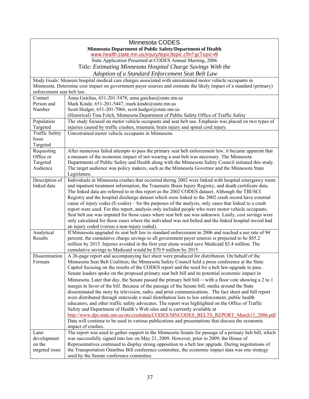|                                                            | Minnesota CODES                                                                                                     |  |  |
|------------------------------------------------------------|---------------------------------------------------------------------------------------------------------------------|--|--|
| Minnesota Department of Public Safety/Department of Health |                                                                                                                     |  |  |
|                                                            | www.health.state.mn.us/injury/topic/topic.cfm?gcTopic=9                                                             |  |  |
|                                                            | State Application Presented at CODES Annual Meeting, 2006                                                           |  |  |
|                                                            | Title: Estimating Minnesota Hospital Charge Savings With the                                                        |  |  |
|                                                            | Adoption of a Standard Enforcement Seat Belt Law                                                                    |  |  |
|                                                            | Study Goals: Measure hospital medical care charges associated with unrestrained motor vehicle occupants in          |  |  |
|                                                            | Minnesota. Determine cost impact on government payer sources and estimate the likely impact of a standard (primary) |  |  |
| enforcement seat belt law.                                 |                                                                                                                     |  |  |
| Contact                                                    | Anna Gaichas, 651-201-5478, anna gaichas@state.mn.us                                                                |  |  |
| Person and                                                 | Mark Kinde, 651-201-5447, mark.kinde@state.mn.us                                                                    |  |  |
| Number                                                     | Scott Hedger, 651-201-7066, scott.hedger@state.mn.us                                                                |  |  |
|                                                            | (Historical) Tina Folch, Minnesota Department of Public Safety Office of Traffic Safety                             |  |  |
| Population                                                 | The study focused on motor vehicle occupants and seat belt use. Emphasis was placed on two types of                 |  |  |
| Targeted                                                   | injuries caused by traffic crashes, traumatic brain injury and spinal cord injury.                                  |  |  |
| <b>Traffic Safety</b>                                      | Unrestrained motor vehicle occupants in Minnesota.                                                                  |  |  |
| Issue                                                      |                                                                                                                     |  |  |
| Targeted                                                   |                                                                                                                     |  |  |
| Requesting                                                 | After numerous failed attempts to pass the primary seat belt enforcement law, it became apparent that               |  |  |
| Office or                                                  | a measure of the economic impact of not wearing a seat belt was necessary. The Minnesota                            |  |  |
| Targeted                                                   | Departments of Public Safety and Health along with the Minnesota Safety Council initiated this study.               |  |  |
| Audience                                                   | The target audience was policy makers, such as the Minnesota Governor and the Minnesota State                       |  |  |
|                                                            | Legislature.                                                                                                        |  |  |
| Description of                                             | Individuals in Minnesota crashes that occurred during 2002 were linked with hospital emergency room                 |  |  |
| linked data                                                | and inpatient treatment information, the Traumatic Brain Injury Registry, and death certificate data.               |  |  |
|                                                            | The linked data are referred to in this report as the 2002 CODES dataset. Although the TBI/SCI                      |  |  |
|                                                            | Registry and the hospital discharge dataset which were linked to the 2002 crash record have external                |  |  |
|                                                            | cause of injury codes (E-codes) – for the purposes of the analysis, only cases that linked to a crash               |  |  |
|                                                            | report were used. For this report, analysis only included people who were motor vehicle occupants.                  |  |  |
|                                                            | Seat belt use was imputed for those cases where seat belt use was unknown. Lastly, cost savings were                |  |  |
|                                                            | only calculated for those cases where the individual was not belted and the linked hospital record had              |  |  |
|                                                            | an injury coded (versus a non-injury coded).                                                                        |  |  |
| Analytical                                                 | If Minnesota upgraded its seat belt law to standard enforcement in 2006 and reached a use rate of 94                |  |  |
| Results                                                    | percent, the cumulative charge savings to all government payer sources is projected to be \$85.2                    |  |  |
|                                                            | million by 2015. Injuries avoided in the first year alone would save Medicaid \$3.4 million. The                    |  |  |
|                                                            | cumulative savings to Medicaid would be \$70.9 million by 2015.                                                     |  |  |
| Dissemination                                              | A 26-page report and accompanying fact sheet were produced for distribution. On behalf of the                       |  |  |
| <b>Formats</b>                                             | Minnesota Seat Belt Coalition, the Minnesota Safety Council held a press conference at the State                    |  |  |
|                                                            | Capitol focusing on the results of the CODES report and the need for a belt law-upgrade to pass.                    |  |  |
|                                                            | Senate leaders spoke on the proposed primary seat belt bill and its potential economic impact in                    |  |  |
|                                                            | Minnesota. Later that day, the Senate passed the primary belt bill—with a floor vote showing a 2 to 1               |  |  |
|                                                            | margin in favor of the bill. Because of the passage of the Senate bill, media around the State                      |  |  |
|                                                            | disseminated the story by television, radio, and print communications. The fact sheet and full report               |  |  |
|                                                            | were distributed through statewide e-mail distribution lists to law enforcement, public health                      |  |  |
|                                                            | educators, and other traffic safety advocates. The report was highlighted on the Office of Traffic                  |  |  |
|                                                            | Safety and Department of Health's Web sites and is currently available at                                           |  |  |
|                                                            | http://www.dps.state.mn.us/ots/crashdata/CODES/MNCODES BELTS REPORT March13 2006.pdf                                |  |  |
|                                                            | Data will continue to be used in various publications and presentations that discuss the economic                   |  |  |
|                                                            | impact of crashes.                                                                                                  |  |  |
| Later                                                      | The report was used to gather support in the Minnesota Senate for passage of a primary belt bill, which             |  |  |
| development                                                | was successfully signed into law on May 21, 2009. However, prior to 2009, the House of                              |  |  |
| on the                                                     | Representatives continued to display strong opposition to a belt law upgrade. During negotiations of                |  |  |
| targeted issue                                             | the Transportation Omnibus Bill conference committee, the economic impact data was one strategy                     |  |  |
|                                                            | used by the Senate conference committee.                                                                            |  |  |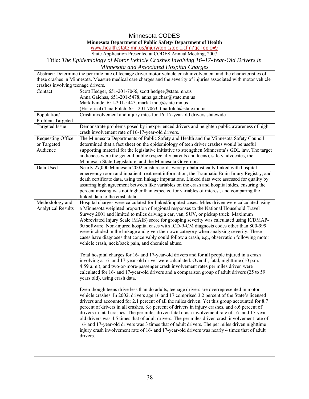| <b>Minnesota CODES</b>                                      |                                                                                                                                                                                                    |  |
|-------------------------------------------------------------|----------------------------------------------------------------------------------------------------------------------------------------------------------------------------------------------------|--|
| Minnesota Department of Public Safety/ Department of Health |                                                                                                                                                                                                    |  |
|                                                             | www.health.state.mn.us/injury/topic/topic.cfm?gcTopic=9                                                                                                                                            |  |
| State Application Presented at CODES Annual Meeting, 2007   |                                                                                                                                                                                                    |  |
|                                                             | Title: The Epidemiology of Motor Vehicle Crashes Involving 16-17-Year-Old Drivers in                                                                                                               |  |
|                                                             | Minnesota and Associated Hospital Charges                                                                                                                                                          |  |
|                                                             | Abstract: Determine the per mile rate of teenage driver motor vehicle crash involvement and the characteristics of                                                                                 |  |
|                                                             | these crashes in Minnesota. Measure medical care charges and the severity of injuries associated with motor vehicle                                                                                |  |
| crashes involving teenage drivers.                          |                                                                                                                                                                                                    |  |
| Contact                                                     | Scott Hedger, 651-201-7066, scott.hedger@state.mn.us                                                                                                                                               |  |
|                                                             | Anna Gaichas, 651-201-5478, anna gaichas@state.mn.us                                                                                                                                               |  |
|                                                             | Mark Kinde, 651-201-5447, mark.kinde@state.mn.us                                                                                                                                                   |  |
| Population/                                                 | (Historical) Tina Folch, 651-201-7063, tina.folch@state.mn.us<br>Crash involvement and injury rates for 16-17-year-old drivers statewide                                                           |  |
| Problem Targeted                                            |                                                                                                                                                                                                    |  |
| <b>Targeted Issue</b>                                       | Demonstrate problems posed by inexperienced drivers and heighten public awareness of high                                                                                                          |  |
|                                                             | crash involvement rate of 16-17-year-old drivers.                                                                                                                                                  |  |
| <b>Requesting Office</b>                                    | The Minnesota Departments of Public Safety and Health and the Minnesota Safety Council                                                                                                             |  |
| or Targeted                                                 | determined that a fact sheet on the epidemiology of teen driver crashes would be useful                                                                                                            |  |
| Audience                                                    | supporting material for the legislative initiative to strengthen Minnesota's GDL law. The target                                                                                                   |  |
|                                                             | audiences were the general public (especially parents and teens), safety advocates, the                                                                                                            |  |
|                                                             | Minnesota State Legislature, and the Minnesota Governor.                                                                                                                                           |  |
| Data Used                                                   | Nearly 27,000 Minnesota 2002 crash records were probabilistically linked with hospital                                                                                                             |  |
|                                                             | emergency room and inpatient treatment information, the Traumatic Brain Injury Registry, and                                                                                                       |  |
|                                                             | death certificate data, using ten linkage imputations. Linked data were assessed for quality by                                                                                                    |  |
|                                                             | assuring high agreement between like variables on the crash and hospital sides, ensuring the                                                                                                       |  |
|                                                             | percent missing was not higher than expected for variables of interest, and comparing the                                                                                                          |  |
|                                                             | linked data to the crash data.                                                                                                                                                                     |  |
| Methodology and<br><b>Analytical Results</b>                | Hospital charges were calculated for linked/imputed cases. Miles driven were calculated using<br>a Minnesota weighted proportion of regional responses to the National Household Travel            |  |
|                                                             | Survey 2001 and limited to miles driving a car, van, SUV, or pickup truck. Maximum                                                                                                                 |  |
|                                                             | Abbreviated Injury Scale (MAIS) score for grouping severity was calculated using ICDMAP-                                                                                                           |  |
|                                                             | 90 software. Non-injured hospital cases with ICD-9-CM diagnosis codes other than 800-999                                                                                                           |  |
|                                                             | were included in the linkage and given their own category when analyzing severity. These                                                                                                           |  |
|                                                             | cases have diagnoses that conceivably could follow a crash, e.g., observation following motor                                                                                                      |  |
|                                                             | vehicle crash, neck/back pain, and chemical abuse.                                                                                                                                                 |  |
|                                                             |                                                                                                                                                                                                    |  |
|                                                             | Total hospital charges for 16- and 17-year-old drivers and for all people injured in a crash                                                                                                       |  |
|                                                             | involving a 16- and 17-year-old driver were calculated. Overall, fatal, nighttime (10 p.m. -                                                                                                       |  |
|                                                             | 4:59 a.m.), and two-or-more-passenger crash involvement rates per miles driven were                                                                                                                |  |
|                                                             | calculated for 16- and 17-year-old drivers and a comparison group of adult drivers (25 to 59)                                                                                                      |  |
|                                                             | years old), using crash data.                                                                                                                                                                      |  |
|                                                             |                                                                                                                                                                                                    |  |
|                                                             | Even though teens drive less than do adults, teenage drivers are overrepresented in motor                                                                                                          |  |
|                                                             | vehicle crashes. In 2002, drivers age 16 and 17 comprised 3.2 percent of the State's licensed                                                                                                      |  |
|                                                             | drivers and accounted for 2.1 percent of all the miles driven. Yet this group accounted for 8.7                                                                                                    |  |
|                                                             | percent of drivers in all crashes, 8.8 percent of drivers in injury crashes, and 8.6 percent of<br>drivers in fatal crashes. The per miles driven fatal crash involvement rate of 16- and 17-year- |  |
|                                                             | old drivers was 4.5 times that of adult drivers. The per miles driven crash involvement rate of                                                                                                    |  |
|                                                             | 16- and 17-year-old drivers was 3 times that of adult drivers. The per miles driven nighttime                                                                                                      |  |
|                                                             | injury crash involvement rate of 16- and 17-year-old drivers was nearly 4 times that of adult                                                                                                      |  |
|                                                             | drivers.                                                                                                                                                                                           |  |
|                                                             |                                                                                                                                                                                                    |  |
|                                                             |                                                                                                                                                                                                    |  |
|                                                             |                                                                                                                                                                                                    |  |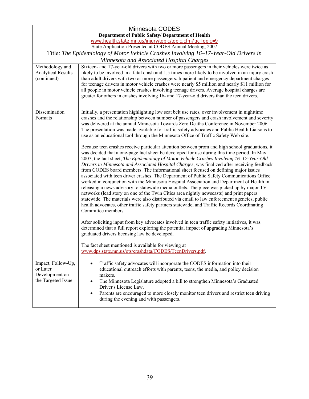| <b>Minnesota CODES</b>                                                               |                                                                                                                                                                                                                                                                                                                                                                                                                                                                                                                                                                                                                                                                                                                                                                                                                                                                                                                                                                                                                                                                                         |
|--------------------------------------------------------------------------------------|-----------------------------------------------------------------------------------------------------------------------------------------------------------------------------------------------------------------------------------------------------------------------------------------------------------------------------------------------------------------------------------------------------------------------------------------------------------------------------------------------------------------------------------------------------------------------------------------------------------------------------------------------------------------------------------------------------------------------------------------------------------------------------------------------------------------------------------------------------------------------------------------------------------------------------------------------------------------------------------------------------------------------------------------------------------------------------------------|
| Department of Public Safety/ Department of Health                                    |                                                                                                                                                                                                                                                                                                                                                                                                                                                                                                                                                                                                                                                                                                                                                                                                                                                                                                                                                                                                                                                                                         |
|                                                                                      | www.health.state.mn.us/injury/topic/topic.cfm?gcTopic=9<br>State Application Presented at CODES Annual Meeting, 2007                                                                                                                                                                                                                                                                                                                                                                                                                                                                                                                                                                                                                                                                                                                                                                                                                                                                                                                                                                    |
| Title: The Epidemiology of Motor Vehicle Crashes Involving 16–17-Year-Old Drivers in |                                                                                                                                                                                                                                                                                                                                                                                                                                                                                                                                                                                                                                                                                                                                                                                                                                                                                                                                                                                                                                                                                         |
|                                                                                      | Minnesota and Associated Hospital Charges                                                                                                                                                                                                                                                                                                                                                                                                                                                                                                                                                                                                                                                                                                                                                                                                                                                                                                                                                                                                                                               |
| Methodology and                                                                      | Sixteen- and 17-year-old drivers with two or more passengers in their vehicles were twice as                                                                                                                                                                                                                                                                                                                                                                                                                                                                                                                                                                                                                                                                                                                                                                                                                                                                                                                                                                                            |
| <b>Analytical Results</b><br>(continued)                                             | likely to be involved in a fatal crash and 1.5 times more likely to be involved in an injury crash<br>than adult drivers with two or more passengers. Inpatient and emergency department charges<br>for teenage drivers in motor vehicle crashes were nearly \$5 million and nearly \$11 million for<br>all people in motor vehicle crashes involving teenage drivers. Average hospital charges are<br>greater for others in crashes involving 16- and 17-year-old drivers than the teen drivers.                                                                                                                                                                                                                                                                                                                                                                                                                                                                                                                                                                                       |
| Dissemination<br>Formats                                                             | Initially, a presentation highlighting low seat belt use rates, over involvement in nighttime<br>crashes and the relationship between number of passengers and crash involvement and severity<br>was delivered at the annual Minnesota Towards Zero Deaths Conference in November 2006.<br>The presentation was made available for traffic safety advocates and Public Health Liaisons to<br>use as an educational tool through the Minnesota Office of Traffic Safety Web site.                                                                                                                                                                                                                                                                                                                                                                                                                                                                                                                                                                                                        |
|                                                                                      | Because teen crashes receive particular attention between prom and high school graduations, it<br>was decided that a one-page fact sheet be developed for use during this time period. In May<br>2007, the fact sheet, The Epidemiology of Motor Vehicle Crashes Involving 16-17-Year-Old<br>Drivers in Minnesota and Associated Hospital Charges, was finalized after receiving feedback<br>from CODES board members. The informational sheet focused on defining major issues<br>associated with teen driver crashes. The Department of Public Safety Communications Office<br>worked in conjunction with the Minnesota Hospital Association and Department of Health in<br>releasing a news advisory to statewide media outlets. The piece was picked up by major TV<br>networks (lead story on one of the Twin Cities area nightly newscasts) and print papers<br>statewide. The materials were also distributed via email to law enforcement agencies, public<br>health advocates, other traffic safety partners statewide, and Traffic Records Coordinating<br>Committee members. |
|                                                                                      | After soliciting input from key advocates involved in teen traffic safety initiatives, it was<br>determined that a full report exploring the potential impact of upgrading Minnesota's<br>graduated drivers licensing law be developed.                                                                                                                                                                                                                                                                                                                                                                                                                                                                                                                                                                                                                                                                                                                                                                                                                                                 |
|                                                                                      | The fact sheet mentioned is available for viewing at<br>www.dps.state.mn.us/ots/crashdata/CODES/TeenDrivers.pdf.                                                                                                                                                                                                                                                                                                                                                                                                                                                                                                                                                                                                                                                                                                                                                                                                                                                                                                                                                                        |
| Impact, Follow-Up,<br>or Later<br>Development on<br>the Targeted Issue               | Traffic safety advocates will incorporate the CODES information into their<br>$\bullet$<br>educational outreach efforts with parents, teens, the media, and policy decision<br>makers.<br>The Minnesota Legislature adopted a bill to strengthen Minnesota's Graduated<br>$\bullet$<br>Driver's License Law.<br>Parents are encouraged to more closely monitor teen drivers and restrict teen driving<br>$\bullet$<br>during the evening and with passengers.                                                                                                                                                                                                                                                                                                                                                                                                                                                                                                                                                                                                                           |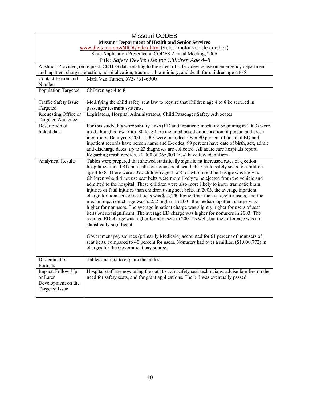|                                                                               | <b>Missouri CODES</b>                                                                                                                                                                                                                                                                                                                                                                                                                                                                                                                                                                                                                                                                                                                                                                                                                                                                                                                                                                                                                                                                                                                                                                                                                                                                         |  |
|-------------------------------------------------------------------------------|-----------------------------------------------------------------------------------------------------------------------------------------------------------------------------------------------------------------------------------------------------------------------------------------------------------------------------------------------------------------------------------------------------------------------------------------------------------------------------------------------------------------------------------------------------------------------------------------------------------------------------------------------------------------------------------------------------------------------------------------------------------------------------------------------------------------------------------------------------------------------------------------------------------------------------------------------------------------------------------------------------------------------------------------------------------------------------------------------------------------------------------------------------------------------------------------------------------------------------------------------------------------------------------------------|--|
|                                                                               | <b>Missouri Department of Health and Senior Services</b>                                                                                                                                                                                                                                                                                                                                                                                                                                                                                                                                                                                                                                                                                                                                                                                                                                                                                                                                                                                                                                                                                                                                                                                                                                      |  |
|                                                                               | www.dhss.mo.gov/MICA/index.html (Select motor vehicle crashes)                                                                                                                                                                                                                                                                                                                                                                                                                                                                                                                                                                                                                                                                                                                                                                                                                                                                                                                                                                                                                                                                                                                                                                                                                                |  |
|                                                                               | State Application Presented at CODES Annual Meeting, 2006                                                                                                                                                                                                                                                                                                                                                                                                                                                                                                                                                                                                                                                                                                                                                                                                                                                                                                                                                                                                                                                                                                                                                                                                                                     |  |
|                                                                               | Title: Safety Device Use for Children Age 4–8                                                                                                                                                                                                                                                                                                                                                                                                                                                                                                                                                                                                                                                                                                                                                                                                                                                                                                                                                                                                                                                                                                                                                                                                                                                 |  |
|                                                                               | Abstract: Provided, on request, CODES data relating to the effect of safety device use on emergency department                                                                                                                                                                                                                                                                                                                                                                                                                                                                                                                                                                                                                                                                                                                                                                                                                                                                                                                                                                                                                                                                                                                                                                                |  |
|                                                                               | and inpatient charges, ejection, hospitalization, traumatic brain injury, and death for children age 4 to 8.                                                                                                                                                                                                                                                                                                                                                                                                                                                                                                                                                                                                                                                                                                                                                                                                                                                                                                                                                                                                                                                                                                                                                                                  |  |
| Contact Person and                                                            | Mark Van Tuinen, 573-751-6300                                                                                                                                                                                                                                                                                                                                                                                                                                                                                                                                                                                                                                                                                                                                                                                                                                                                                                                                                                                                                                                                                                                                                                                                                                                                 |  |
| Number                                                                        |                                                                                                                                                                                                                                                                                                                                                                                                                                                                                                                                                                                                                                                                                                                                                                                                                                                                                                                                                                                                                                                                                                                                                                                                                                                                                               |  |
| <b>Population Targeted</b>                                                    | Children age 4 to 8                                                                                                                                                                                                                                                                                                                                                                                                                                                                                                                                                                                                                                                                                                                                                                                                                                                                                                                                                                                                                                                                                                                                                                                                                                                                           |  |
| <b>Traffic Safety Issue</b>                                                   | Modifying the child safety seat law to require that children age 4 to 8 be secured in                                                                                                                                                                                                                                                                                                                                                                                                                                                                                                                                                                                                                                                                                                                                                                                                                                                                                                                                                                                                                                                                                                                                                                                                         |  |
| Targeted                                                                      | passenger restraint systems.                                                                                                                                                                                                                                                                                                                                                                                                                                                                                                                                                                                                                                                                                                                                                                                                                                                                                                                                                                                                                                                                                                                                                                                                                                                                  |  |
| Requesting Office or<br>Targeted Audience                                     | Legislators, Hospital Administrators, Child Passenger Safety Advocates                                                                                                                                                                                                                                                                                                                                                                                                                                                                                                                                                                                                                                                                                                                                                                                                                                                                                                                                                                                                                                                                                                                                                                                                                        |  |
| Description of                                                                | For this study, high-probability links (ED and inpatient; mortality beginning in 2003) were                                                                                                                                                                                                                                                                                                                                                                                                                                                                                                                                                                                                                                                                                                                                                                                                                                                                                                                                                                                                                                                                                                                                                                                                   |  |
| linked data                                                                   | used, though a few from .80 to .89 are included based on inspection of person and crash                                                                                                                                                                                                                                                                                                                                                                                                                                                                                                                                                                                                                                                                                                                                                                                                                                                                                                                                                                                                                                                                                                                                                                                                       |  |
|                                                                               | identifiers. Data years 2001, 2003 were included. Over 90 percent of hospital ED and                                                                                                                                                                                                                                                                                                                                                                                                                                                                                                                                                                                                                                                                                                                                                                                                                                                                                                                                                                                                                                                                                                                                                                                                          |  |
|                                                                               | inpatient records have person name and E-codes; 99 percent have date of birth, sex, admit                                                                                                                                                                                                                                                                                                                                                                                                                                                                                                                                                                                                                                                                                                                                                                                                                                                                                                                                                                                                                                                                                                                                                                                                     |  |
|                                                                               | and discharge dates; up to 23 diagnoses are collected. All acute care hospitals report.                                                                                                                                                                                                                                                                                                                                                                                                                                                                                                                                                                                                                                                                                                                                                                                                                                                                                                                                                                                                                                                                                                                                                                                                       |  |
|                                                                               | Regarding crash records, 20,000 of 365,000 (5%) have few identifiers.                                                                                                                                                                                                                                                                                                                                                                                                                                                                                                                                                                                                                                                                                                                                                                                                                                                                                                                                                                                                                                                                                                                                                                                                                         |  |
| <b>Analytical Results</b>                                                     | Tables were prepared that showed statistically significant increased rates of ejection,<br>hospitalization, TBI and death for nonusers of seat belts / child safety seats for children<br>age 4 to 8. There were 3090 children age 4 to 8 for whom seat belt usage was known.<br>Children who did not use seat belts were more likely to be ejected from the vehicle and<br>admitted to the hospital. These children were also more likely to incur traumatic brain<br>injuries or fatal injuries than children using seat belts. In 2003, the average inpatient<br>charge for nonusers of seat belts was \$16,240 higher than the average for users, and the<br>median inpatient charge was \$5252 higher. In 2001 the median inpatient charge was<br>higher for nonusers. The average inpatient charge was slightly higher for users of seat<br>belts but not significant. The average ED charge was higher for nonusers in 2003. The<br>average ED charge was higher for nonusers in 2001 as well, but the difference was not<br>statistically significant.<br>Government pay sources (primarily Medicaid) accounted for 61 percent of nonusers of<br>seat belts, compared to 40 percent for users. Nonusers had over a million (\$1,000,772) in<br>charges for the Government pay source. |  |
| Dissemination<br>Formats                                                      | Tables and text to explain the tables.                                                                                                                                                                                                                                                                                                                                                                                                                                                                                                                                                                                                                                                                                                                                                                                                                                                                                                                                                                                                                                                                                                                                                                                                                                                        |  |
| Impact, Follow-Up,<br>or Later<br>Development on the<br><b>Targeted Issue</b> | Hospital staff are now using the data to train safety seat technicians, advise families on the<br>need for safety seats, and for grant applications. The bill was eventually passed.                                                                                                                                                                                                                                                                                                                                                                                                                                                                                                                                                                                                                                                                                                                                                                                                                                                                                                                                                                                                                                                                                                          |  |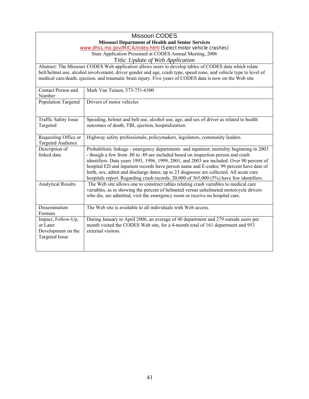|                                                          | Missouri CODES                                                                                                                                                                |  |  |
|----------------------------------------------------------|-------------------------------------------------------------------------------------------------------------------------------------------------------------------------------|--|--|
| <b>Missouri Department of Health and Senior Services</b> |                                                                                                                                                                               |  |  |
|                                                          | www.dhss.mo.gov/MICA/index.html (Select motor vehicle crashes)                                                                                                                |  |  |
|                                                          | State Application Presented at CODES Annual Meeting, 2006                                                                                                                     |  |  |
|                                                          | Title: Update of Web Application                                                                                                                                              |  |  |
|                                                          | Abstract: The Missouri CODES Web application allows users to develop tables of CODES data which relate                                                                        |  |  |
|                                                          | belt/helmet use, alcohol involvement, driver gender and age, crash type, speed zone, and vehicle type to level of                                                             |  |  |
|                                                          | medical care/death, ejection, and traumatic brain injury. Five years of CODES data is now on the Web site                                                                     |  |  |
|                                                          |                                                                                                                                                                               |  |  |
| Contact Person and                                       | Mark Van Tuinen, 573-751-6300                                                                                                                                                 |  |  |
| Number                                                   |                                                                                                                                                                               |  |  |
| <b>Population Targeted</b>                               | Drivers of motor vehicles                                                                                                                                                     |  |  |
|                                                          |                                                                                                                                                                               |  |  |
|                                                          |                                                                                                                                                                               |  |  |
| <b>Traffic Safety Issue</b><br>Targeted                  | Speeding, helmet and belt use, alcohol use, age, and sex of driver as related to health<br>outcomes of death, TBI, ejection, hospitalization.                                 |  |  |
|                                                          |                                                                                                                                                                               |  |  |
| Requesting Office or                                     | Highway safety professionals, policymakers, legislators, community leaders.                                                                                                   |  |  |
| <b>Targeted Audience</b>                                 |                                                                                                                                                                               |  |  |
| Description of                                           | Probabilistic linkage - emergency departments and inpatient; mortality beginning in 2003                                                                                      |  |  |
| linked data                                              | - though a few from .80 to .89 are included based on inspection person and crash                                                                                              |  |  |
|                                                          | identifiers. Data years 1993, 1996, 1999, 2001, and 2003 are included. Over 90 percent of                                                                                     |  |  |
|                                                          | hospital ED and inpatient records have person name and E-codes; 99 percent have date of                                                                                       |  |  |
|                                                          | birth, sex, admit and discharge dates; up to 23 diagnoses are collected. All acute care                                                                                       |  |  |
|                                                          | hospitals report. Regarding crash records, 20,000 of 365,000 (5%) have few identifiers.                                                                                       |  |  |
| <b>Analytical Results</b>                                | The Web site allows one to construct tables relating crash variables to medical care<br>variables, as in showing the percent of helmeted versus unhelmeted motorcycle drivers |  |  |
|                                                          | who die, are admitted, visit the emergency room or receive no hospital care.                                                                                                  |  |  |
|                                                          |                                                                                                                                                                               |  |  |
| Dissemination                                            | The Web site is available to all individuals with Web access.                                                                                                                 |  |  |
| Formats                                                  |                                                                                                                                                                               |  |  |
| Impact, Follow-Up,                                       | During January to April 2006, an average of 40 department and 279 outside users per                                                                                           |  |  |
| or Later                                                 | month visited the CODES Web site, for a 4-month total of 161 department and 953                                                                                               |  |  |
| Development on the                                       | external visitors.                                                                                                                                                            |  |  |
| <b>Targeted Issue</b>                                    |                                                                                                                                                                               |  |  |
|                                                          |                                                                                                                                                                               |  |  |
|                                                          |                                                                                                                                                                               |  |  |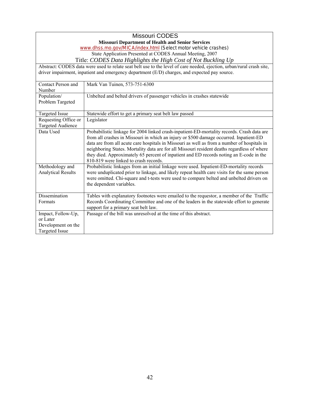| <b>Missouri CODES</b>                                          |                                                                                                                                  |
|----------------------------------------------------------------|----------------------------------------------------------------------------------------------------------------------------------|
| <b>Missouri Department of Health and Senior Services</b>       |                                                                                                                                  |
| www.dhss.mo.gov/MICA/index.html (Select motor vehicle crashes) |                                                                                                                                  |
| State Application Presented at CODES Annual Meeting, 2007      |                                                                                                                                  |
|                                                                | Title: CODES Data Highlights the High Cost of Not Buckling Up                                                                    |
|                                                                | Abstract: CODES data were used to relate seat belt use to the level of care needed, ejection, urban/rural crash site,            |
|                                                                | driver impairment, inpatient and emergency department (E/D) charges, and expected pay source.                                    |
| Contact Person and                                             | Mark Van Tuinen, 573-751-6300                                                                                                    |
| Number                                                         |                                                                                                                                  |
| Population/                                                    | Unbelted and belted drivers of passenger vehicles in crashes statewide                                                           |
| Problem Targeted                                               |                                                                                                                                  |
|                                                                |                                                                                                                                  |
| Targeted Issue                                                 | Statewide effort to get a primary seat belt law passed                                                                           |
| Requesting Office or                                           | Legislator                                                                                                                       |
| <b>Targeted Audience</b>                                       |                                                                                                                                  |
| Data Used                                                      | Probabilistic linkage for 2004 linked crash-inpatient-ED-mortality records. Crash data are                                       |
|                                                                | from all crashes in Missouri in which an injury or \$500 damage occurred. Inpatient-ED                                           |
|                                                                | data are from all acute care hospitals in Missouri as well as from a number of hospitals in                                      |
|                                                                | neighboring States. Mortality data are for all Missouri resident deaths regardless of where                                      |
|                                                                | they died. Approximately 65 percent of inpatient and ED records noting an E-code in the<br>810-819 were linked to crash records. |
| Methodology and                                                | Probabilistic linkages from an initial linkage were used. Inpatient-ED-mortality records                                         |
| <b>Analytical Results</b>                                      | were unduplicated prior to linkage, and likely repeat health care visits for the same person                                     |
|                                                                | were omitted. Chi-square and t-tests were used to compare belted and unbelted drivers on                                         |
|                                                                | the dependent variables.                                                                                                         |
|                                                                |                                                                                                                                  |
| Dissemination                                                  | Tables with explanatory footnotes were emailed to the requestor, a member of the Traffic                                         |
| Formats                                                        | Records Coordinating Committee and one of the leaders in the statewide effort to generate                                        |
|                                                                | support for a primary seat belt law.                                                                                             |
| Impact, Follow-Up,                                             | Passage of the bill was unresolved at the time of this abstract.                                                                 |
| or Later                                                       |                                                                                                                                  |
| Development on the                                             |                                                                                                                                  |
| <b>Targeted Issue</b>                                          |                                                                                                                                  |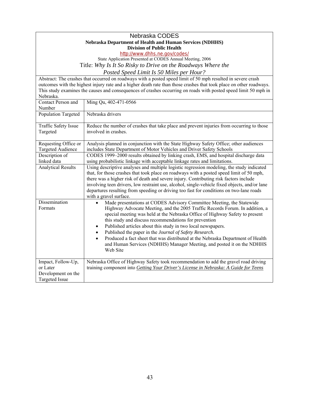| Nebraska CODES                                                  |                                                                                                                                                              |  |
|-----------------------------------------------------------------|--------------------------------------------------------------------------------------------------------------------------------------------------------------|--|
| <b>Nebraska Department of Health and Human Services (NDHHS)</b> |                                                                                                                                                              |  |
| <b>Division of Public Health</b>                                |                                                                                                                                                              |  |
| http://www.dhhs.ne.gov/codes/                                   |                                                                                                                                                              |  |
| State Application Presented at CODES Annual Meeting, 2006       |                                                                                                                                                              |  |
|                                                                 | Title: Why Is It So Risky to Drive on the Roadways Where the                                                                                                 |  |
|                                                                 | Posted Speed Limit Is 50 Miles per Hour?                                                                                                                     |  |
|                                                                 | Abstract: The crashes that occurred on roadways with a posted speed limit of 50 mph resulted in severe crash                                                 |  |
|                                                                 | outcomes with the highest injury rate and a higher death rate than those crashes that took place on other roadways.                                          |  |
| Nebraska.                                                       | This study examines the causes and consequences of crashes occurring on roads with posted speed limit 50 mph in                                              |  |
| Contact Person and                                              | Ming Qu, 402-471-0566                                                                                                                                        |  |
| Number                                                          |                                                                                                                                                              |  |
| <b>Population Targeted</b>                                      | Nebraska drivers                                                                                                                                             |  |
|                                                                 |                                                                                                                                                              |  |
| Traffic Safety Issue<br>Targeted                                | Reduce the number of crashes that take place and prevent injuries from occurring to those<br>involved in crashes.                                            |  |
|                                                                 |                                                                                                                                                              |  |
| Requesting Office or                                            | Analysis planned in conjunction with the State Highway Safety Office; other audiences                                                                        |  |
| <b>Targeted Audience</b>                                        | includes State Department of Motor Vehicles and Driver Safety Schools                                                                                        |  |
| Description of                                                  | CODES 1999–2000 results obtained by linking crash, EMS, and hospital discharge data                                                                          |  |
| linked data                                                     | using probabilistic linkage with acceptable linkage rates and limitations.                                                                                   |  |
| <b>Analytical Results</b>                                       | Using descriptive analyses and multiple logistic regression modeling, the study indicated                                                                    |  |
|                                                                 | that, for those crashes that took place on roadways with a posted speed limit of 50 mph,                                                                     |  |
|                                                                 | there was a higher risk of death and severe injury. Contributing risk factors include                                                                        |  |
|                                                                 | involving teen drivers, low restraint use, alcohol, single-vehicle fixed objects, and/or lane                                                                |  |
|                                                                 | departures resulting from speeding or driving too fast for conditions on two-lane roads                                                                      |  |
| Dissemination                                                   | with a gravel surface.                                                                                                                                       |  |
| Formats                                                         | Made presentations at CODES Advisory Committee Meeting, the Statewide                                                                                        |  |
|                                                                 | Highway Advocate Meeting, and the 2005 Traffic Records Forum. In addition, a<br>special meeting was held at the Nebraska Office of Highway Safety to present |  |
|                                                                 | this study and discuss recommendations for prevention                                                                                                        |  |
|                                                                 | Published articles about this study in two local newspapers.<br>$\bullet$                                                                                    |  |
|                                                                 | Published the paper in the Journal of Safety Research.<br>$\bullet$                                                                                          |  |
|                                                                 | Produced a fact sheet that was distributed at the Nebraska Department of Health<br>$\bullet$                                                                 |  |
|                                                                 | and Human Services (NDHHS) Manager Meeting, and posted it on the NDHHS                                                                                       |  |
|                                                                 | Web Site                                                                                                                                                     |  |
|                                                                 |                                                                                                                                                              |  |
| Impact, Follow-Up,                                              | Nebraska Office of Highway Safety took recommendation to add the gravel road driving                                                                         |  |
| or Later                                                        | training component into Getting Your Driver's License in Nebraska: A Guide for Teens                                                                         |  |
| Development on the                                              |                                                                                                                                                              |  |
| <b>Targeted Issue</b>                                           |                                                                                                                                                              |  |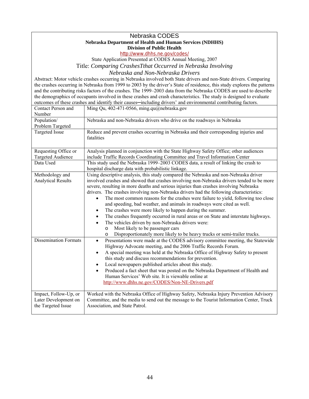#### **Division of Public Health**  Nebraska CODES **Nebraska Department of Health and Human Services (NDHHS)**

http://www.dhhs.ne.gov/codes/

State Application Presented at CODES Annual Meeting, 2007 Title: *Comparing CrashesTthat Occurred in Nebraska Involving* 

*Nebraska and Non-Nebraska Drivers* 

 Abstract: Motor vehicle crashes occurring in Nebraska involved both State drivers and non-State drivers. Comparing the demographics of occupants involved in these crashes and crash characteristics. The study is designed to evaluate the crashes occurring in Nebraska from 1999 to 2003 by the driver's State of residence, this study explores the patterns and the contributing risks factors of the crashes. The 1999–2003 data from the Nebraska CODES are used to describe outcomes of these crashes and identify their causes—including drivers' and environmental contributing factors.

| Contact Person and<br>Number                                                 | Ming Qu, 402-471-0566, ming.qu@nebraska.gov                                                                                                                                                                                                                                                                                                                                                                                                                                                                                                                                                                                                                                                                                                                                                                                                                                                                                                                                                             |
|------------------------------------------------------------------------------|---------------------------------------------------------------------------------------------------------------------------------------------------------------------------------------------------------------------------------------------------------------------------------------------------------------------------------------------------------------------------------------------------------------------------------------------------------------------------------------------------------------------------------------------------------------------------------------------------------------------------------------------------------------------------------------------------------------------------------------------------------------------------------------------------------------------------------------------------------------------------------------------------------------------------------------------------------------------------------------------------------|
| Population/<br>Problem Targeted                                              | Nebraska and non-Nebraska drivers who drive on the roadways in Nebraska                                                                                                                                                                                                                                                                                                                                                                                                                                                                                                                                                                                                                                                                                                                                                                                                                                                                                                                                 |
| <b>Targeted Issue</b>                                                        | Reduce and prevent crashes occurring in Nebraska and their corresponding injuries and<br>fatalities                                                                                                                                                                                                                                                                                                                                                                                                                                                                                                                                                                                                                                                                                                                                                                                                                                                                                                     |
| Requesting Office or<br><b>Targeted Audience</b>                             | Analysis planned in conjunction with the State Highway Safety Office; other audiences<br>include Traffic Records Coordinating Committee and Travel Information Center                                                                                                                                                                                                                                                                                                                                                                                                                                                                                                                                                                                                                                                                                                                                                                                                                                   |
| Data Used                                                                    | This study used the Nebraska 1999–2003 CODES data, a result of linking the crash to<br>hospital discharge data with probabilistic linkage.                                                                                                                                                                                                                                                                                                                                                                                                                                                                                                                                                                                                                                                                                                                                                                                                                                                              |
| Methodology and<br><b>Analytical Results</b><br><b>Dissemination Formats</b> | Using descriptive analysis, this study compared the Nebraska and non-Nebraska driver<br>involved crashes and showed that crashes involving non-Nebraska drivers tended to be more<br>severe, resulting in more deaths and serious injuries than crashes involving Nebraska<br>drivers. The crashes involving non-Nebraska drivers had the following characteristics:<br>The most common reasons for the crashes were failure to yield, following too close<br>and speeding, bad weather, and animals in roadways were cited as well.<br>The crashes were more likely to happen during the summer.<br>$\bullet$<br>The crashes frequently occurred in rural areas or on State and interstate highways.<br>$\bullet$<br>The vehicles driven by non-Nebraska drivers were:<br>$\bullet$<br>Most likely to be passenger cars<br>$\circ$<br>Disproportionately more likely to be heavy trucks or semi-trailer trucks.<br>O<br>Presentations were made at the CODES advisory committee meeting, the Statewide |
|                                                                              | $\bullet$<br>Highway Advocate meeting, and the 2006 Traffic Records Forum.<br>A special meeting was held at the Nebraska Office of Highway Safety to present<br>$\bullet$<br>this study and discuss recommendations for prevention.<br>Local newspapers published articles about this study.<br>$\bullet$<br>Produced a fact sheet that was posted on the Nebraska Department of Health and<br>$\bullet$<br>Human Services' Web site. It is viewable online at<br>http://www.dhhs.ne.gov/CODES/Non-NE-Drivers.pdf                                                                                                                                                                                                                                                                                                                                                                                                                                                                                       |
| Impact, Follow-Up, or<br>Later Development on<br>the Targeted Issue          | Worked with the Nebraska Office of Highway Safety, Nebraska Injury Prevention Advisory<br>Committee, and the media to send out the message to the Tourist Information Center, Truck<br>Association, and State Patrol.                                                                                                                                                                                                                                                                                                                                                                                                                                                                                                                                                                                                                                                                                                                                                                                   |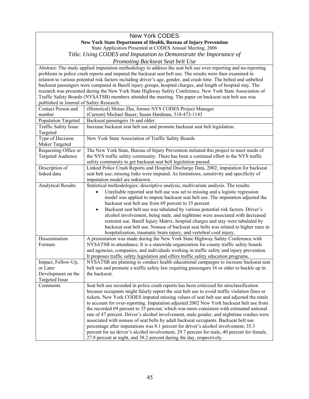#### New York CODES **New York State Department of Health, Bureau of Injury Prevention**  State Application Presented at CODES Annual Meeting, 2006

Title: *Using CODES and Imputation to Demonstrate the Importance of* 

*Promoting Backseat Seat belt Use* 

| relation to various potential risk factors including driver's age, gender, and crash time. The belted and unbelted<br>backseat passengers were compared in Barell injury groups, hospital charges, and length of hospital stay. The<br>research was presented during the New York State Highway Safety Conference. New York State Association of<br>Traffic Safety Boards (NYSATSB) members attended the meeting. The paper on backseat seat belt use was<br>published in Journal of Safety Research.<br>(Historical) Motao Zhu, former NYS CODES Project Manager<br>Contact Person and<br>number<br>(Current) Michael Bauer, Susan Hardman, 518-473-1143<br>Population Targeted<br>Backseat passengers 16 and older.<br>Increase backseat seat belt use and promote backseat seat belt legislation.<br><b>Traffic Safety Issue</b><br>Targeted<br>Type of Decision<br>New York State Association of Traffic Safety Boards<br>Maker Targeted<br>The New York State, Bureau of Injury Prevention initiated this project to meet needs of<br>Requesting Office or<br><b>Targeted Audience</b><br>the NYS traffic safety community. There has been a continual effort in the NYS traffic<br>safety community to get backseat seat belt legislation passed.<br>Linked Police Crash Reports and Hospital Discharge Data, 2002; imputation for backseat<br>Description of<br>seat belt use; missing links were imputed. As limitations, sensitivity and specificity of<br>linked data<br>imputation model are unknown.<br><b>Analytical Results</b><br>Statistical methodologies: descriptive analysis, multivariate analysis. The results:<br>Unreliable reported seat belt use was set to missing and a logistic regression<br>$\bullet$<br>model was applied to impute backseat seat belt use. The imputation adjusted the<br>backseat seat belt use from 69 percent to 35 percent.<br>Backseat seat belt use was tabulated by various potential risk factors. Driver's<br>$\bullet$<br>alcohol involvement, being male, and nighttime were associated with decreased<br>restraint use. Barell Injury Matrix, hospital charges and stay were tabulated by<br>backseat seat belt use. Nonuse of backseat seat belts was related to higher rates in<br>hospitalization, traumatic brain injury, and vertebral cord injury.<br>Dissemination<br>A presentation was made during the New York State Highway Safety Conference with<br>NYSATSB in attendance. It is a statewide organization for county traffic safety boards<br>Formats<br>and agencies, companies, and individuals working in traffic safety and injury prevention.<br>It proposes traffic safety legislation and offers traffic safety education programs.<br>Impact, Follow-Up,<br>NYSATSB are planning to conduct health educational campaigns to increase backseat seat<br>or Later<br>belt use and promote a traffic safety law requiring passengers 16 or older to buckle up in<br>the backseat.<br>Development on the<br><b>Targeted Issue</b><br>Comments<br>Seat belt use recorded in police crash reports has been criticized for misclassification<br>because occupants might falsely report the seat belt use to avoid traffic violation fines or<br>tickets. New York CODES imputed missing values of seat belt use and adjusted the totals<br>to account for over-reporting. Imputation adjusted 2002 New York backseat belt use from<br>the recorded 69 percent to 35 percent, which was more consistent with estimated national<br>rate of 47 percent. Driver's alcohol involvement, male gender, and nighttime crashes were<br>associated with nonuse of seat belts by adult backseat occupants. Backseat belt use |                                                                                                            | Abstract: The study applied imputation methodology to address the seat belt use over-reporting and no-reporting |  |
|----------------------------------------------------------------------------------------------------------------------------------------------------------------------------------------------------------------------------------------------------------------------------------------------------------------------------------------------------------------------------------------------------------------------------------------------------------------------------------------------------------------------------------------------------------------------------------------------------------------------------------------------------------------------------------------------------------------------------------------------------------------------------------------------------------------------------------------------------------------------------------------------------------------------------------------------------------------------------------------------------------------------------------------------------------------------------------------------------------------------------------------------------------------------------------------------------------------------------------------------------------------------------------------------------------------------------------------------------------------------------------------------------------------------------------------------------------------------------------------------------------------------------------------------------------------------------------------------------------------------------------------------------------------------------------------------------------------------------------------------------------------------------------------------------------------------------------------------------------------------------------------------------------------------------------------------------------------------------------------------------------------------------------------------------------------------------------------------------------------------------------------------------------------------------------------------------------------------------------------------------------------------------------------------------------------------------------------------------------------------------------------------------------------------------------------------------------------------------------------------------------------------------------------------------------------------------------------------------------------------------------------------------------------------------------------------------------------------------------------------------------------------------------------------------------------------------------------------------------------------------------------------------------------------------------------------------------------------------------------------------------------------------------------------------------------------------------------------------------------------------------------------------------------------------------------------------------------------------------------------------------------------------------------------------------------------------------------------------------------------------------------------------------------------------------------------------------------------------------------------------------------------------------------------------------------------------------------------------------------------------------------------------------------------------------------------|------------------------------------------------------------------------------------------------------------|-----------------------------------------------------------------------------------------------------------------|--|
|                                                                                                                                                                                                                                                                                                                                                                                                                                                                                                                                                                                                                                                                                                                                                                                                                                                                                                                                                                                                                                                                                                                                                                                                                                                                                                                                                                                                                                                                                                                                                                                                                                                                                                                                                                                                                                                                                                                                                                                                                                                                                                                                                                                                                                                                                                                                                                                                                                                                                                                                                                                                                                                                                                                                                                                                                                                                                                                                                                                                                                                                                                                                                                                                                                                                                                                                                                                                                                                                                                                                                                                                                                                                                              | problems in police crash reports and imputed the backseat seat belt use. The results were then examined in |                                                                                                                 |  |
|                                                                                                                                                                                                                                                                                                                                                                                                                                                                                                                                                                                                                                                                                                                                                                                                                                                                                                                                                                                                                                                                                                                                                                                                                                                                                                                                                                                                                                                                                                                                                                                                                                                                                                                                                                                                                                                                                                                                                                                                                                                                                                                                                                                                                                                                                                                                                                                                                                                                                                                                                                                                                                                                                                                                                                                                                                                                                                                                                                                                                                                                                                                                                                                                                                                                                                                                                                                                                                                                                                                                                                                                                                                                                              |                                                                                                            |                                                                                                                 |  |
|                                                                                                                                                                                                                                                                                                                                                                                                                                                                                                                                                                                                                                                                                                                                                                                                                                                                                                                                                                                                                                                                                                                                                                                                                                                                                                                                                                                                                                                                                                                                                                                                                                                                                                                                                                                                                                                                                                                                                                                                                                                                                                                                                                                                                                                                                                                                                                                                                                                                                                                                                                                                                                                                                                                                                                                                                                                                                                                                                                                                                                                                                                                                                                                                                                                                                                                                                                                                                                                                                                                                                                                                                                                                                              |                                                                                                            |                                                                                                                 |  |
|                                                                                                                                                                                                                                                                                                                                                                                                                                                                                                                                                                                                                                                                                                                                                                                                                                                                                                                                                                                                                                                                                                                                                                                                                                                                                                                                                                                                                                                                                                                                                                                                                                                                                                                                                                                                                                                                                                                                                                                                                                                                                                                                                                                                                                                                                                                                                                                                                                                                                                                                                                                                                                                                                                                                                                                                                                                                                                                                                                                                                                                                                                                                                                                                                                                                                                                                                                                                                                                                                                                                                                                                                                                                                              |                                                                                                            |                                                                                                                 |  |
|                                                                                                                                                                                                                                                                                                                                                                                                                                                                                                                                                                                                                                                                                                                                                                                                                                                                                                                                                                                                                                                                                                                                                                                                                                                                                                                                                                                                                                                                                                                                                                                                                                                                                                                                                                                                                                                                                                                                                                                                                                                                                                                                                                                                                                                                                                                                                                                                                                                                                                                                                                                                                                                                                                                                                                                                                                                                                                                                                                                                                                                                                                                                                                                                                                                                                                                                                                                                                                                                                                                                                                                                                                                                                              |                                                                                                            |                                                                                                                 |  |
|                                                                                                                                                                                                                                                                                                                                                                                                                                                                                                                                                                                                                                                                                                                                                                                                                                                                                                                                                                                                                                                                                                                                                                                                                                                                                                                                                                                                                                                                                                                                                                                                                                                                                                                                                                                                                                                                                                                                                                                                                                                                                                                                                                                                                                                                                                                                                                                                                                                                                                                                                                                                                                                                                                                                                                                                                                                                                                                                                                                                                                                                                                                                                                                                                                                                                                                                                                                                                                                                                                                                                                                                                                                                                              |                                                                                                            |                                                                                                                 |  |
|                                                                                                                                                                                                                                                                                                                                                                                                                                                                                                                                                                                                                                                                                                                                                                                                                                                                                                                                                                                                                                                                                                                                                                                                                                                                                                                                                                                                                                                                                                                                                                                                                                                                                                                                                                                                                                                                                                                                                                                                                                                                                                                                                                                                                                                                                                                                                                                                                                                                                                                                                                                                                                                                                                                                                                                                                                                                                                                                                                                                                                                                                                                                                                                                                                                                                                                                                                                                                                                                                                                                                                                                                                                                                              |                                                                                                            |                                                                                                                 |  |
|                                                                                                                                                                                                                                                                                                                                                                                                                                                                                                                                                                                                                                                                                                                                                                                                                                                                                                                                                                                                                                                                                                                                                                                                                                                                                                                                                                                                                                                                                                                                                                                                                                                                                                                                                                                                                                                                                                                                                                                                                                                                                                                                                                                                                                                                                                                                                                                                                                                                                                                                                                                                                                                                                                                                                                                                                                                                                                                                                                                                                                                                                                                                                                                                                                                                                                                                                                                                                                                                                                                                                                                                                                                                                              |                                                                                                            |                                                                                                                 |  |
|                                                                                                                                                                                                                                                                                                                                                                                                                                                                                                                                                                                                                                                                                                                                                                                                                                                                                                                                                                                                                                                                                                                                                                                                                                                                                                                                                                                                                                                                                                                                                                                                                                                                                                                                                                                                                                                                                                                                                                                                                                                                                                                                                                                                                                                                                                                                                                                                                                                                                                                                                                                                                                                                                                                                                                                                                                                                                                                                                                                                                                                                                                                                                                                                                                                                                                                                                                                                                                                                                                                                                                                                                                                                                              |                                                                                                            |                                                                                                                 |  |
|                                                                                                                                                                                                                                                                                                                                                                                                                                                                                                                                                                                                                                                                                                                                                                                                                                                                                                                                                                                                                                                                                                                                                                                                                                                                                                                                                                                                                                                                                                                                                                                                                                                                                                                                                                                                                                                                                                                                                                                                                                                                                                                                                                                                                                                                                                                                                                                                                                                                                                                                                                                                                                                                                                                                                                                                                                                                                                                                                                                                                                                                                                                                                                                                                                                                                                                                                                                                                                                                                                                                                                                                                                                                                              |                                                                                                            |                                                                                                                 |  |
|                                                                                                                                                                                                                                                                                                                                                                                                                                                                                                                                                                                                                                                                                                                                                                                                                                                                                                                                                                                                                                                                                                                                                                                                                                                                                                                                                                                                                                                                                                                                                                                                                                                                                                                                                                                                                                                                                                                                                                                                                                                                                                                                                                                                                                                                                                                                                                                                                                                                                                                                                                                                                                                                                                                                                                                                                                                                                                                                                                                                                                                                                                                                                                                                                                                                                                                                                                                                                                                                                                                                                                                                                                                                                              |                                                                                                            |                                                                                                                 |  |
|                                                                                                                                                                                                                                                                                                                                                                                                                                                                                                                                                                                                                                                                                                                                                                                                                                                                                                                                                                                                                                                                                                                                                                                                                                                                                                                                                                                                                                                                                                                                                                                                                                                                                                                                                                                                                                                                                                                                                                                                                                                                                                                                                                                                                                                                                                                                                                                                                                                                                                                                                                                                                                                                                                                                                                                                                                                                                                                                                                                                                                                                                                                                                                                                                                                                                                                                                                                                                                                                                                                                                                                                                                                                                              |                                                                                                            |                                                                                                                 |  |
|                                                                                                                                                                                                                                                                                                                                                                                                                                                                                                                                                                                                                                                                                                                                                                                                                                                                                                                                                                                                                                                                                                                                                                                                                                                                                                                                                                                                                                                                                                                                                                                                                                                                                                                                                                                                                                                                                                                                                                                                                                                                                                                                                                                                                                                                                                                                                                                                                                                                                                                                                                                                                                                                                                                                                                                                                                                                                                                                                                                                                                                                                                                                                                                                                                                                                                                                                                                                                                                                                                                                                                                                                                                                                              |                                                                                                            |                                                                                                                 |  |
|                                                                                                                                                                                                                                                                                                                                                                                                                                                                                                                                                                                                                                                                                                                                                                                                                                                                                                                                                                                                                                                                                                                                                                                                                                                                                                                                                                                                                                                                                                                                                                                                                                                                                                                                                                                                                                                                                                                                                                                                                                                                                                                                                                                                                                                                                                                                                                                                                                                                                                                                                                                                                                                                                                                                                                                                                                                                                                                                                                                                                                                                                                                                                                                                                                                                                                                                                                                                                                                                                                                                                                                                                                                                                              |                                                                                                            |                                                                                                                 |  |
|                                                                                                                                                                                                                                                                                                                                                                                                                                                                                                                                                                                                                                                                                                                                                                                                                                                                                                                                                                                                                                                                                                                                                                                                                                                                                                                                                                                                                                                                                                                                                                                                                                                                                                                                                                                                                                                                                                                                                                                                                                                                                                                                                                                                                                                                                                                                                                                                                                                                                                                                                                                                                                                                                                                                                                                                                                                                                                                                                                                                                                                                                                                                                                                                                                                                                                                                                                                                                                                                                                                                                                                                                                                                                              |                                                                                                            |                                                                                                                 |  |
|                                                                                                                                                                                                                                                                                                                                                                                                                                                                                                                                                                                                                                                                                                                                                                                                                                                                                                                                                                                                                                                                                                                                                                                                                                                                                                                                                                                                                                                                                                                                                                                                                                                                                                                                                                                                                                                                                                                                                                                                                                                                                                                                                                                                                                                                                                                                                                                                                                                                                                                                                                                                                                                                                                                                                                                                                                                                                                                                                                                                                                                                                                                                                                                                                                                                                                                                                                                                                                                                                                                                                                                                                                                                                              |                                                                                                            |                                                                                                                 |  |
|                                                                                                                                                                                                                                                                                                                                                                                                                                                                                                                                                                                                                                                                                                                                                                                                                                                                                                                                                                                                                                                                                                                                                                                                                                                                                                                                                                                                                                                                                                                                                                                                                                                                                                                                                                                                                                                                                                                                                                                                                                                                                                                                                                                                                                                                                                                                                                                                                                                                                                                                                                                                                                                                                                                                                                                                                                                                                                                                                                                                                                                                                                                                                                                                                                                                                                                                                                                                                                                                                                                                                                                                                                                                                              |                                                                                                            |                                                                                                                 |  |
|                                                                                                                                                                                                                                                                                                                                                                                                                                                                                                                                                                                                                                                                                                                                                                                                                                                                                                                                                                                                                                                                                                                                                                                                                                                                                                                                                                                                                                                                                                                                                                                                                                                                                                                                                                                                                                                                                                                                                                                                                                                                                                                                                                                                                                                                                                                                                                                                                                                                                                                                                                                                                                                                                                                                                                                                                                                                                                                                                                                                                                                                                                                                                                                                                                                                                                                                                                                                                                                                                                                                                                                                                                                                                              |                                                                                                            |                                                                                                                 |  |
|                                                                                                                                                                                                                                                                                                                                                                                                                                                                                                                                                                                                                                                                                                                                                                                                                                                                                                                                                                                                                                                                                                                                                                                                                                                                                                                                                                                                                                                                                                                                                                                                                                                                                                                                                                                                                                                                                                                                                                                                                                                                                                                                                                                                                                                                                                                                                                                                                                                                                                                                                                                                                                                                                                                                                                                                                                                                                                                                                                                                                                                                                                                                                                                                                                                                                                                                                                                                                                                                                                                                                                                                                                                                                              |                                                                                                            |                                                                                                                 |  |
|                                                                                                                                                                                                                                                                                                                                                                                                                                                                                                                                                                                                                                                                                                                                                                                                                                                                                                                                                                                                                                                                                                                                                                                                                                                                                                                                                                                                                                                                                                                                                                                                                                                                                                                                                                                                                                                                                                                                                                                                                                                                                                                                                                                                                                                                                                                                                                                                                                                                                                                                                                                                                                                                                                                                                                                                                                                                                                                                                                                                                                                                                                                                                                                                                                                                                                                                                                                                                                                                                                                                                                                                                                                                                              |                                                                                                            |                                                                                                                 |  |
|                                                                                                                                                                                                                                                                                                                                                                                                                                                                                                                                                                                                                                                                                                                                                                                                                                                                                                                                                                                                                                                                                                                                                                                                                                                                                                                                                                                                                                                                                                                                                                                                                                                                                                                                                                                                                                                                                                                                                                                                                                                                                                                                                                                                                                                                                                                                                                                                                                                                                                                                                                                                                                                                                                                                                                                                                                                                                                                                                                                                                                                                                                                                                                                                                                                                                                                                                                                                                                                                                                                                                                                                                                                                                              |                                                                                                            |                                                                                                                 |  |
|                                                                                                                                                                                                                                                                                                                                                                                                                                                                                                                                                                                                                                                                                                                                                                                                                                                                                                                                                                                                                                                                                                                                                                                                                                                                                                                                                                                                                                                                                                                                                                                                                                                                                                                                                                                                                                                                                                                                                                                                                                                                                                                                                                                                                                                                                                                                                                                                                                                                                                                                                                                                                                                                                                                                                                                                                                                                                                                                                                                                                                                                                                                                                                                                                                                                                                                                                                                                                                                                                                                                                                                                                                                                                              |                                                                                                            |                                                                                                                 |  |
|                                                                                                                                                                                                                                                                                                                                                                                                                                                                                                                                                                                                                                                                                                                                                                                                                                                                                                                                                                                                                                                                                                                                                                                                                                                                                                                                                                                                                                                                                                                                                                                                                                                                                                                                                                                                                                                                                                                                                                                                                                                                                                                                                                                                                                                                                                                                                                                                                                                                                                                                                                                                                                                                                                                                                                                                                                                                                                                                                                                                                                                                                                                                                                                                                                                                                                                                                                                                                                                                                                                                                                                                                                                                                              |                                                                                                            |                                                                                                                 |  |
|                                                                                                                                                                                                                                                                                                                                                                                                                                                                                                                                                                                                                                                                                                                                                                                                                                                                                                                                                                                                                                                                                                                                                                                                                                                                                                                                                                                                                                                                                                                                                                                                                                                                                                                                                                                                                                                                                                                                                                                                                                                                                                                                                                                                                                                                                                                                                                                                                                                                                                                                                                                                                                                                                                                                                                                                                                                                                                                                                                                                                                                                                                                                                                                                                                                                                                                                                                                                                                                                                                                                                                                                                                                                                              |                                                                                                            |                                                                                                                 |  |
|                                                                                                                                                                                                                                                                                                                                                                                                                                                                                                                                                                                                                                                                                                                                                                                                                                                                                                                                                                                                                                                                                                                                                                                                                                                                                                                                                                                                                                                                                                                                                                                                                                                                                                                                                                                                                                                                                                                                                                                                                                                                                                                                                                                                                                                                                                                                                                                                                                                                                                                                                                                                                                                                                                                                                                                                                                                                                                                                                                                                                                                                                                                                                                                                                                                                                                                                                                                                                                                                                                                                                                                                                                                                                              |                                                                                                            |                                                                                                                 |  |
|                                                                                                                                                                                                                                                                                                                                                                                                                                                                                                                                                                                                                                                                                                                                                                                                                                                                                                                                                                                                                                                                                                                                                                                                                                                                                                                                                                                                                                                                                                                                                                                                                                                                                                                                                                                                                                                                                                                                                                                                                                                                                                                                                                                                                                                                                                                                                                                                                                                                                                                                                                                                                                                                                                                                                                                                                                                                                                                                                                                                                                                                                                                                                                                                                                                                                                                                                                                                                                                                                                                                                                                                                                                                                              |                                                                                                            |                                                                                                                 |  |
|                                                                                                                                                                                                                                                                                                                                                                                                                                                                                                                                                                                                                                                                                                                                                                                                                                                                                                                                                                                                                                                                                                                                                                                                                                                                                                                                                                                                                                                                                                                                                                                                                                                                                                                                                                                                                                                                                                                                                                                                                                                                                                                                                                                                                                                                                                                                                                                                                                                                                                                                                                                                                                                                                                                                                                                                                                                                                                                                                                                                                                                                                                                                                                                                                                                                                                                                                                                                                                                                                                                                                                                                                                                                                              |                                                                                                            |                                                                                                                 |  |
|                                                                                                                                                                                                                                                                                                                                                                                                                                                                                                                                                                                                                                                                                                                                                                                                                                                                                                                                                                                                                                                                                                                                                                                                                                                                                                                                                                                                                                                                                                                                                                                                                                                                                                                                                                                                                                                                                                                                                                                                                                                                                                                                                                                                                                                                                                                                                                                                                                                                                                                                                                                                                                                                                                                                                                                                                                                                                                                                                                                                                                                                                                                                                                                                                                                                                                                                                                                                                                                                                                                                                                                                                                                                                              |                                                                                                            |                                                                                                                 |  |
|                                                                                                                                                                                                                                                                                                                                                                                                                                                                                                                                                                                                                                                                                                                                                                                                                                                                                                                                                                                                                                                                                                                                                                                                                                                                                                                                                                                                                                                                                                                                                                                                                                                                                                                                                                                                                                                                                                                                                                                                                                                                                                                                                                                                                                                                                                                                                                                                                                                                                                                                                                                                                                                                                                                                                                                                                                                                                                                                                                                                                                                                                                                                                                                                                                                                                                                                                                                                                                                                                                                                                                                                                                                                                              |                                                                                                            |                                                                                                                 |  |
|                                                                                                                                                                                                                                                                                                                                                                                                                                                                                                                                                                                                                                                                                                                                                                                                                                                                                                                                                                                                                                                                                                                                                                                                                                                                                                                                                                                                                                                                                                                                                                                                                                                                                                                                                                                                                                                                                                                                                                                                                                                                                                                                                                                                                                                                                                                                                                                                                                                                                                                                                                                                                                                                                                                                                                                                                                                                                                                                                                                                                                                                                                                                                                                                                                                                                                                                                                                                                                                                                                                                                                                                                                                                                              |                                                                                                            |                                                                                                                 |  |
|                                                                                                                                                                                                                                                                                                                                                                                                                                                                                                                                                                                                                                                                                                                                                                                                                                                                                                                                                                                                                                                                                                                                                                                                                                                                                                                                                                                                                                                                                                                                                                                                                                                                                                                                                                                                                                                                                                                                                                                                                                                                                                                                                                                                                                                                                                                                                                                                                                                                                                                                                                                                                                                                                                                                                                                                                                                                                                                                                                                                                                                                                                                                                                                                                                                                                                                                                                                                                                                                                                                                                                                                                                                                                              |                                                                                                            |                                                                                                                 |  |
|                                                                                                                                                                                                                                                                                                                                                                                                                                                                                                                                                                                                                                                                                                                                                                                                                                                                                                                                                                                                                                                                                                                                                                                                                                                                                                                                                                                                                                                                                                                                                                                                                                                                                                                                                                                                                                                                                                                                                                                                                                                                                                                                                                                                                                                                                                                                                                                                                                                                                                                                                                                                                                                                                                                                                                                                                                                                                                                                                                                                                                                                                                                                                                                                                                                                                                                                                                                                                                                                                                                                                                                                                                                                                              |                                                                                                            |                                                                                                                 |  |
|                                                                                                                                                                                                                                                                                                                                                                                                                                                                                                                                                                                                                                                                                                                                                                                                                                                                                                                                                                                                                                                                                                                                                                                                                                                                                                                                                                                                                                                                                                                                                                                                                                                                                                                                                                                                                                                                                                                                                                                                                                                                                                                                                                                                                                                                                                                                                                                                                                                                                                                                                                                                                                                                                                                                                                                                                                                                                                                                                                                                                                                                                                                                                                                                                                                                                                                                                                                                                                                                                                                                                                                                                                                                                              |                                                                                                            |                                                                                                                 |  |
|                                                                                                                                                                                                                                                                                                                                                                                                                                                                                                                                                                                                                                                                                                                                                                                                                                                                                                                                                                                                                                                                                                                                                                                                                                                                                                                                                                                                                                                                                                                                                                                                                                                                                                                                                                                                                                                                                                                                                                                                                                                                                                                                                                                                                                                                                                                                                                                                                                                                                                                                                                                                                                                                                                                                                                                                                                                                                                                                                                                                                                                                                                                                                                                                                                                                                                                                                                                                                                                                                                                                                                                                                                                                                              |                                                                                                            |                                                                                                                 |  |
|                                                                                                                                                                                                                                                                                                                                                                                                                                                                                                                                                                                                                                                                                                                                                                                                                                                                                                                                                                                                                                                                                                                                                                                                                                                                                                                                                                                                                                                                                                                                                                                                                                                                                                                                                                                                                                                                                                                                                                                                                                                                                                                                                                                                                                                                                                                                                                                                                                                                                                                                                                                                                                                                                                                                                                                                                                                                                                                                                                                                                                                                                                                                                                                                                                                                                                                                                                                                                                                                                                                                                                                                                                                                                              |                                                                                                            |                                                                                                                 |  |
|                                                                                                                                                                                                                                                                                                                                                                                                                                                                                                                                                                                                                                                                                                                                                                                                                                                                                                                                                                                                                                                                                                                                                                                                                                                                                                                                                                                                                                                                                                                                                                                                                                                                                                                                                                                                                                                                                                                                                                                                                                                                                                                                                                                                                                                                                                                                                                                                                                                                                                                                                                                                                                                                                                                                                                                                                                                                                                                                                                                                                                                                                                                                                                                                                                                                                                                                                                                                                                                                                                                                                                                                                                                                                              |                                                                                                            |                                                                                                                 |  |
|                                                                                                                                                                                                                                                                                                                                                                                                                                                                                                                                                                                                                                                                                                                                                                                                                                                                                                                                                                                                                                                                                                                                                                                                                                                                                                                                                                                                                                                                                                                                                                                                                                                                                                                                                                                                                                                                                                                                                                                                                                                                                                                                                                                                                                                                                                                                                                                                                                                                                                                                                                                                                                                                                                                                                                                                                                                                                                                                                                                                                                                                                                                                                                                                                                                                                                                                                                                                                                                                                                                                                                                                                                                                                              |                                                                                                            |                                                                                                                 |  |
|                                                                                                                                                                                                                                                                                                                                                                                                                                                                                                                                                                                                                                                                                                                                                                                                                                                                                                                                                                                                                                                                                                                                                                                                                                                                                                                                                                                                                                                                                                                                                                                                                                                                                                                                                                                                                                                                                                                                                                                                                                                                                                                                                                                                                                                                                                                                                                                                                                                                                                                                                                                                                                                                                                                                                                                                                                                                                                                                                                                                                                                                                                                                                                                                                                                                                                                                                                                                                                                                                                                                                                                                                                                                                              |                                                                                                            |                                                                                                                 |  |
|                                                                                                                                                                                                                                                                                                                                                                                                                                                                                                                                                                                                                                                                                                                                                                                                                                                                                                                                                                                                                                                                                                                                                                                                                                                                                                                                                                                                                                                                                                                                                                                                                                                                                                                                                                                                                                                                                                                                                                                                                                                                                                                                                                                                                                                                                                                                                                                                                                                                                                                                                                                                                                                                                                                                                                                                                                                                                                                                                                                                                                                                                                                                                                                                                                                                                                                                                                                                                                                                                                                                                                                                                                                                                              |                                                                                                            |                                                                                                                 |  |
|                                                                                                                                                                                                                                                                                                                                                                                                                                                                                                                                                                                                                                                                                                                                                                                                                                                                                                                                                                                                                                                                                                                                                                                                                                                                                                                                                                                                                                                                                                                                                                                                                                                                                                                                                                                                                                                                                                                                                                                                                                                                                                                                                                                                                                                                                                                                                                                                                                                                                                                                                                                                                                                                                                                                                                                                                                                                                                                                                                                                                                                                                                                                                                                                                                                                                                                                                                                                                                                                                                                                                                                                                                                                                              |                                                                                                            |                                                                                                                 |  |
|                                                                                                                                                                                                                                                                                                                                                                                                                                                                                                                                                                                                                                                                                                                                                                                                                                                                                                                                                                                                                                                                                                                                                                                                                                                                                                                                                                                                                                                                                                                                                                                                                                                                                                                                                                                                                                                                                                                                                                                                                                                                                                                                                                                                                                                                                                                                                                                                                                                                                                                                                                                                                                                                                                                                                                                                                                                                                                                                                                                                                                                                                                                                                                                                                                                                                                                                                                                                                                                                                                                                                                                                                                                                                              |                                                                                                            |                                                                                                                 |  |
|                                                                                                                                                                                                                                                                                                                                                                                                                                                                                                                                                                                                                                                                                                                                                                                                                                                                                                                                                                                                                                                                                                                                                                                                                                                                                                                                                                                                                                                                                                                                                                                                                                                                                                                                                                                                                                                                                                                                                                                                                                                                                                                                                                                                                                                                                                                                                                                                                                                                                                                                                                                                                                                                                                                                                                                                                                                                                                                                                                                                                                                                                                                                                                                                                                                                                                                                                                                                                                                                                                                                                                                                                                                                                              |                                                                                                            |                                                                                                                 |  |
|                                                                                                                                                                                                                                                                                                                                                                                                                                                                                                                                                                                                                                                                                                                                                                                                                                                                                                                                                                                                                                                                                                                                                                                                                                                                                                                                                                                                                                                                                                                                                                                                                                                                                                                                                                                                                                                                                                                                                                                                                                                                                                                                                                                                                                                                                                                                                                                                                                                                                                                                                                                                                                                                                                                                                                                                                                                                                                                                                                                                                                                                                                                                                                                                                                                                                                                                                                                                                                                                                                                                                                                                                                                                                              |                                                                                                            |                                                                                                                 |  |
|                                                                                                                                                                                                                                                                                                                                                                                                                                                                                                                                                                                                                                                                                                                                                                                                                                                                                                                                                                                                                                                                                                                                                                                                                                                                                                                                                                                                                                                                                                                                                                                                                                                                                                                                                                                                                                                                                                                                                                                                                                                                                                                                                                                                                                                                                                                                                                                                                                                                                                                                                                                                                                                                                                                                                                                                                                                                                                                                                                                                                                                                                                                                                                                                                                                                                                                                                                                                                                                                                                                                                                                                                                                                                              |                                                                                                            | percentage after imputations was 8.1 percent for driver's alcohol involvement, 35.3                             |  |
| percent for no driver's alcohol involvement, 29.7 percent for male, 40 percent for female,                                                                                                                                                                                                                                                                                                                                                                                                                                                                                                                                                                                                                                                                                                                                                                                                                                                                                                                                                                                                                                                                                                                                                                                                                                                                                                                                                                                                                                                                                                                                                                                                                                                                                                                                                                                                                                                                                                                                                                                                                                                                                                                                                                                                                                                                                                                                                                                                                                                                                                                                                                                                                                                                                                                                                                                                                                                                                                                                                                                                                                                                                                                                                                                                                                                                                                                                                                                                                                                                                                                                                                                                   |                                                                                                            |                                                                                                                 |  |
| 27.8 percent at night, and 38.2 percent during the day, respectively.                                                                                                                                                                                                                                                                                                                                                                                                                                                                                                                                                                                                                                                                                                                                                                                                                                                                                                                                                                                                                                                                                                                                                                                                                                                                                                                                                                                                                                                                                                                                                                                                                                                                                                                                                                                                                                                                                                                                                                                                                                                                                                                                                                                                                                                                                                                                                                                                                                                                                                                                                                                                                                                                                                                                                                                                                                                                                                                                                                                                                                                                                                                                                                                                                                                                                                                                                                                                                                                                                                                                                                                                                        |                                                                                                            |                                                                                                                 |  |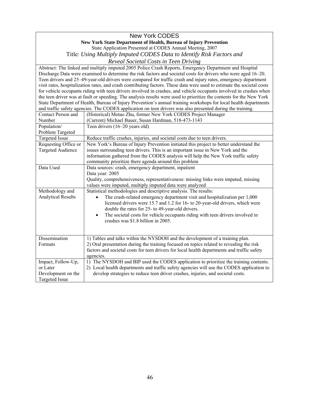#### New York CODES **New York State Department of Health, Bureau of Injury Prevention**  State Application Presented at CODES Annual Meeting, 2007

Title: *Using Multiply Imputed CODES Data to Identify Risk Factors and* 

*Reveal Societal Costs in Teen Driving* 

 State Department of Health, Bureau of Injury Prevention's annual training workshops for local health departments Abstract: The linked and multiply imputed 2005 Police Crash Reports, Emergency Department and Hospital Discharge Data were examined to determine the risk factors and societal costs for drivers who were aged 16–20. Teen drivers and 25–49-year-old drivers were compared for traffic crash and injury rates, emergency department visit rates, hospitalization rates, and crash contributing factors. These data were used to estimate the societal costs for vehicle occupants riding with teen drivers involved in crashes, and vehicle occupants involved in crashes when the teen driver was at fault or speeding. The analysis results were used to prioritize the contents for the New York and traffic safety agencies. The CODES application on teen drivers was also presented during the training.

| Contact Person and        | (Historical) Motao Zhu, former New York CODES Project Manager                               |
|---------------------------|---------------------------------------------------------------------------------------------|
| Number                    | (Current) Michael Bauer, Susan Hardman, 518-473-1143                                        |
| Population/               | Teen drivers (16–20 years old)                                                              |
| Problem Targeted          |                                                                                             |
| <b>Targeted Issue</b>     | Reduce traffic crashes, injuries, and societal costs due to teen drivers.                   |
| Requesting Office or      | New York's Bureau of Injury Prevention initiated this project to better understand the      |
| <b>Targeted Audience</b>  | issues surrounding teen drivers. This is an important issue in New York and the             |
|                           | information gathered from the CODES analysis will help the New York traffic safety          |
|                           | community prioritize there agenda around this problem                                       |
| Data Used                 | Data sources: crash, emergency department, inpatient                                        |
|                           | Data year: 2005                                                                             |
|                           | Quality, comprehensiveness, representativeness: missing links were imputed, missing         |
|                           | values were imputed, multiply imputed data were analyzed                                    |
| Methodology and           | Statistical methodologies and descriptive analysis. The results:                            |
| <b>Analytical Results</b> | The crash-related emergency department visit and hospitalization per 1,000                  |
|                           | licensed drivers were 15.7 and 1.2 for 16- to 20-year-old drivers, which were               |
|                           | double the rates for 25- to 49-year-old drivers.                                            |
|                           | The societal costs for vehicle occupants riding with teen drivers involved in<br>$\bullet$  |
|                           | crashes was \$1.8 billion in 2005.                                                          |
|                           |                                                                                             |
|                           |                                                                                             |
| Dissemination             | 1) Tables and talks within the NYSDOH and the development of a training plan.               |
| Formats                   | 2) Oral presentation during the training focused on topics related to revealing the risk    |
|                           | factors and societal costs for teen drivers for local health departments and traffic safety |
|                           | agencies.                                                                                   |
| Impact, Follow-Up,        | 1) The NYSDOH and BIP used the CODES application to prioritize the training contents.       |
| or Later                  | 2) Local health departments and traffic safety agencies will use the CODES application to   |
| Development on the        | develop strategies to reduce teen driver crashes, injuries, and societal costs.             |
| <b>Targeted Issue</b>     |                                                                                             |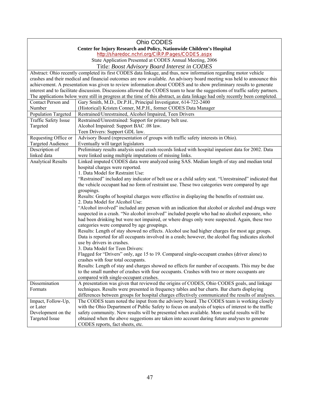|                                                                                                                          | Ohio CODES                                                                                                                           |  |
|--------------------------------------------------------------------------------------------------------------------------|--------------------------------------------------------------------------------------------------------------------------------------|--|
|                                                                                                                          |                                                                                                                                      |  |
| Center for Injury Research and Policy, Nationwide Children's Hospital<br>http://sharedoc.nchri.org/CIRP/Pages/CODES.aspx |                                                                                                                                      |  |
| State Application Presented at CODES Annual Meeting, 2006                                                                |                                                                                                                                      |  |
| Title: Boost Advisory Board Interest in CODES                                                                            |                                                                                                                                      |  |
|                                                                                                                          | Abstract: Ohio recently completed its first CODES data linkage, and thus, new information regarding motor vehicle                    |  |
|                                                                                                                          | crashes and their medical and financial outcomes are now available. An advisory board meeting was held to announce this              |  |
|                                                                                                                          | achievement. A presentation was given to review information about CODES and to show preliminary results to generate                  |  |
|                                                                                                                          | interest and to facilitate discussion. Discussions allowed the CODES team to hear the suggestions of traffic safety partners.        |  |
|                                                                                                                          | The applications below were still in progress at the time of this abstract, as data linkage had only recently been completed.        |  |
| Contact Person and                                                                                                       | Gary Smith, M.D., Dr.P.H., Principal Investigator, 614-722-2400                                                                      |  |
| Number                                                                                                                   | (Historical) Kristen Conner, M.P.H., former CODES Data Manager                                                                       |  |
| Population Targeted                                                                                                      | Restrained/Unrestrained, Alcohol Impaired, Teen Drivers                                                                              |  |
| <b>Traffic Safety Issue</b>                                                                                              | Restrained/Unrestrained: Support for primary belt use.                                                                               |  |
| Targeted                                                                                                                 | Alcohol Impaired: Support BAC .08 law.                                                                                               |  |
|                                                                                                                          | Teen Drivers: Support GDL law.                                                                                                       |  |
| Requesting Office or                                                                                                     | Advisory Board (representation of groups with traffic safety interests in Ohio).                                                     |  |
| Targeted Audience                                                                                                        | Eventually will target legislators                                                                                                   |  |
| Description of                                                                                                           | Preliminary results analysis used crash records linked with hospital inpatient data for 2002. Data                                   |  |
| linked data                                                                                                              | were linked using multiple imputations of missing links.                                                                             |  |
| <b>Analytical Results</b>                                                                                                | Linked imputed CODES data were analyzed using SAS. Median length of stay and median total                                            |  |
|                                                                                                                          | hospital charges were reported.                                                                                                      |  |
|                                                                                                                          | 1. Data Model for Restraint Use:                                                                                                     |  |
|                                                                                                                          | "Restrained" included any indicator of belt use or a child safety seat. "Unrestrained" indicated that                                |  |
|                                                                                                                          | the vehicle occupant had no form of restraint use. These two categories were compared by age                                         |  |
|                                                                                                                          | groupings.                                                                                                                           |  |
|                                                                                                                          | Results: Graphs of hospital charges were effective in displaying the benefits of restraint use.<br>2. Data Model for Alcohol Use:    |  |
|                                                                                                                          | "Alcohol involved" included any person with an indication that alcohol or alcohol and drugs were                                     |  |
|                                                                                                                          | suspected in a crash. "No alcohol involved" included people who had no alcohol exposure, who                                         |  |
|                                                                                                                          | had been drinking but were not impaired, or where drugs only were suspected. Again, these two                                        |  |
|                                                                                                                          | categories were compared by age groupings.                                                                                           |  |
|                                                                                                                          | Results: Length of stay showed no effects. Alcohol use had higher charges for most age groups.                                       |  |
|                                                                                                                          | Data is reported for all occupants involved in a crash; however, the alcohol flag indicates alcohol                                  |  |
|                                                                                                                          | use by drivers in crashes.                                                                                                           |  |
|                                                                                                                          | 3. Data Model for Teen Drivers:                                                                                                      |  |
|                                                                                                                          | Flagged for "Drivers" only, age 15 to 19. Compared single-occupant crashes (driver alone) to                                         |  |
|                                                                                                                          | crashes with four total occupants.<br>Results: Length of stay and charges showed no effects for number of occupants. This may be due |  |
|                                                                                                                          | to the small number of crashes with four occupants. Crashes with two or more occupants are                                           |  |
|                                                                                                                          | compared with single-occupant crashes.                                                                                               |  |
| Dissemination                                                                                                            | A presentation was given that reviewed the origins of CODES, Ohio CODES goals, and linkage                                           |  |
| Formats                                                                                                                  | techniques. Results were presented in frequency tables and bar charts. Bar charts displaying                                         |  |
|                                                                                                                          | differences between groups for hospital charges effectively communicated the results of analyses.                                    |  |
| Impact, Follow-Up,                                                                                                       | The CODES team noted the input from the advisory board. The CODES team is working closely                                            |  |
| or Later                                                                                                                 | with the Ohio Department of Public Safety to focus on analysis of topics of interest to the traffic                                  |  |
| Development on the                                                                                                       | safety community. New results will be presented when available. More useful results will be                                          |  |
| Targeted Issue                                                                                                           | obtained when the above suggestions are taken into account during future analyses to generate                                        |  |
|                                                                                                                          | CODES reports, fact sheets, etc.                                                                                                     |  |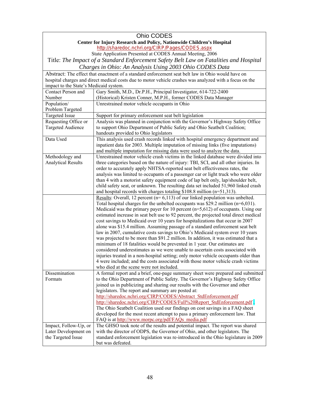| Ohio CODES                                                            |                                                                                                                                                                      |  |
|-----------------------------------------------------------------------|----------------------------------------------------------------------------------------------------------------------------------------------------------------------|--|
| Center for Injury Research and Policy, Nationwide Children's Hospital |                                                                                                                                                                      |  |
| http://sharedoc.nchri.org/CIRP/Pages/CODES.aspx                       |                                                                                                                                                                      |  |
|                                                                       | State Application Presented at CODES Annual Meeting, 2006                                                                                                            |  |
|                                                                       | Title: The Impact of a Standard Enforcement Safety Belt Law on Fatalities and Hospital                                                                               |  |
|                                                                       | Charges in Ohio: An Analysis Using 2003 Ohio CODES Data                                                                                                              |  |
|                                                                       | Abstract: The effect that enactment of a standard enforcement seat belt law in Ohio would have on                                                                    |  |
|                                                                       | hospital charges and direct medical costs due to motor vehicle crashes was analyzed with a focus on the                                                              |  |
| impact to the State's Medicaid system.                                |                                                                                                                                                                      |  |
| Contact Person and                                                    | Gary Smith, M.D., Dr.P.H., Principal Investigator, 614-722-2400                                                                                                      |  |
| Number                                                                | (Historical) Kristen Conner, M.P.H., former CODES Data Manager                                                                                                       |  |
| Population/                                                           | Unrestrained motor vehicle occupants in Ohio                                                                                                                         |  |
| Problem Targeted                                                      |                                                                                                                                                                      |  |
| <b>Targeted Issue</b>                                                 | Support for primary enforcement seat belt legislation                                                                                                                |  |
| Requesting Office or                                                  | Analysis was planned in conjunction with the Governor's Highway Safety Office                                                                                        |  |
| <b>Targeted Audience</b>                                              | to support Ohio Department of Public Safety and Ohio Seatbelt Coalition;                                                                                             |  |
|                                                                       | handouts provided to Ohio legislators                                                                                                                                |  |
| Data Used                                                             | This analysis used crash records linked with hospital emergency department and                                                                                       |  |
|                                                                       | inpatient data for 2003. Multiple imputation of missing links (five imputations)                                                                                     |  |
|                                                                       | and multiple imputation for missing data were used to analyze the data.                                                                                              |  |
| Methodology and                                                       | Unrestrained motor vehicle crash victims in the linked database were divided into                                                                                    |  |
| <b>Analytical Results</b>                                             | three categories based on the nature of injury: TBI, SCI, and all other injuries. In                                                                                 |  |
|                                                                       | order to accurately apply NHTSA-reported seat belt effectiveness rates, the                                                                                          |  |
|                                                                       | analysis was limited to occupants of a passenger car or light truck who were older                                                                                   |  |
|                                                                       | than 4 with a motorist safety equipment code of lap belt only, lap/shoulder belt,                                                                                    |  |
|                                                                       | child safety seat, or unknown. The resulting data set included 51,960 linked crash                                                                                   |  |
|                                                                       | and hospital records with charges totaling $$108.8$ million (n=51,313).<br><u>Results</u> : Overall, 12 percent ( $n=6,113$ ) of our linked population was unbelted. |  |
|                                                                       | Total hospital charges for the unbelted occupants was \$29.2 million $(n=6,031)$ .                                                                                   |  |
|                                                                       | Medicaid was the primary payer for 10 percent $(n=5,612)$ of occupants. Using our                                                                                    |  |
|                                                                       | estimated increase in seat belt use to 92 percent, the projected total direct medical                                                                                |  |
|                                                                       | cost savings to Medicaid over 10 years for hospitalizations that occur in 2007                                                                                       |  |
|                                                                       | alone was \$15.4 million. Assuming passage of a standard enforcement seat belt                                                                                       |  |
|                                                                       | law in 2007, cumulative costs savings to Ohio's Medicaid system over 10 years                                                                                        |  |
|                                                                       | was projected to be more than \$91.2 million. In addition, it was estimated that a                                                                                   |  |
|                                                                       | minimum of 18 fatalities would be prevented in 1 year. Our estimates are                                                                                             |  |
|                                                                       | considered underestimates as we were unable to ascertain costs associated with                                                                                       |  |
|                                                                       | injuries treated in a non-hospital setting; only motor vehicle occupants older than                                                                                  |  |
|                                                                       | 4 were included; and the costs associated with those motor vehicle crash victims                                                                                     |  |
|                                                                       | who died at the scene were not included.                                                                                                                             |  |
| Dissemination                                                         | A formal report and a brief, one-page summary sheet were prepared and submitted                                                                                      |  |
| Formats                                                               | to the Ohio Department of Public Safety. The Governor's Highway Safety Office                                                                                        |  |
|                                                                       | joined us in publicizing and sharing our results with the Governor and other                                                                                         |  |
|                                                                       | legislators. The report and summary are posted at:                                                                                                                   |  |
|                                                                       | http://sharedoc.nchri.org/CIRP/CODES/Abstract_StdEnforcement.pdf                                                                                                     |  |
|                                                                       | http://sharedoc.nchri.org/CIRP/CODES/Full%20Report StdEnforcement.pdf                                                                                                |  |
|                                                                       | The Ohio Seatbelt Coalition used our findings on cost savings in a FAQ sheet                                                                                         |  |
|                                                                       | developed for the most recent attempt to pass a primary enforcement law. That                                                                                        |  |
|                                                                       | FAQ is at http://www.morpc.org/pdf/FAQs media.pdf                                                                                                                    |  |
| Impact, Follow-Up, or                                                 | The GHSO took note of the results and potential impact. The report was shared                                                                                        |  |
| Later Development on                                                  | with the director of ODPS, the Governor of Ohio, and other legislators. The                                                                                          |  |
| the Targeted Issue                                                    | standard enforcement legislation was re-introduced in the Ohio legislature in 2009                                                                                   |  |
|                                                                       | but was defeated.                                                                                                                                                    |  |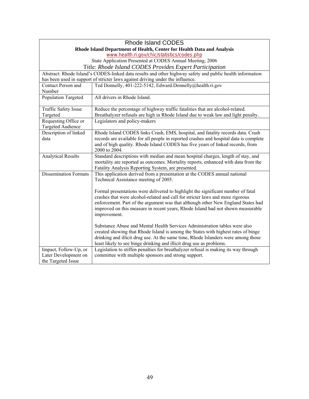|                                                           | <b>Rhode Island CODES</b>                                                                                                       |  |
|-----------------------------------------------------------|---------------------------------------------------------------------------------------------------------------------------------|--|
|                                                           | Rhode Island Department of Health, Center for Health Data and Analysis                                                          |  |
| www.health.ri.gov/chic/statistics/codes.php               |                                                                                                                                 |  |
| State Application Presented at CODES Annual Meeting, 2006 |                                                                                                                                 |  |
|                                                           | Title: Rhode Island CODES Provides Expert Participation                                                                         |  |
|                                                           | Abstract: Rhode Island's CODES-linked data results and other highway safety and public health information                       |  |
|                                                           | has been used in support of stricter laws against driving under the influence.                                                  |  |
| <b>Contact Person and</b>                                 | Ted Donnelly, 401-222-5142, Edward.Donnelly@health.ri.gov                                                                       |  |
| Number                                                    |                                                                                                                                 |  |
| Population Targeted                                       | All drivers in Rhode Island.                                                                                                    |  |
| Traffic Safety Issue                                      | Reduce the percentage of highway traffic fatalities that are alcohol-related.                                                   |  |
| Targeted<br>Requesting Office or                          | Breathalyzer refusals are high in Rhode Island due to weak law and light penalty.<br>Legislators and policy-makers              |  |
| <b>Targeted Audience</b>                                  |                                                                                                                                 |  |
| Description of linked                                     | Rhode Island CODES links Crash, EMS, hospital, and fatality records data. Crash                                                 |  |
| data                                                      | records are available for all people in reported crashes and hospital data is complete                                          |  |
|                                                           | and of high quality. Rhode Island CODES has five years of linked records, from                                                  |  |
|                                                           | 2000 to 2004.                                                                                                                   |  |
| <b>Analytical Results</b>                                 | Standard descriptions with median and mean hospital charges, length of stay, and                                                |  |
|                                                           | mortality are reported as outcomes. Mortality reports, enhanced with data from the                                              |  |
| <b>Dissemination Formats</b>                              | Fatality Analysis Reporting System, are presented.<br>This application derived from a presentation at the CODES annual national |  |
|                                                           | Technical Assistance meeting of 2005.                                                                                           |  |
|                                                           |                                                                                                                                 |  |
|                                                           | Formal presentations were delivered to highlight the significant number of fatal                                                |  |
|                                                           | crashes that were alcohol-related and call for stricter laws and more rigorous                                                  |  |
|                                                           | enforcement. Part of the argument was that although other New England States had                                                |  |
|                                                           | improved on this measure in recent years, Rhode Island had not shown measurable                                                 |  |
|                                                           | improvement.                                                                                                                    |  |
|                                                           | Substance Abuse and Mental Health Services Administration tables were also                                                      |  |
|                                                           | created showing that Rhode Island is among the States with highest rates of binge                                               |  |
|                                                           | drinking and illicit drug use. At the same time, Rhode Islanders were among those                                               |  |
|                                                           | least likely to see binge drinking and illicit drug use as problems.                                                            |  |
| Impact, Follow-Up, or                                     | Legislation to stiffen penalties for breathalyzer refusal is making its way through                                             |  |
| Later Development on                                      | committee with multiple sponsors and strong support.                                                                            |  |
| the Targeted Issue                                        |                                                                                                                                 |  |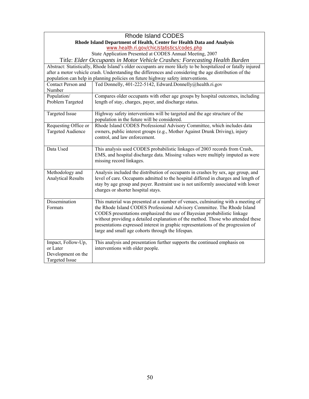| <b>Rhode Island CODES</b>                                                  |                                                                                                               |  |
|----------------------------------------------------------------------------|---------------------------------------------------------------------------------------------------------------|--|
| Rhode Island Department of Health, Center for Health Data and Analysis     |                                                                                                               |  |
| www.health.ri.gov/chic/statistics/codes.php                                |                                                                                                               |  |
|                                                                            | State Application Presented at CODES Annual Meeting, 2007                                                     |  |
| Title: Elder Occupants in Motor Vehicle Crashes: Forecasting Health Burden |                                                                                                               |  |
|                                                                            | Abstract: Statistically, Rhode Island's older occupants are more likely to be hospitalized or fatally injured |  |
|                                                                            | after a motor vehicle crash. Understanding the differences and considering the age distribution of the        |  |
|                                                                            | population can help in planning policies on future highway safety interventions.                              |  |
| Contact Person and                                                         | Ted Donnelly, 401-222-5142, Edward.Donnelly@health.ri.gov                                                     |  |
| Number                                                                     |                                                                                                               |  |
| Population/                                                                | Compares older occupants with other age groups by hospital outcomes, including                                |  |
| Problem Targeted                                                           | length of stay, charges, payer, and discharge status.                                                         |  |
|                                                                            |                                                                                                               |  |
| <b>Targeted Issue</b>                                                      | Highway safety interventions will be targeted and the age structure of the                                    |  |
|                                                                            | population in the future will be considered.                                                                  |  |
| Requesting Office or                                                       | Rhode Island CODES Professional Advisory Committee, which includes data                                       |  |
| <b>Targeted Audience</b>                                                   | owners, public interest groups (e.g., Mother Against Drunk Driving), injury                                   |  |
|                                                                            | control, and law enforcement.                                                                                 |  |
|                                                                            |                                                                                                               |  |
| Data Used                                                                  | This analysis used CODES probabilistic linkages of 2003 records from Crash,                                   |  |
|                                                                            | EMS, and hospital discharge data. Missing values were multiply imputed as were                                |  |
|                                                                            | missing record linkages.                                                                                      |  |
|                                                                            |                                                                                                               |  |
| Methodology and                                                            | Analysis included the distribution of occupants in crashes by sex, age group, and                             |  |
| <b>Analytical Results</b>                                                  | level of care. Occupants admitted to the hospital differed in charges and length of                           |  |
|                                                                            | stay by age group and payer. Restraint use is not uniformly associated with lower                             |  |
|                                                                            | charges or shorter hospital stays.                                                                            |  |
|                                                                            |                                                                                                               |  |
| Dissemination                                                              | This material was presented at a number of venues, culminating with a meeting of                              |  |
| Formats                                                                    | the Rhode Island CODES Professional Advisory Committee. The Rhode Island                                      |  |
|                                                                            | CODES presentations emphasized the use of Bayesian probabilistic linkage                                      |  |
|                                                                            | without providing a detailed explanation of the method. Those who attended these                              |  |
|                                                                            | presentations expressed interest in graphic representations of the progression of                             |  |
|                                                                            | large and small age cohorts through the lifespan.                                                             |  |
|                                                                            | This analysis and presentation further supports the continued emphasis on                                     |  |
| Impact, Follow-Up,<br>or Later                                             | interventions with older people.                                                                              |  |
| Development on the                                                         |                                                                                                               |  |
| <b>Targeted Issue</b>                                                      |                                                                                                               |  |
|                                                                            |                                                                                                               |  |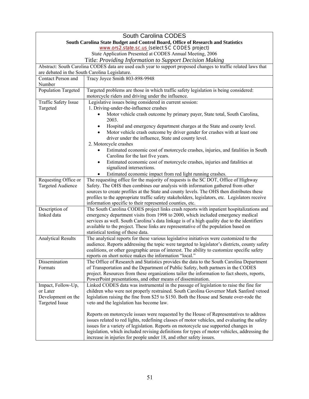|                                                           | South Carolina CODES                                                                                                                                                                    |  |
|-----------------------------------------------------------|-----------------------------------------------------------------------------------------------------------------------------------------------------------------------------------------|--|
|                                                           | South Carolina State Budget and Control Board, Office of Research and Statistics                                                                                                        |  |
|                                                           | www.ors2.state.sc.us (select SC CODES project)                                                                                                                                          |  |
| State Application Presented at CODES Annual Meeting, 2006 |                                                                                                                                                                                         |  |
| Title: Providing Information to Support Decision Making   |                                                                                                                                                                                         |  |
|                                                           | Abstract: South Carolina CODES data are used each year to support proposed changes to traffic related laws that                                                                         |  |
|                                                           | are debated in the South Carolina Legislature.                                                                                                                                          |  |
| Contact Person and                                        | Tracy Joyce Smith 803-898-9948                                                                                                                                                          |  |
| Number                                                    |                                                                                                                                                                                         |  |
| <b>Population Targeted</b>                                | Targeted problems are those in which traffic safety legislation is being considered:                                                                                                    |  |
|                                                           | motorcycle riders and driving under the influence.                                                                                                                                      |  |
| Traffic Safety Issue                                      | Legislative issues being considered in current session:                                                                                                                                 |  |
| Targeted                                                  | 1. Driving-under-the-influence crashes                                                                                                                                                  |  |
|                                                           | Motor vehicle crash outcome by primary payer, State total, South Carolina,                                                                                                              |  |
|                                                           | 2003.                                                                                                                                                                                   |  |
|                                                           | Hospital and emergency department charges at the State and county level.<br>$\bullet$                                                                                                   |  |
|                                                           | Motor vehicle crash outcome by driver gender for crashes with at least one                                                                                                              |  |
|                                                           | driver under the influence, State and county level.                                                                                                                                     |  |
|                                                           | 2. Motorcycle crashes                                                                                                                                                                   |  |
|                                                           | Estimated economic cost of motorcycle crashes, injuries, and fatalities in South                                                                                                        |  |
|                                                           | Carolina for the last five years.                                                                                                                                                       |  |
|                                                           | Estimated economic cost of motorcycle crashes, injuries and fatalities at<br>$\bullet$                                                                                                  |  |
|                                                           | signalized intersections.                                                                                                                                                               |  |
|                                                           | Estimated economic impact from red light running crashes.                                                                                                                               |  |
| Requesting Office or<br><b>Targeted Audience</b>          | The requesting office for the majority of requests is the SC DOT, Office of Highway<br>Safety. The OHS then combines our analysis with information gathered from other                  |  |
|                                                           | sources to create profiles at the State and county levels. The OHS then distributes these                                                                                               |  |
|                                                           | profiles to the appropriate traffic safety stakeholders, legislators, etc. Legislators receive                                                                                          |  |
|                                                           | information specific to their represented counties, etc.                                                                                                                                |  |
| Description of                                            | The South Carolina CODES project links crash reports with inpatient hospitalizations and                                                                                                |  |
| linked data                                               | emergency department visits from 1998 to 2000, which included emergency medical                                                                                                         |  |
|                                                           | services as well. South Carolina's data linkage is of a high quality due to the identifiers                                                                                             |  |
|                                                           | available to the project. These links are representative of the population based on                                                                                                     |  |
|                                                           | statistical testing of these data.                                                                                                                                                      |  |
| <b>Analytical Results</b>                                 | The analytical reports for these various legislative initiatives were customized to the                                                                                                 |  |
|                                                           | audience. Reports addressing the topic were targeted to legislator's districts, county safety                                                                                           |  |
|                                                           | coalitions, or other geographic areas of interest. The ability to customize specific safety                                                                                             |  |
|                                                           | reports on short notice makes the information "local."                                                                                                                                  |  |
| Dissemination                                             | The Office of Research and Statistics provides the data to the South Carolina Department                                                                                                |  |
| Formats                                                   | of Transportation and the Department of Public Safety, both partners in the CODES                                                                                                       |  |
|                                                           | project. Resources from these organizations tailor the information to fact sheets, reports,                                                                                             |  |
|                                                           | PowerPoint presentations, and other means of dissemination.                                                                                                                             |  |
| Impact, Follow-Up,                                        | Linked CODES data was instrumental in the passage of legislation to raise the fine for                                                                                                  |  |
| or Later                                                  | children who were not properly restrained. South Carolina Governor Mark Sanford vetoed                                                                                                  |  |
| Development on the                                        | legislation raising the fine from \$25 to \$150. Both the House and Senate over-rode the                                                                                                |  |
| <b>Targeted Issue</b>                                     | veto and the legislation has become law.                                                                                                                                                |  |
|                                                           |                                                                                                                                                                                         |  |
|                                                           | Reports on motorcycle issues were requested by the House of Representatives to address<br>issues related to red lights, redefining classes of motor vehicles, and evaluating the safety |  |
|                                                           | issues for a variety of legislation. Reports on motorcycle use supported changes in                                                                                                     |  |
|                                                           | legislation, which included revising definitions for types of motor vehicles, addressing the                                                                                            |  |
|                                                           | increase in injuries for people under 18, and other safety issues.                                                                                                                      |  |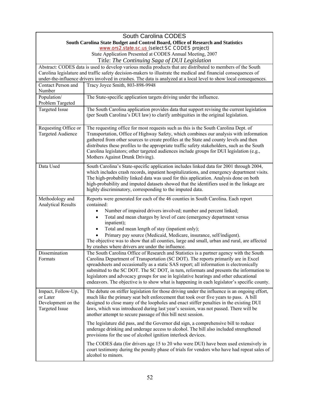|                                                                                                            | South Carolina CODES                                                                                                                                                                                                                                                                                                                                                                                                                                                                                                                                                          |  |
|------------------------------------------------------------------------------------------------------------|-------------------------------------------------------------------------------------------------------------------------------------------------------------------------------------------------------------------------------------------------------------------------------------------------------------------------------------------------------------------------------------------------------------------------------------------------------------------------------------------------------------------------------------------------------------------------------|--|
|                                                                                                            | South Carolina State Budget and Control Board, Office of Research and Statistics                                                                                                                                                                                                                                                                                                                                                                                                                                                                                              |  |
| www.ors2.state.sc.us (select SC CODES project)                                                             |                                                                                                                                                                                                                                                                                                                                                                                                                                                                                                                                                                               |  |
| State Application Presented at CODES Annual Meeting, 2007<br>Title: The Continuing Saga of DUI Legislation |                                                                                                                                                                                                                                                                                                                                                                                                                                                                                                                                                                               |  |
|                                                                                                            | Abstract: CODES data is used to develop various media products that are distributed to members of the South                                                                                                                                                                                                                                                                                                                                                                                                                                                                   |  |
|                                                                                                            | Carolina legislature and traffic safety decision-makers to illustrate the medical and financial consequences of                                                                                                                                                                                                                                                                                                                                                                                                                                                               |  |
|                                                                                                            | under-the-influence drivers involved in crashes. The data is analyzed at a local level to show local consequences.                                                                                                                                                                                                                                                                                                                                                                                                                                                            |  |
| Contact Person and<br>Number                                                                               | Tracy Joyce Smith, 803-898-9948                                                                                                                                                                                                                                                                                                                                                                                                                                                                                                                                               |  |
| Population/                                                                                                | The State-specific application targets driving under the influence.                                                                                                                                                                                                                                                                                                                                                                                                                                                                                                           |  |
| Problem Targeted                                                                                           |                                                                                                                                                                                                                                                                                                                                                                                                                                                                                                                                                                               |  |
| <b>Targeted Issue</b>                                                                                      | The South Carolina application provides data that support revising the current legislation<br>(per South Carolina's DUI law) to clarify ambiguities in the original legislation.                                                                                                                                                                                                                                                                                                                                                                                              |  |
| Requesting Office or<br><b>Targeted Audience</b>                                                           | The requesting office for most requests such as this is the South Carolina Dept. of<br>Transportation, Office of Highway Safety, which combines our analysis with information<br>gathered from other sources to create profiles at the State and county levels and then<br>distributes these profiles to the appropriate traffic safety stakeholders, such as the South<br>Carolina legislators; other targeted audiences include groups for DUI legislation (e.g.,<br>Mothers Against Drunk Driving).                                                                        |  |
| Data Used                                                                                                  | South Carolina's State-specific application includes linked data for 2001 through 2004,<br>which includes crash records, inpatient hospitalizations, and emergency department visits.<br>The high-probability linked data was used for this application. Analysis done on both<br>high-probability and imputed datasets showed that the identifiers used in the linkage are<br>highly discriminatory, corresponding to the imputed data.                                                                                                                                      |  |
| Methodology and<br><b>Analytical Results</b>                                                               | Reports were generated for each of the 46 counties in South Carolina. Each report<br>contained:<br>Number of impaired drivers involved; number and percent linked;<br>$\bullet$<br>Total and mean charges by level of care (emergency department versus<br>$\bullet$<br>inpatient);<br>Total and mean length of stay (inpatient only);<br>$\bullet$<br>Primary pay source (Medicaid, Medicare, insurance, self/indigent).<br>The objective was to show that all counties, large and small, urban and rural, are affected<br>by crashes where drivers are under the influence. |  |
| Dissemination<br>Formats                                                                                   | The South Carolina Office of Research and Statistics is a partner agency with the South<br>Carolina Department of Transportation (SC DOT). The reports primarily are in Excel<br>spreadsheets and occasionally as a static SAS report; all information is electronically<br>submitted to the SC DOT. The SC DOT, in turn, reformats and presents the information to<br>legislators and advocacy groups for use in legislative hearings and other educational<br>endeavors. The objective is to show what is happening in each legislator's specific county.                   |  |
| Impact, Follow-Up,<br>or Later<br>Development on the<br><b>Targeted Issue</b>                              | The debate on stiffer legislation for those driving under the influence is an ongoing effort,<br>much like the primary seat belt enforcement that took over five years to pass. A bill<br>designed to close many of the loopholes and enact stiffer penalties in the existing DUI<br>laws, which was introduced during last year's session, was not passed. There will be<br>another attempt to secure passage of this bill next session.                                                                                                                                     |  |
|                                                                                                            | The legislature did pass, and the Governor did sign, a comprehensive bill to reduce<br>underage drinking and underage access to alcohol. The bill also included strengthened<br>provisions for the use of alcohol ignition interlock devices.                                                                                                                                                                                                                                                                                                                                 |  |
|                                                                                                            | The CODES data (for drivers age 15 to 20 who were DUI) have been used extensively in<br>court testimony during the penalty phase of trials for vendors who have had repeat sales of<br>alcohol to minors.                                                                                                                                                                                                                                                                                                                                                                     |  |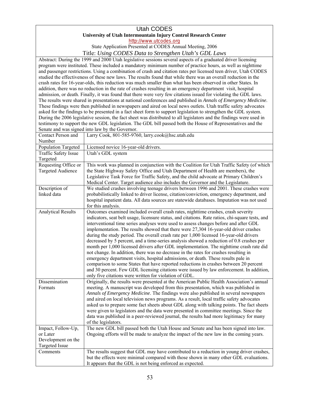# Utah CODES **University of Utah Intermountain Injury Control Research Center**

http://www.utcodes.org

State Application Presented at CODES Annual Meeting, 2006 Title: *Using CODES Data to Strengthen Utah's GDL Laws* 

Abstract: During the 1999 and 2000 Utah legislative sessions several aspects of a graduated driver licensing addition, there was no reduction in the rate of crashes resulting in an emergency department visit, hospital The results were shared in presentations at national conferences and published in *Annals of Emergency Medicine*. These findings were then published in newspapers and aired on local news outlets. Utah traffic safety advocates program were instituted. These included a mandatory minimum number of practice hours, as well as nighttime and passenger restrictions. Using a combination of crash and citation rates per licensed teen driver, Utah CODES studied the effectiveness of these new laws. The results found that while there was an overall reduction in the crash rates for 16-year-olds, this reduction was much smaller than what has been observed in other States. In admission, or death. Finally, it was found that there were very few citations issued for violating the GDL laws. asked for the findings to be presented in a fact sheet form to support legislation to strengthen the GDL system. During the 2006 legislative session, the fact sheet was distributed to all legislators and the findings were used in testimony to support the new GDL legislation. The GDL bill passed both the House of Representatives and the Senate and was signed into law by the Governor.

| Contact Person and<br>Number                                                  | Larry Cook, 801-585-9760, larry.cook@hsc.utah.edu                                                                                                                                                                                                                                                                                                                                                                                                                                                                                                                                                                                                                                                                                                                                                                                                                                                                                                                                                                                                                                  |
|-------------------------------------------------------------------------------|------------------------------------------------------------------------------------------------------------------------------------------------------------------------------------------------------------------------------------------------------------------------------------------------------------------------------------------------------------------------------------------------------------------------------------------------------------------------------------------------------------------------------------------------------------------------------------------------------------------------------------------------------------------------------------------------------------------------------------------------------------------------------------------------------------------------------------------------------------------------------------------------------------------------------------------------------------------------------------------------------------------------------------------------------------------------------------|
| <b>Population Targeted</b>                                                    | Licensed novice 16-year-old drivers.                                                                                                                                                                                                                                                                                                                                                                                                                                                                                                                                                                                                                                                                                                                                                                                                                                                                                                                                                                                                                                               |
| Traffic Safety Issue<br>Targeted                                              | Utah's GDL system                                                                                                                                                                                                                                                                                                                                                                                                                                                                                                                                                                                                                                                                                                                                                                                                                                                                                                                                                                                                                                                                  |
| Requesting Office or<br><b>Targeted Audience</b>                              | This work was planned in conjunction with the Coalition for Utah Traffic Safety (of which<br>the State Highway Safety Office and Utah Department of Health are members), the<br>Legislative Task Force for Traffic Safety, and the child advocate at Primary Children's<br>Medical Center. Target audience also includes the Governor and the Legislature.                                                                                                                                                                                                                                                                                                                                                                                                                                                                                                                                                                                                                                                                                                                         |
| Description of<br>linked data                                                 | We studied crashes involving teenage drivers between 1996 and 2001. These crashes were<br>probabilistically linked to driver license, citation/conviction, emergency department, and<br>hospital inpatient data. All data sources are statewide databases. Imputation was not used<br>for this analysis.                                                                                                                                                                                                                                                                                                                                                                                                                                                                                                                                                                                                                                                                                                                                                                           |
| <b>Analytical Results</b>                                                     | Outcomes examined included overall crash rates, nighttime crashes, crash severity<br>indicators, seat belt usage, licensure status, and citations. Rate ratios, chi-square tests, and<br>interventional time series analyses were used to assess changes before and after GDL<br>implementation. The results showed that there were 27,304 16-year-old driver crashes<br>during the study period. The overall crash rate per 1,000 licensed 16-year-old drivers<br>decreased by 5 percent, and a time-series analysis showed a reduction of 0.8 crashes per<br>month per 1,000 licensed drivers after GDL implementation. The nighttime crash rate did<br>not change. In addition, there was no decrease in the rates for crashes resulting in<br>emergency department visits, hospital admissions, or death. These results pale in<br>comparison to some States that have reported reductions in crashes between 20 percent<br>and 30 percent. Few GDL licensing citations were issued by law enforcement. In addition,<br>only five citations were written for violation of GDL. |
| Dissemination<br>Formats                                                      | Originally, the results were presented at the American Public Health Association's annual<br>meeting. A manuscript was developed from this presentation, which was published in<br>Annals of Emergency Medicine. The findings were also published in several newspapers<br>and aired on local television news programs. As a result, local traffic safety advocates<br>asked us to prepare some fact sheets about GDL along with talking points. The fact sheets<br>were given to legislators and the data were presented in committee meetings. Since the<br>data was published in a peer-reviewed journal, the results had more legitimacy for many<br>of the legislators.                                                                                                                                                                                                                                                                                                                                                                                                       |
| Impact, Follow-Up,<br>or Later<br>Development on the<br><b>Targeted Issue</b> | The new GDL bill passed both the Utah House and Senate and has been signed into law.<br>Ongoing efforts will be made to analyze the impact of the new law in the coming years.                                                                                                                                                                                                                                                                                                                                                                                                                                                                                                                                                                                                                                                                                                                                                                                                                                                                                                     |
| Comments                                                                      | The results suggest that GDL may have contributed to a reduction in young driver crashes,<br>but the effects were minimal compared with those shown in many other GDL evaluations.<br>It appears that the GDL is not being enforced as expected.                                                                                                                                                                                                                                                                                                                                                                                                                                                                                                                                                                                                                                                                                                                                                                                                                                   |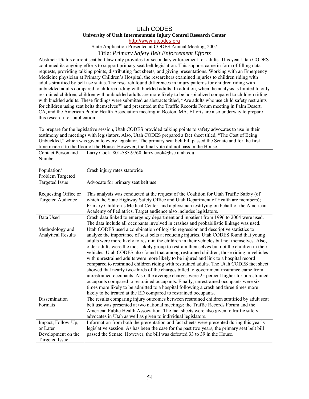# Utah CODES **University of Utah Intermountain Injury Control Research Center**

http://www.utcodes.org

State Application Presented at CODES Annual Meeting, 2007

Title: *Primary Safety Belt Enforcement Efforts* 

 Medicine physician at Primary Children's Hospital, the researchers examined injuries to children riding with adults stratified by belt use status. The research found differences in injury patterns for children riding with restrained children, children with unbuckled adults are more likely to be hospitalized compared to children riding CA, and the American Public Health Association meeting in Boston, MA. Efforts are also underway to prepare Abstract: Utah's current seat belt law only provides for secondary enforcement for adults. This year Utah CODES continued its ongoing efforts to support primary seat belt legislation. This support came in form of filling data requests, providing talking points, distributing fact sheets, and giving presentations. Working with an Emergency unbuckled adults compared to children riding with buckled adults. In addition, when the analysis is limited to only with buckled adults. These findings were submitted as abstracts titled, "Are adults who use child safety restraints for children using seat belts themselves?" and presented at the Traffic Records Forum meeting in Palm Desert, this research for publication.

To prepare for the legislative session, Utah CODES provided talking points to safety advocates to use in their testimony and meetings with legislators. Also, Utah CODES prepared a fact sheet titled, "The Cost of Being Unbuckled," which was given to every legislator. The primary seat belt bill passed the Senate and for the first time made it to the floor of the House. However, the final vote did not pass in the House.

| Contact Person and        | Larry Cook, 801-585-9760, larry.cook@hsc.utah.edu                                            |
|---------------------------|----------------------------------------------------------------------------------------------|
| Number                    |                                                                                              |
|                           |                                                                                              |
| Population/               | Crash injury rates statewide                                                                 |
| Problem Targeted          |                                                                                              |
| Targeted Issue            | Advocate for primary seat belt use                                                           |
| Requesting Office or      | This analysis was conducted at the request of the Coalition for Utah Traffic Safety (of      |
| <b>Targeted Audience</b>  | which the State Highway Safety Office and Utah Department of Health are members);            |
|                           | Primary Children's Medical Center, and a physician testifying on behalf of the American      |
|                           | Academy of Pediatrics. Target audience also includes legislators.                            |
| Data Used                 | Crash data linked to emergency department and inpatient from 1996 to 2004 were used.         |
|                           | The data include all occupants involved in crashes and probabilistic linkage was used.       |
| Methodology and           | Utah CODES used a combination of logistic regression and descriptive statistics to           |
| <b>Analytical Results</b> | analyze the importance of seat belts at reducing injuries. Utah CODES found that young       |
|                           | adults were more likely to restrain the children in their vehicles but not themselves. Also, |
|                           | older adults were the most likely group to restrain themselves but not the children in their |
|                           | vehicles. Utah CODES also found that among restrained children, those riding in vehicles     |
|                           | with unrestrained adults were more likely to be injured and link to a hospital record        |
|                           | compared to restrained children riding with restrained adults. The Utah CODES fact sheet     |
|                           | showed that nearly two-thirds of the charges billed to government insurance came from        |
|                           | unrestrained occupants. Also, the average charges were 25 percent higher for unrestrained    |
|                           | occupants compared to restrained occupants. Finally, unrestrained occupants were six         |
|                           | times more likely to be admitted to a hospital following a crash and three times more        |
|                           | likely to be treated at the ED compared to restrained occupants.                             |
| Dissemination             | The results comparing injury outcomes between restrained children stratified by adult seat   |
| Formats                   | belt use was presented at two national meetings: the Traffic Records Forum and the           |
|                           | American Public Health Association. The fact sheets were also given to traffic safety        |
|                           | advocates in Utah as well as given to individual legislators.                                |
| Impact, Follow-Up,        | Information from both the presentation and fact sheets were presented during this year's     |
| or Later                  | legislative session. As has been the case for the past two years, the primary seat belt bill |
| Development on the        | passed the Senate. However, the bill was defeated 33 to 39 in the House.                     |
| <b>Targeted Issue</b>     |                                                                                              |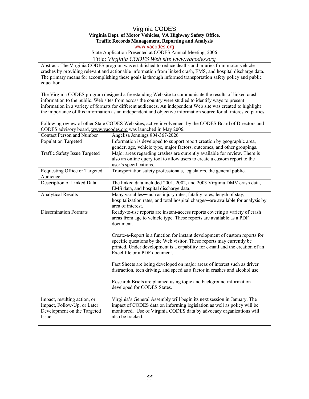# Virginia CODES **Virginia Dept. of Motor Vehicles, VA Highway Safety Office, Traffic Records Management, Reporting and Analysis**

www.vacodes.org

State Application Presented at CODES Annual Meeting, 2006 Title: *Virginia CODES Web site www.vacodes.org* 

education. Abstract: The Virginia CODES program was established to reduce deaths and injuries from motor vehicle crashes by providing relevant and actionable information from linked crash, EMS, and hospital discharge data. The primary means for accomplishing these goals is through informed transportation safety policy and public

 information in a variety of formats for different audiences. An independent Web site was created to highlight The Virginia CODES program designed a freestanding Web site to communicate the results of linked crash information to the public. Web sites from across the country were studied to identify ways to present the importance of this information as an independent and objective information source for all interested parties.

Following review of other State CODES Web sites, active involvement by the CODES Board of Directors and CODES advisory board, www.vacodes.org was launched in May 2006.

| <b>Contact Person and Number</b> | Angelisa Jennings 804-367-2026                                                  |  |  |
|----------------------------------|---------------------------------------------------------------------------------|--|--|
| Population Targeted              | Information is developed to support report creation by geographic area,         |  |  |
|                                  | gender, age, vehicle type, major factors, outcomes, and other groupings.        |  |  |
| Traffic Safety Issue Targeted    | Major areas regarding crashes are currently available for review. There is      |  |  |
|                                  | also an online query tool to allow users to create a custom report to the       |  |  |
|                                  | user's specifications.                                                          |  |  |
| Requesting Office or Targeted    | Transportation safety professionals, legislators, the general public.           |  |  |
| Audience                         |                                                                                 |  |  |
| Description of Linked Data       | The linked data included 2001, 2002, and 2003 Virginia DMV crash data,          |  |  |
|                                  | EMS data, and hospital discharge data.                                          |  |  |
| <b>Analytical Results</b>        | Many variables—such as injury rates, fatality rates, length of stay,            |  |  |
|                                  | hospitalization rates, and total hospital charges—are available for analysis by |  |  |
|                                  | area of interest.                                                               |  |  |
| <b>Dissemination Formats</b>     | Ready-to-use reports are instant-access reports covering a variety of crash     |  |  |
|                                  | areas from age to vehicle type. These reports are available as a PDF            |  |  |
|                                  | document.                                                                       |  |  |
|                                  |                                                                                 |  |  |
|                                  | Create-a-Report is a function for instant development of custom reports for     |  |  |
|                                  | specific questions by the Web visitor. These reports may currently be           |  |  |
|                                  | printed. Under development is a capability for e-mail and the creation of an    |  |  |
|                                  | Excel file or a PDF document.                                                   |  |  |
|                                  |                                                                                 |  |  |
|                                  | Fact Sheets are being developed on major areas of interest such as driver       |  |  |
|                                  | distraction, teen driving, and speed as a factor in crashes and alcohol use.    |  |  |
|                                  |                                                                                 |  |  |
|                                  | Research Briefs are planned using topic and background information              |  |  |
|                                  | developed for CODES States.                                                     |  |  |
|                                  |                                                                                 |  |  |
| Impact, resulting action, or     | Virginia's General Assembly will begin its next session in January. The         |  |  |
| Impact, Follow-Up, or Later      | impact of CODES data on informing legislation as well as policy will be         |  |  |
| Development on the Targeted      | monitored. Use of Virginia CODES data by advocacy organizations will            |  |  |
| Issue                            | also be tracked.                                                                |  |  |
|                                  |                                                                                 |  |  |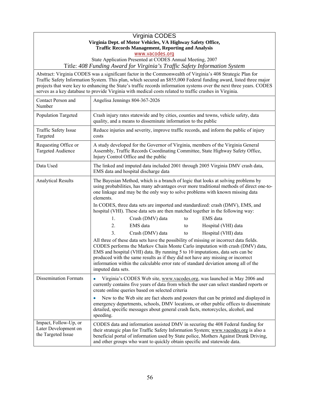# Virginia CODES **Virginia Dept. of Motor Vehicles, VA Highway Safety Office, Traffic Records Management, Reporting and Analysis**

www.vacodes.org

State Application Presented at CODES Annual Meeting, 2007

Title: *408 Funding Award for Virginia's Traffic Safety Information System* 

 Traffic Safety Information System. This plan, which secured an \$855,000 Federal funding award, listed three major Abstract: Virginia CODES was a significant factor in the Commonwealth of Virginia's 408 Strategic Plan for projects that were key to enhancing the State's traffic records information systems over the next three years. CODES serves as a key database to provide Virginia with medical costs related to traffic crashes in Virginia.

| Contact Person and<br>Number                                        | Angelisa Jennings 804-367-2026                                                                                                                                                                                                                                                                                                                |                                                  |    |                                                                                                                                                                                                                                                                                                                                                                                                                                    |
|---------------------------------------------------------------------|-----------------------------------------------------------------------------------------------------------------------------------------------------------------------------------------------------------------------------------------------------------------------------------------------------------------------------------------------|--------------------------------------------------|----|------------------------------------------------------------------------------------------------------------------------------------------------------------------------------------------------------------------------------------------------------------------------------------------------------------------------------------------------------------------------------------------------------------------------------------|
| Population Targeted                                                 | Crash injury rates statewide and by cities, counties and towns, vehicle safety, data<br>quality, and a means to disseminate information to the public                                                                                                                                                                                         |                                                  |    |                                                                                                                                                                                                                                                                                                                                                                                                                                    |
| Traffic Safety Issue<br>Targeted                                    | Reduce injuries and severity, improve traffic records, and inform the public of injury<br>costs                                                                                                                                                                                                                                               |                                                  |    |                                                                                                                                                                                                                                                                                                                                                                                                                                    |
| Requesting Office or<br><b>Targeted Audience</b>                    | A study developed for the Governor of Virginia, members of the Virginia General<br>Assembly, Traffic Records Coordinating Committee, State Highway Safety Office,<br>Injury Control Office and the public                                                                                                                                     |                                                  |    |                                                                                                                                                                                                                                                                                                                                                                                                                                    |
| Data Used                                                           | The linked and imputed data included 2001 through 2005 Virginia DMV crash data,<br>EMS data and hospital discharge data                                                                                                                                                                                                                       |                                                  |    |                                                                                                                                                                                                                                                                                                                                                                                                                                    |
| <b>Analytical Results</b>                                           | The Bayesian Method, which is a branch of logic that looks at solving problems by<br>using probabilities, has many advantages over more traditional methods of direct one-to-<br>one linkage and may be the only way to solve problems with known missing data<br>elements.                                                                   |                                                  |    |                                                                                                                                                                                                                                                                                                                                                                                                                                    |
|                                                                     |                                                                                                                                                                                                                                                                                                                                               |                                                  |    | In CODES, three data sets are imported and standardized: crash (DMV), EMS, and<br>hospital (VHI). These data sets are then matched together in the following way:                                                                                                                                                                                                                                                                  |
|                                                                     | $\mathbf{1}$ .                                                                                                                                                                                                                                                                                                                                | Crash (DMV) data                                 | to | EMS data                                                                                                                                                                                                                                                                                                                                                                                                                           |
|                                                                     | 2.                                                                                                                                                                                                                                                                                                                                            | EMS data                                         | to | Hospital (VHI) data                                                                                                                                                                                                                                                                                                                                                                                                                |
|                                                                     | 3 <sub>1</sub>                                                                                                                                                                                                                                                                                                                                | Crash (DMV) data                                 | to | Hospital (VHI) data                                                                                                                                                                                                                                                                                                                                                                                                                |
|                                                                     | imputed data sets.                                                                                                                                                                                                                                                                                                                            |                                                  |    | All three of these data sets have the possibility of missing or incorrect data fields.<br>CODES performs the Markov Chain Monte Carlo imputation with crash (DMV) data,<br>EMS and hospital (VHI) data. By running 5 to 10 imputations, data sets can be<br>produced with the same results as if they did not have any missing or incorrect<br>information within the calculable error rate of standard deviation among all of the |
| <b>Dissemination Formats</b>                                        |                                                                                                                                                                                                                                                                                                                                               | create online queries based on selected criteria |    | Virginia's CODES Web site, www.vacodes.org, was launched in May 2006 and<br>currently contains five years of data from which the user can select standard reports or                                                                                                                                                                                                                                                               |
|                                                                     | speeding.                                                                                                                                                                                                                                                                                                                                     |                                                  |    | New to the Web site are fact sheets and posters that can be printed and displayed in<br>emergency departments, schools, DMV locations, or other public offices to disseminate<br>detailed, specific messages about general crash facts, motorcycles, alcohol, and                                                                                                                                                                  |
| Impact, Follow-Up, or<br>Later Development on<br>the Targeted Issue | CODES data and information assisted DMV in securing the 408 Federal funding for<br>their strategic plan for Traffic Safety Information System; www.vacodes.org is also a<br>beneficial portal of information used by State police, Mothers Against Drunk Driving,<br>and other groups who want to quickly obtain specific and statewide data. |                                                  |    |                                                                                                                                                                                                                                                                                                                                                                                                                                    |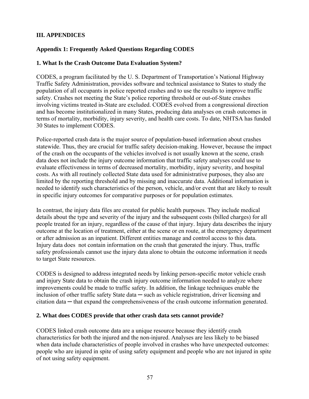# <span id="page-59-0"></span>**III. APPENDICES**

# **Appendix 1: Frequently Asked Questions Regarding CODES**

## **1. What Is the Crash Outcome Data Evaluation System?**

CODES, a program facilitated by the U. S. Department of Transportation's National Highway Traffic Safety Administration, provides software and technical assistance to States to study the population of all occupants in police reported crashes and to use the results to improve traffic safety. Crashes not meeting the State's police reporting threshold or out-of-State crashes involving victims treated in-State are excluded. CODES evolved from a congressional direction and has become institutionalized in many States, producing data analyses on crash outcomes in terms of mortality, morbidity, injury severity, and health care costs. To date, NHTSA has funded 30 States to implement CODES.

Police-reported crash data is the major source of population-based information about crashes statewide. Thus, they are crucial for traffic safety decision-making. However, because the impact of the crash on the occupants of the vehicles involved is not usually known at the scene, crash data does not include the injury outcome information that traffic safety analyses could use to evaluate effectiveness in terms of decreased mortality, morbidity, injury severity, and hospital costs. As with all routinely collected State data used for administrative purposes, they also are limited by the reporting threshold and by missing and inaccurate data. Additional information is needed to identify such characteristics of the person, vehicle, and/or event that are likely to result in specific injury outcomes for comparative purposes or for population estimates.

In contrast, the injury data files are created for public health purposes. They include medical details about the type and severity of the injury and the subsequent costs (billed charges) for all people treated for an injury, regardless of the cause of that injury. Injury data describes the injury outcome at the location of treatment, either at the scene or en route, at the emergency department or after admission as an inpatient. Different entities manage and control access to this data. Injury data does not contain information on the crash that generated the injury. Thus, traffic safety professionals cannot use the injury data alone to obtain the outcome information it needs to target State resources.

CODES is designed to address integrated needs by linking person-specific motor vehicle crash and injury State data to obtain the crash injury outcome information needed to analyze where improvements could be made to traffic safety. In addition, the linkage techniques enable the inclusion of other traffic safety State data — such as vehicle registration, driver licensing and citation data ─ that expand the comprehensiveness of the crash outcome information generated.

## **2. What does CODES provide that other crash data sets cannot provide?**

CODES linked crash outcome data are a unique resource because they identify crash characteristics for both the injured and the non-injured. Analyses are less likely to be biased when data include characteristics of people involved in crashes who have unexpected outcomes: people who are injured in spite of using safety equipment and people who are not injured in spite of not using safety equipment.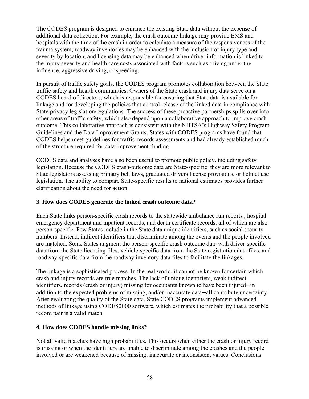The CODES program is designed to enhance the existing State data without the expense of additional data collection. For example, the crash outcome linkage may provide EMS and hospitals with the time of the crash in order to calculate a measure of the responsiveness of the trauma system; roadway inventories may be enhanced with the inclusion of injury type and severity by location; and licensing data may be enhanced when driver information is linked to the injury severity and health care costs associated with factors such as driving under the influence, aggressive driving, or speeding.

In pursuit of traffic safety goals, the CODES program promotes collaboration between the State traffic safety and health communities. Owners of the State crash and injury data serve on a CODES board of directors, which is responsible for ensuring that State data is available for linkage and for developing the policies that control release of the linked data in compliance with State privacy legislation/regulations. The success of these proactive partnerships spills over into other areas of traffic safety, which also depend upon a collaborative approach to improve crash outcome. This collaborative approach is consistent with the NHTSA's Highway Safety Program Guidelines and the Data Improvement Grants. States with CODES programs have found that CODES helps meet guidelines for traffic records assessments and had already established much of the structure required for data improvement funding.

CODES data and analyses have also been useful to promote public policy, including safety legislation. Because the CODES crash-outcome data are State-specific, they are more relevant to State legislators assessing primary belt laws, graduated drivers license provisions, or helmet use legislation. The ability to compare State-specific results to national estimates provides further clarification about the need for action.

# **3. How does CODES generate the linked crash outcome data?**

Each State links person-specific crash records to the statewide ambulance run reports , hospital emergency department and inpatient records, and death certificate records, all of which are also person-specific. Few States include in the State data unique identifiers, such as social security numbers. Instead, indirect identifiers that discriminate among the events and the people involved are matched. Some States augment the person-specific crash outcome data with driver-specific data from the State licensing files, vehicle-specific data from the State registration data files, and roadway-specific data from the roadway inventory data files to facilitate the linkages.

The linkage is a sophisticated process. In the real world, it cannot be known for certain which crash and injury records are true matches. The lack of unique identifiers, weak indirect identifiers, records (crash or injury) missing for occupants known to have been injured—in addition to the expected problems of missing, and/or inaccurate data—all contribute uncertainty. After evaluating the quality of the State data, State CODES programs implement advanced methods of linkage using CODES2000 software, which estimates the probability that a possible record pair is a valid match.

## **4. How does CODES handle missing links?**

Not all valid matches have high probabilities. This occurs when either the crash or injury record is missing or when the identifiers are unable to discriminate among the crashes and the people involved or are weakened because of missing, inaccurate or inconsistent values. Conclusions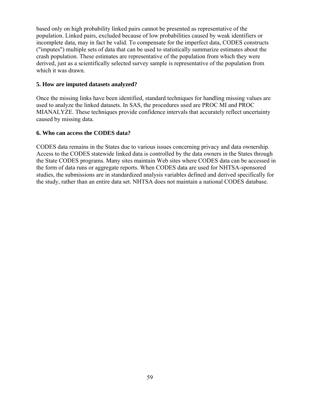based only on high probability linked pairs cannot be presented as representative of the population. Linked pairs, excluded because of low probabilities caused by weak identifiers or incomplete data, may in fact be valid. To compensate for the imperfect data, CODES constructs ("imputes") multiple sets of data that can be used to statistically summarize estimates about the crash population. These estimates are representative of the population from which they were derived, just as a scientifically selected survey sample is representative of the population from which it was drawn.

#### **5. How are imputed datasets analyzed?**

Once the missing links have been identified, standard techniques for handling missing values are used to analyze the linked datasets. In SAS, the procedures used are PROC MI and PROC MIANALYZE. These techniques provide confidence intervals that accurately reflect uncertainty caused by missing data.

#### **6. Who can access the CODES data?**

CODES data remains in the States due to various issues concerning privacy and data ownership. Access to the CODES statewide linked data is controlled by the data owners in the States through the State CODES programs. Many sites maintain Web sites where CODES data can be accessed in the form of data runs or aggregate reports. When CODES data are used for NHTSA-sponsored studies, the submissions are in standardized analysis variables defined and derived specifically for the study, rather than an entire data set. NHTSA does not maintain a national CODES database.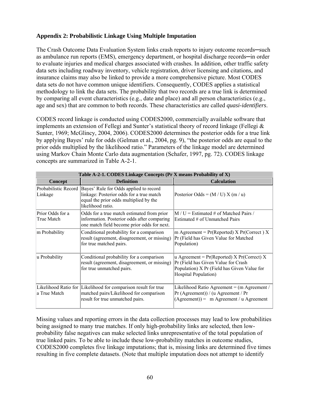# <span id="page-62-0"></span>**Appendix 2: Probabilistic Linkage Using Multiple Imputation**

The Crash Outcome Data Evaluation System links crash reports to injury outcome records—such as ambulance run reports (EMS), emergency department, or hospital discharge records—in order to evaluate injuries and medical charges associated with crashes. In addition, other traffic safety data sets including roadway inventory, vehicle registration, driver licensing and citations, and insurance claims may also be linked to provide a more comprehensive picture. Most CODES data sets do not have common unique identifiers. Consequently, CODES applies a statistical methodology to link the data sets. The probability that two records are a true link is determined by comparing all event characteristics (e.g., date and place) and all person characteristics (e.g., age and sex) that are common to both records. These characteristics are called *quasi-identifiers*.

CODES record linkage is conducted using CODES2000, commercially available software that implements an extension of Fellegi and Sunter's statistical theory of record linkage (Fellegi & Sunter, 1969; McGlincy, 2004, 2006). CODES2000 determines the posterior odds for a true link by applying Bayes' rule for odds (Gelman et al., 2004, pg. 9), "the posterior odds are equal to the prior odds multiplied by the likelihood ratio." Parameters of the linkage model are determined using Markov Chain Monte Carlo data augmentation (Schafer, 1997, pg. 72). CODES linkage concepts are summarized in Table A-2-1.

| Table A-2-1. CODES Linkage Concepts (Pr X means Probability of X) |                                                                                                                                                                         |                                                                                                                                                                      |  |
|-------------------------------------------------------------------|-------------------------------------------------------------------------------------------------------------------------------------------------------------------------|----------------------------------------------------------------------------------------------------------------------------------------------------------------------|--|
| Concept                                                           | <b>Definition</b>                                                                                                                                                       | <b>Calculation</b>                                                                                                                                                   |  |
| Linkage                                                           | Probabilistic Record  Bayes' Rule for Odds applied to record<br>linkage: Posterior odds for a true match<br>equal the prior odds multiplied by the<br>likelihood ratio. | Posterior Odds = $(M / U) X (m / u)$                                                                                                                                 |  |
| Prior Odds for a<br>True Match                                    | Odds for a true match estimated from prior<br>information. Posterior odds after comparing<br>one match field become prior odds for next.                                | $M/U =$ Estimated # of Matched Pairs /<br>Estimated # of Unmatched Pairs                                                                                             |  |
| m Probability                                                     | Conditional probability for a comparison<br>result (agreement, disagreement, or missing)<br>for true matched pairs.                                                     | m Agreement = $Pr(Reported)$ X $Pr(Correct)$ X<br>Pr (Field has Given Value for Matched<br>Population)                                                               |  |
| u Probability                                                     | Conditional probability for a comparison<br>result (agreement, disagreement, or missing)<br>for true unmatched pairs.                                                   | u Agreement = $Pr(Reported)$ X $Pr(Correct)$ X<br>Pr (Field has Given Value for Crash<br>Population) X Pr (Field has Given Value for<br><b>Hospital Population</b> ) |  |
| la True Match                                                     | Likelihood Ratio for  Likelihood for comparison result for true<br>matched pairs/Likelihood for comparison<br>result for true unmatched pairs.                          | Likelihood Ratio Agreement = $(m$ Agreement /<br>Pr(Agreenent)) / (u Agreement / Pr)<br>$(Agreenent)) = m Agreement / u Agreement$                                   |  |

Missing values and reporting errors in the data collection processes may lead to low probabilities being assigned to many true matches. If only high-probability links are selected, then lowprobability false negatives can make selected links unrepresentative of the total population of true linked pairs. To be able to include these low-probability matches in outcome studies, CODES2000 completes five linkage imputations; that is, missing links are determined five times resulting in five complete datasets. (Note that multiple imputation does not attempt to identify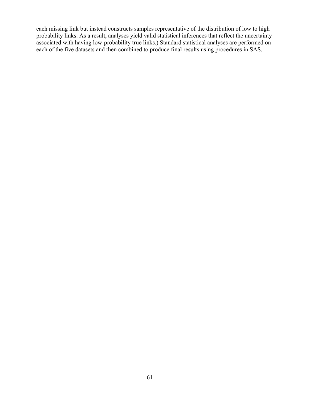each missing link but instead constructs samples representative of the distribution of low to high probability links. As a result, analyses yield valid statistical inferences that reflect the uncertainty associated with having low-probability true links.) Standard statistical analyses are performed on each of the five datasets and then combined to produce final results using procedures in SAS.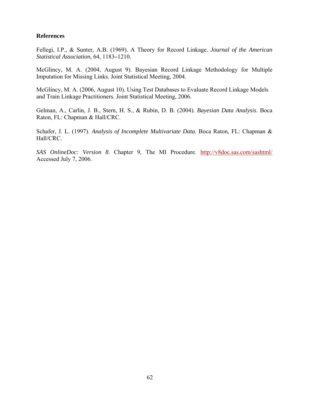#### <span id="page-64-0"></span>**References**

Fellegi, I.P., & Sunter, A.B. (1969). A Theory for Record Linkage. *Journal of the American Statistical Association*, 64, 1183**–**1210.

McGlincy, M. A. (2004, August 9). Bayesian Record Linkage Methodology for Multiple Imputation for Missing Links. Joint Statistical Meeting, 2004.

McGlincy, M. A. (2006, August 10). Using Test Databases to Evaluate Record Linkage Models and Train Linkage Practitioners. Joint Statistical Meeting, 2006.

Gelman, A., Carlin, J. B., Stern, H. S., & Rubin, D. B. (2004). *Bayesian Data Analysis*. Boca Raton, FL: Chapman & Hall/CRC.

Schafer, J. L. (1997). *Analysis of Incomplete Multivariate Data*. Boca Raton, FL: Chapman & Hall/CRC.

*SAS OnlineDoc: Version 8*. Chapter 9, The MI Procedure. http://v8doc.sas.com/sashtml/ Accessed July 7, 2006.